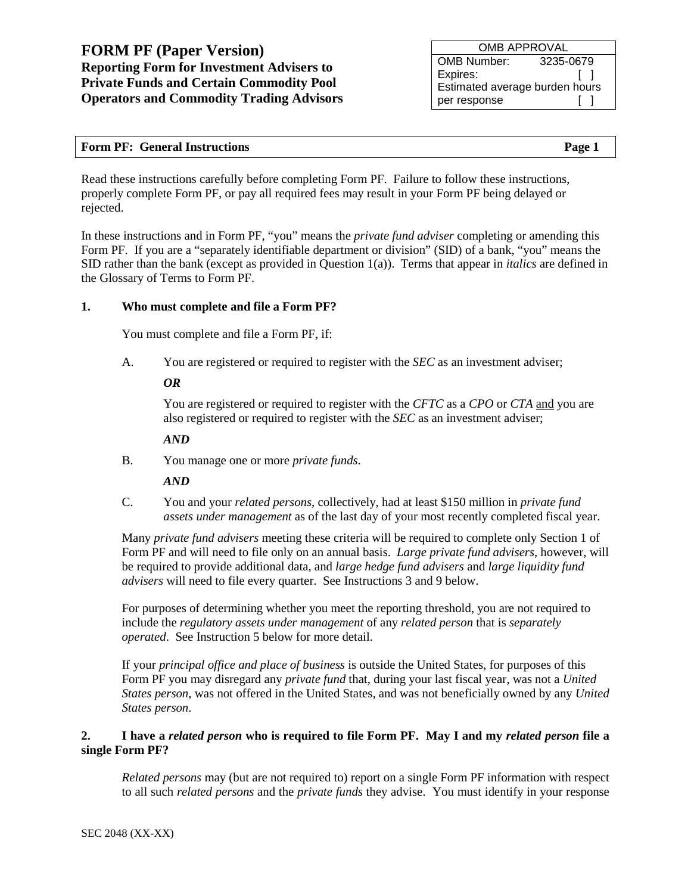OMB APPROVAL OMB Number: 3235-0679<br>Expires: [ ] Expires: Estimated average burden hours per response [ ]

| <b>Form PF: General Instructions</b> | Page 1 |
|--------------------------------------|--------|
|                                      |        |

Read these instructions carefully before completing Form PF. Failure to follow these instructions, properly complete Form PF, or pay all required fees may result in your Form PF being delayed or rejected.

In these instructions and in Form PF, "you" means the *private fund adviser* completing or amending this Form PF. If you are a "separately identifiable department or division" (SID) of a bank, "you" means the SID rather than the bank (except as provided in Question [1\(](#page-11-0)a)). Terms that appear in *italics* are defined in the Glossary of Terms to Form PF.

### **1. Who must complete and file a Form PF?**

You must complete and file a Form PF, if:

A. You are registered or required to register with the *SEC* as an investment adviser;

#### *OR*

You are registered or required to register with the *CFTC* as a *CPO* or *CTA* and you are also registered or required to register with the *SEC* as an investment adviser;

#### *AND*

B. You manage one or more *private funds*.

#### *AND*

C. You and your *related persons*, collectively, had at least \$150 million in *private fund assets under management* as of the last day of your most recently completed fiscal year.

Many *private fund advisers* meeting these criteria will be required to complete only Section 1 of Form PF and will need to file only on an annual basis. *Large private fund advisers*, however, will be required to provide additional data, and *large hedge fund advisers* and *large liquidity fund advisers* will need to file every quarter. See Instructions 3 and 9 below.

For purposes of determining whether you meet the reporting threshold, you are not required to include the *regulatory assets under management* of any *related person* that is *separately operated*. See Instruction 5 below for more detail.

If your *principal office and place of business* is outside the United States, for purposes of this Form PF you may disregard any *private fund* that, during your last fiscal year, was not a *United States person*, was not offered in the United States, and was not beneficially owned by any *United States person*.

#### **2. I have a** *related person* **who is required to file Form PF. May I and my** *related person* **file a single Form PF?**

*Related persons* may (but are not required to) report on a single Form PF information with respect to all such *related persons* and the *private funds* they advise. You must identify in your response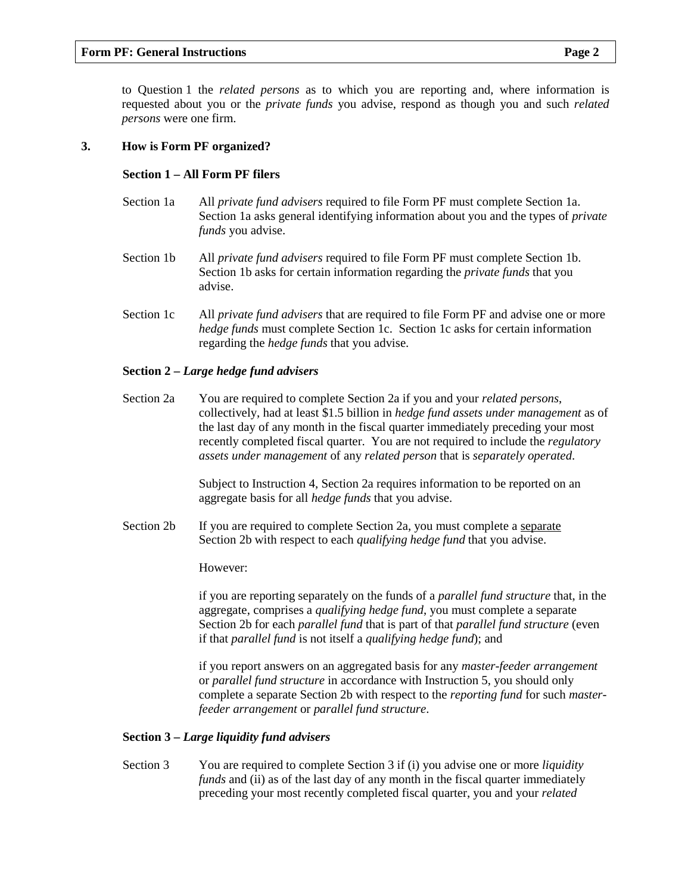to Question [1](#page-11-0) the *related persons* as to which you are reporting and, where information is requested about you or the *private funds* you advise, respond as though you and such *related persons* were one firm.

#### **3. How is Form PF organized?**

#### **Section 1 – All Form PF filers**

- Section 1a All *private fund advisers* required to file Form PF must complete Section 1a. Section 1a asks general identifying information about you and the types of *private funds* you advise.
- Section 1b All *private fund advisers* required to file Form PF must complete Section 1b. Section 1b asks for certain information regarding the *private funds* that you advise.
- Section 1c All *private fund advisers* that are required to file Form PF and advise one or more *hedge funds* must complete Section 1c. Section 1c asks for certain information regarding the *hedge funds* that you advise.

#### **Section 2 –** *Large hedge fund advisers*

Section 2a You are required to complete Section 2a if you and your *related persons*, collectively, had at least \$1.5 billion in *hedge fund assets under management* as of the last day of any month in the fiscal quarter immediately preceding your most recently completed fiscal quarter. You are not required to include the *regulatory assets under management* of any *related person* that is *separately operated*.

> Subject to Instruction 4, Section 2a requires information to be reported on an aggregate basis for all *hedge funds* that you advise.

Section 2b If you are required to complete Section 2a, you must complete a separate Section 2b with respect to each *qualifying hedge fund* that you advise.

However:

if you are reporting separately on the funds of a *parallel fund structure* that, in the aggregate, comprises a *qualifying hedge fund*, you must complete a separate Section 2b for each *parallel fund* that is part of that *parallel fund structure* (even if that *parallel fund* is not itself a *qualifying hedge fund*); and

if you report answers on an aggregated basis for any *master-feeder arrangement* or *parallel fund structure* in accordance with Instruction 5, you should only complete a separate Section 2b with respect to the *reporting fund* for such *masterfeeder arrangement* or *parallel fund structure*.

#### **Section 3 –** *Large liquidity fund advisers*

Section 3 You are required to complete Section 3 if (i) you advise one or more *liquidity funds* and (ii) as of the last day of any month in the fiscal quarter immediately preceding your most recently completed fiscal quarter, you and your *related*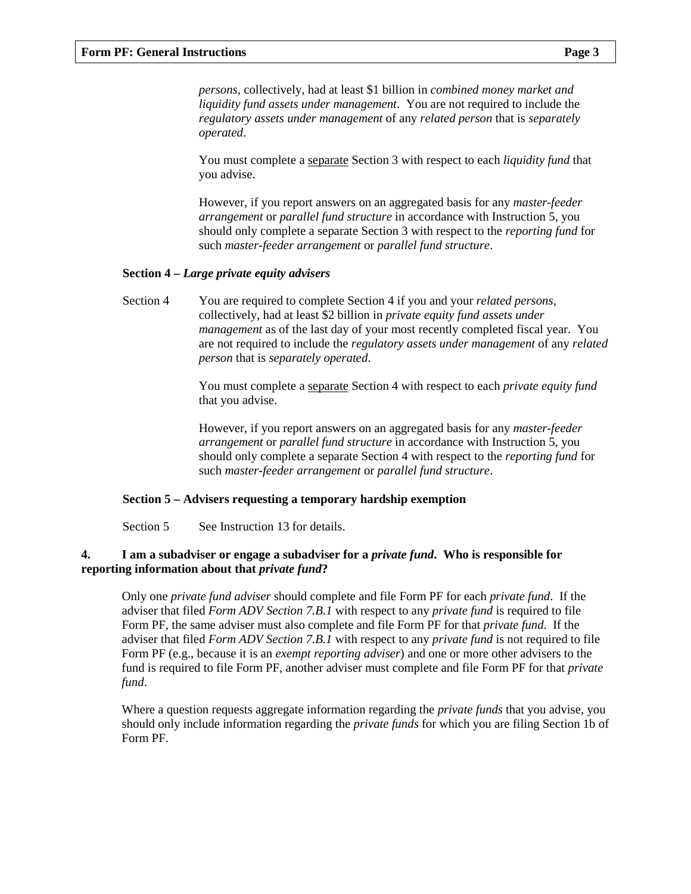*persons*, collectively, had at least \$1 billion in *combined money market and liquidity fund assets under management*. You are not required to include the *regulatory assets under management* of any *related person* that is *separately operated*.

You must complete a separate Section 3 with respect to each *liquidity fund* that you advise.

However, if you report answers on an aggregated basis for any *master-feeder arrangement* or *parallel fund structure* in accordance with Instruction 5, you should only complete a separate Section 3 with respect to the *reporting fund* for such *master-feeder arrangement* or *parallel fund structure*.

#### **Section 4 –** *Large private equity advisers*

Section 4 You are required to complete Section 4 if you and your *related persons*, collectively, had at least \$2 billion in *private equity fund assets under management* as of the last day of your most recently completed fiscal year. You are not required to include the *regulatory assets under management* of any *related person* that is *separately operated*.

> You must complete a separate Section 4 with respect to each *private equity fund* that you advise.

> However, if you report answers on an aggregated basis for any *master-feeder arrangement* or *parallel fund structure* in accordance with Instruction 5, you should only complete a separate Section 4 with respect to the *reporting fund* for such *master-feeder arrangement* or *parallel fund structure*.

#### **Section 5 – Advisers requesting a temporary hardship exemption**

Section 5 See Instruction 13 for details.

#### **4. I am a subadviser or engage a subadviser for a** *private fund***. Who is responsible for reporting information about that** *private fund***?**

Only one *private fund adviser* should complete and file Form PF for each *private fund*. If the adviser that filed *Form ADV Section 7.B.1* with respect to any *private fund* is required to file Form PF, the same adviser must also complete and file Form PF for that *private fund*. If the adviser that filed *Form ADV Section 7.B.1* with respect to any *private fund* is not required to file Form PF (e.g., because it is an *exempt reporting adviser*) and one or more other advisers to the fund is required to file Form PF, another adviser must complete and file Form PF for that *private fund*.

Where a question requests aggregate information regarding the *private funds* that you advise, you should only include information regarding the *private funds* for which you are filing Section 1b of Form PF.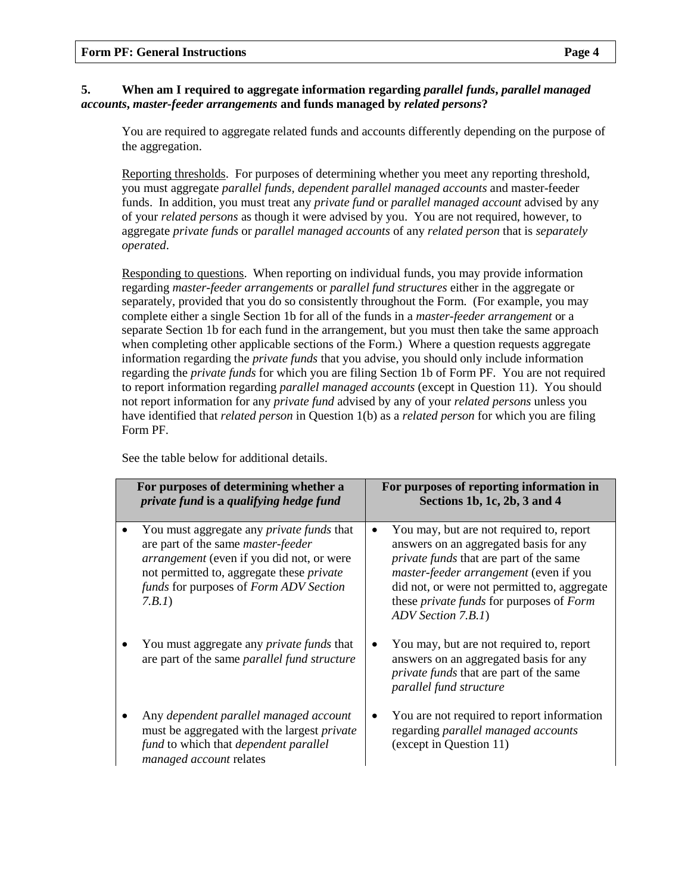## **5. When am I required to aggregate information regarding** *parallel funds***,** *parallel managed accounts***,** *master-feeder arrangements* **and funds managed by** *related persons***?**

You are required to aggregate related funds and accounts differently depending on the purpose of the aggregation.

Reporting thresholds. For purposes of determining whether you meet any reporting threshold, you must aggregate *parallel funds, dependent parallel managed accounts* and master-feeder funds. In addition, you must treat any *private fund* or *parallel managed account* advised by any of your *related persons* as though it were advised by you. You are not required, however, to aggregate *private funds* or *parallel managed accounts* of any *related person* that is *separately operated*.

Responding to questions. When reporting on individual funds, you may provide information regarding *master-feeder arrangements* or *parallel fund structures* either in the aggregate or separately, provided that you do so consistently throughout the Form. (For example, you may complete either a single Section 1b for all of the funds in a *master-feeder arrangement* or a separate Section 1b for each fund in the arrangement, but you must then take the same approach when completing other applicable sections of the Form.) Where a question requests aggregate information regarding the *private funds* that you advise, you should only include information regarding the *private funds* for which you are filing Section 1b of Form PF. You are not required to report information regarding *parallel managed accounts* (except in Question [11\)](#page-15-0). You should not report information for any *private fund* advised by any of your *related persons* unless you have identified that *related person* in Question [1\(](#page-11-0)b) as a *related person* for which you are filing Form PF.

See the table below for additional details.

| For purposes of determining whether a<br>private fund is a qualifying hedge fund                                                                                                                                                                   | For purposes of reporting information in<br>Sections 1b, 1c, 2b, 3 and 4                                                                                                                                                                                                                                              |
|----------------------------------------------------------------------------------------------------------------------------------------------------------------------------------------------------------------------------------------------------|-----------------------------------------------------------------------------------------------------------------------------------------------------------------------------------------------------------------------------------------------------------------------------------------------------------------------|
| You must aggregate any <i>private funds</i> that<br>are part of the same <i>master-feeder</i><br><i>arrangement</i> (even if you did not, or were<br>not permitted to, aggregate these private<br>funds for purposes of Form ADV Section<br>7.B.1) | You may, but are not required to, report<br>answers on an aggregated basis for any<br><i>private funds</i> that are part of the same<br><i>master-feeder arrangement</i> (even if you<br>did not, or were not permitted to, aggregate<br>these <i>private funds</i> for purposes of <i>Form</i><br>ADV Section 7.B.1) |
| You must aggregate any <i>private funds</i> that<br>are part of the same <i>parallel fund structure</i>                                                                                                                                            | You may, but are not required to, report<br>answers on an aggregated basis for any<br><i>private funds</i> that are part of the same<br>parallel fund structure                                                                                                                                                       |
| Any dependent parallel managed account<br>must be aggregated with the largest <i>private</i><br>fund to which that <i>dependent</i> parallel<br>managed account relates                                                                            | You are not required to report information<br>regarding parallel managed accounts<br>(except in Question 11)                                                                                                                                                                                                          |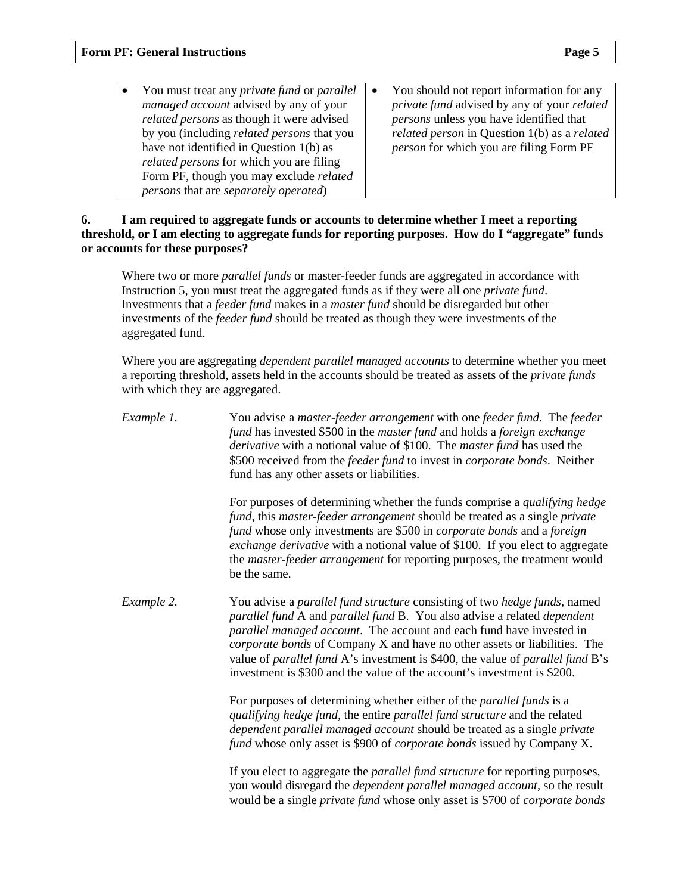- You must treat any *private fund* or *parallel managed account* advised by any of your *related persons* as though it were advised by you (including *related persons* that you have not identified in Question [1\(](#page-11-0)b) as *related persons* for which you are filing Form PF, though you may exclude *related persons* that are *separately operated*)
- You should not report information for any *private fund* advised by any of your *related persons* unless you have identified that *related person* in Question [1\(](#page-11-0)b) as a *related person* for which you are filing Form PF

#### **6. I am required to aggregate funds or accounts to determine whether I meet a reporting threshold, or I am electing to aggregate funds for reporting purposes. How do I "aggregate" funds or accounts for these purposes?**

Where two or more *parallel funds* or master-feeder funds are aggregated in accordance with Instruction 5, you must treat the aggregated funds as if they were all one *private fund*. Investments that a *feeder fund* makes in a *master fund* should be disregarded but other investments of the *feeder fund* should be treated as though they were investments of the aggregated fund.

Where you are aggregating *dependent parallel managed accounts* to determine whether you meet a reporting threshold, assets held in the accounts should be treated as assets of the *private funds* with which they are aggregated.

*Example 1.* You advise a *master-feeder arrangement* with one *feeder fund*. The *feeder fund* has invested \$500 in the *master fund* and holds a *foreign exchange derivative* with a notional value of \$100. The *master fund* has used the \$500 received from the *feeder fund* to invest in *corporate bonds*. Neither fund has any other assets or liabilities.

> For purposes of determining whether the funds comprise a *qualifying hedge fund*, this *master-feeder arrangement* should be treated as a single *private fund* whose only investments are \$500 in *corporate bonds* and a *foreign exchange derivative* with a notional value of \$100. If you elect to aggregate the *master-feeder arrangement* for reporting purposes, the treatment would be the same.

*Example 2.* You advise a *parallel fund structure* consisting of two *hedge funds*, named *parallel fund* A and *parallel fund* B. You also advise a related *dependent parallel managed account*. The account and each fund have invested in *corporate bonds* of Company X and have no other assets or liabilities. The value of *parallel fund* A's investment is \$400, the value of *parallel fund* B's investment is \$300 and the value of the account's investment is \$200.

> For purposes of determining whether either of the *parallel funds* is a *qualifying hedge fund*, the entire *parallel fund structure* and the related *dependent parallel managed account* should be treated as a single *private fund* whose only asset is \$900 of *corporate bonds* issued by Company X.

If you elect to aggregate the *parallel fund structure* for reporting purposes, you would disregard the *dependent parallel managed account*, so the result would be a single *private fund* whose only asset is \$700 of *corporate bonds*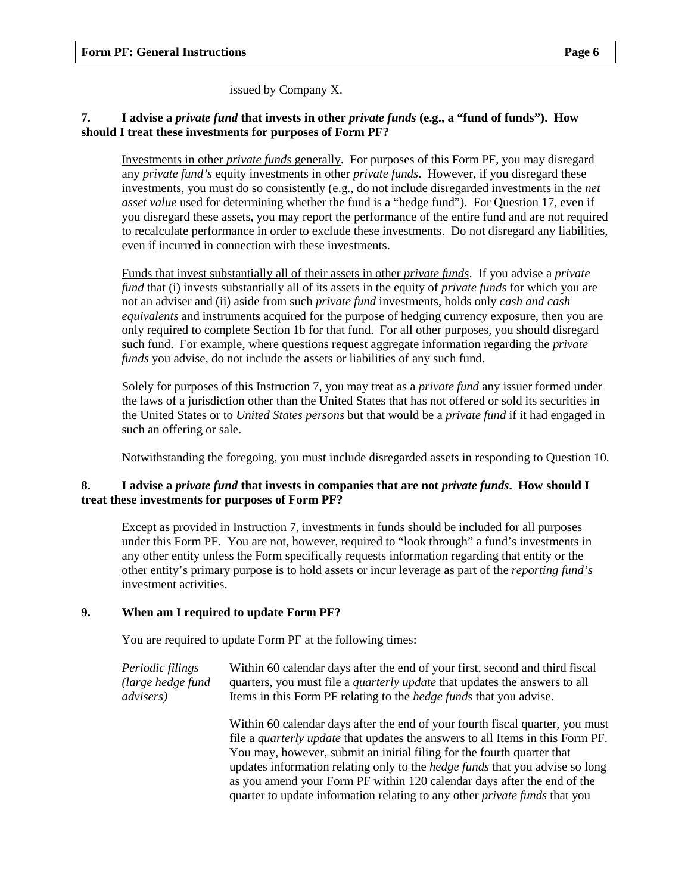issued by Company X.

#### **7. I advise a** *private fund* **that invests in other** *private funds* **(e.g., a "fund of funds"). How should I treat these investments for purposes of Form PF?**

Investments in other *private funds* generally. For purposes of this Form PF, you may disregard any *private fund's* equity investments in other *private funds*. However, if you disregard these investments, you must do so consistently (e.g., do not include disregarded investments in the *net asset value* used for determining whether the fund is a "hedge fund"). For Question [17,](#page-17-0) even if you disregard these assets, you may report the performance of the entire fund and are not required to recalculate performance in order to exclude these investments. Do not disregard any liabilities, even if incurred in connection with these investments.

Funds that invest substantially all of their assets in other *private funds*. If you advise a *private fund* that (i) invests substantially all of its assets in the equity of *private funds* for which you are not an adviser and (ii) aside from such *private fund* investments, holds only *cash and cash equivalents* and instruments acquired for the purpose of hedging currency exposure, then you are only required to complete Section 1b for that fund. For all other purposes, you should disregard such fund. For example, where questions request aggregate information regarding the *private funds* you advise, do not include the assets or liabilities of any such fund.

Solely for purposes of this Instruction 7, you may treat as a *private fund* any issuer formed under the laws of a jurisdiction other than the United States that has not offered or sold its securities in the United States or to *United States persons* but that would be a *private fund* if it had engaged in such an offering or sale.

Notwithstanding the foregoing, you must include disregarded assets in responding to Question [10.](#page-15-1)

#### **8. I advise a** *private fund* **that invests in companies that are not** *private funds***. How should I treat these investments for purposes of Form PF?**

Except as provided in Instruction 7, investments in funds should be included for all purposes under this Form PF. You are not, however, required to "look through" a fund's investments in any other entity unless the Form specifically requests information regarding that entity or the other entity's primary purpose is to hold assets or incur leverage as part of the *reporting fund's* investment activities.

#### **9. When am I required to update Form PF?**

You are required to update Form PF at the following times:

*Periodic filings (large hedge fund advisers)* Within 60 calendar days after the end of your first, second and third fiscal quarters, you must file a *quarterly update* that updates the answers to all Items in this Form PF relating to the *hedge funds* that you advise.

> Within 60 calendar days after the end of your fourth fiscal quarter, you must file a *quarterly update* that updates the answers to all Items in this Form PF. You may, however, submit an initial filing for the fourth quarter that updates information relating only to the *hedge funds* that you advise so long as you amend your Form PF within 120 calendar days after the end of the quarter to update information relating to any other *private funds* that you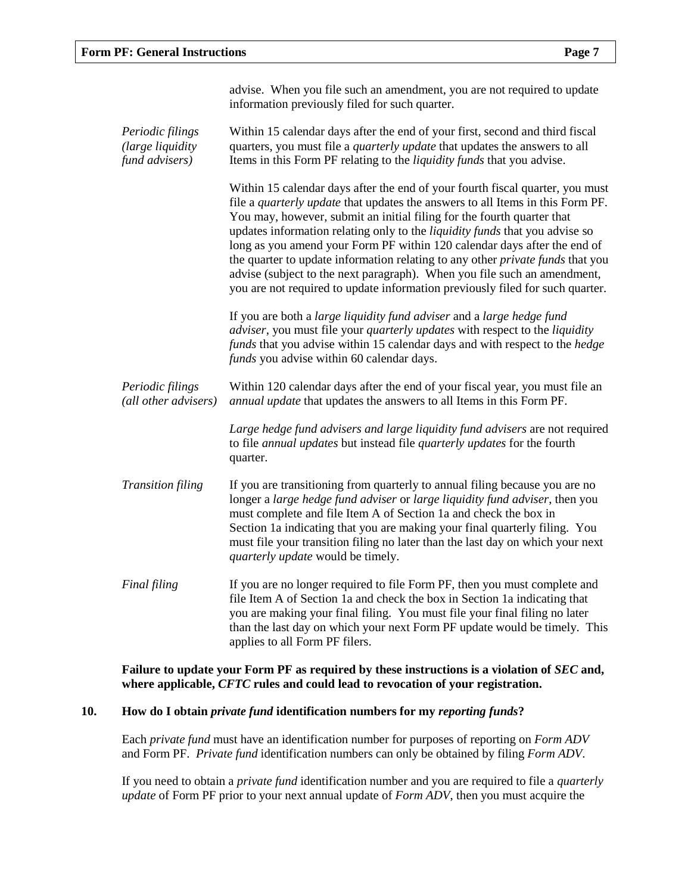|                                                         | advise. When you file such an amendment, you are not required to update<br>information previously filed for such quarter.                                                                                                                                                                                                                                                                                                                                                                                                                                                                                                                                         |
|---------------------------------------------------------|-------------------------------------------------------------------------------------------------------------------------------------------------------------------------------------------------------------------------------------------------------------------------------------------------------------------------------------------------------------------------------------------------------------------------------------------------------------------------------------------------------------------------------------------------------------------------------------------------------------------------------------------------------------------|
| Periodic filings<br>(large liquidity)<br>fund advisers) | Within 15 calendar days after the end of your first, second and third fiscal<br>quarters, you must file a <i>quarterly update</i> that updates the answers to all<br>Items in this Form PF relating to the liquidity funds that you advise.                                                                                                                                                                                                                                                                                                                                                                                                                       |
|                                                         | Within 15 calendar days after the end of your fourth fiscal quarter, you must<br>file a <i>quarterly update</i> that updates the answers to all Items in this Form PF.<br>You may, however, submit an initial filing for the fourth quarter that<br>updates information relating only to the liquidity funds that you advise so<br>long as you amend your Form PF within 120 calendar days after the end of<br>the quarter to update information relating to any other <i>private funds</i> that you<br>advise (subject to the next paragraph). When you file such an amendment,<br>you are not required to update information previously filed for such quarter. |
|                                                         | If you are both a large liquidity fund adviser and a large hedge fund<br><i>adviser</i> , you must file your <i>quarterly updates</i> with respect to the <i>liquidity</i><br>funds that you advise within 15 calendar days and with respect to the hedge<br>funds you advise within 60 calendar days.                                                                                                                                                                                                                                                                                                                                                            |
| Periodic filings<br>(all other advisers)                | Within 120 calendar days after the end of your fiscal year, you must file an<br>annual update that updates the answers to all Items in this Form PF.                                                                                                                                                                                                                                                                                                                                                                                                                                                                                                              |
|                                                         | Large hedge fund advisers and large liquidity fund advisers are not required<br>to file annual updates but instead file quarterly updates for the fourth<br>quarter.                                                                                                                                                                                                                                                                                                                                                                                                                                                                                              |
| <b>Transition filing</b>                                | If you are transitioning from quarterly to annual filing because you are no<br>longer a large hedge fund adviser or large liquidity fund adviser, then you<br>must complete and file Item A of Section 1a and check the box in<br>Section 1a indicating that you are making your final quarterly filing. You<br>must file your transition filing no later than the last day on which your next<br>quarterly update would be timely.                                                                                                                                                                                                                               |
| Final filing                                            | If you are no longer required to file Form PF, then you must complete and<br>file Item A of Section 1a and check the box in Section 1a indicating that<br>you are making your final filing. You must file your final filing no later<br>than the last day on which your next Form PF update would be timely. This<br>applies to all Form PF filers.                                                                                                                                                                                                                                                                                                               |

**Failure to update your Form PF as required by these instructions is a violation of** *SEC* **and, where applicable,** *CFTC* **rules and could lead to revocation of your registration.**

#### **10. How do I obtain** *private fund* **identification numbers for my** *reporting funds***?**

Each *private fund* must have an identification number for purposes of reporting on *Form ADV* and Form PF. *Private fund* identification numbers can only be obtained by filing *Form ADV*.

If you need to obtain a *private fund* identification number and you are required to file a *quarterly update* of Form PF prior to your next annual update of *Form ADV*, then you must acquire the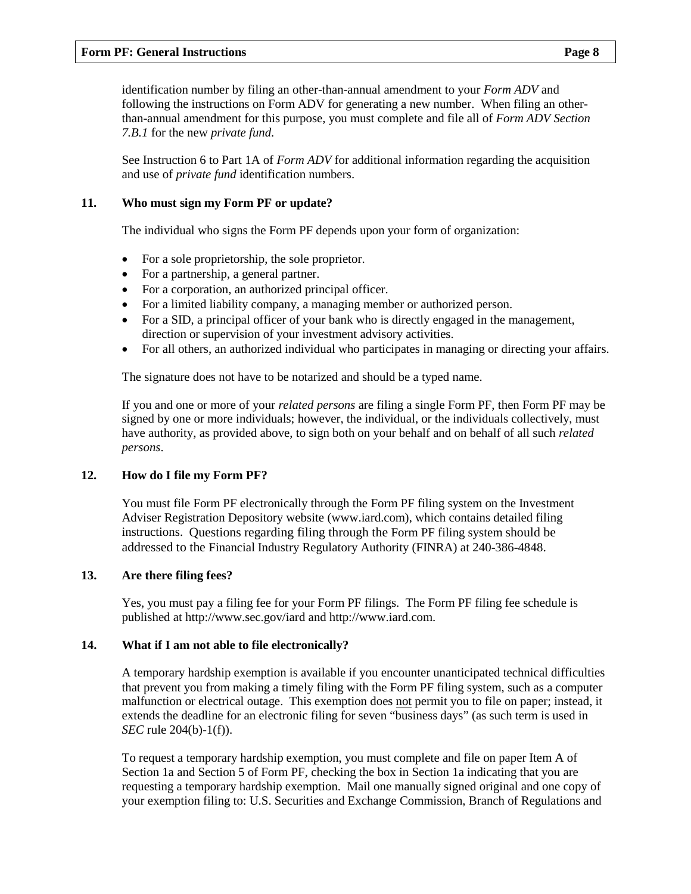#### **Form PF: General Instructions Page 8**

identification number by filing an other-than-annual amendment to your *Form ADV* and following the instructions on Form ADV for generating a new number. When filing an otherthan-annual amendment for this purpose, you must complete and file all of *Form ADV Section 7.B.1* for the new *private fund*.

See Instruction 6 to Part 1A of *Form ADV* for additional information regarding the acquisition and use of *private fund* identification numbers.

#### **11. Who must sign my Form PF or update?**

The individual who signs the Form PF depends upon your form of organization:

- For a sole proprietorship, the sole proprietor.
- For a partnership, a general partner.
- For a corporation, an authorized principal officer.
- For a limited liability company, a managing member or authorized person.
- For a SID, a principal officer of your bank who is directly engaged in the management, direction or supervision of your investment advisory activities.
- For all others, an authorized individual who participates in managing or directing your affairs.

The signature does not have to be notarized and should be a typed name.

If you and one or more of your *related persons* are filing a single Form PF, then Form PF may be signed by one or more individuals; however, the individual, or the individuals collectively, must have authority, as provided above, to sign both on your behalf and on behalf of all such *related persons*.

#### **12. How do I file my Form PF?**

You must file Form PF electronically through the Form PF filing system on the Investment Adviser Registration Depository website (www.iard.com), which contains detailed filing instructions. Questions regarding filing through the Form PF filing system should be addressed to the Financial Industry Regulatory Authority (FINRA) at 240-386-4848.

#### **13. Are there filing fees?**

Yes, you must pay a filing fee for your Form PF filings. The Form PF filing fee schedule is published at http://www.sec.gov/iard and http://www.iard.com.

#### **14. What if I am not able to file electronically?**

A temporary hardship exemption is available if you encounter unanticipated technical difficulties that prevent you from making a timely filing with the Form PF filing system, such as a computer malfunction or electrical outage. This exemption does not permit you to file on paper; instead, it extends the deadline for an electronic filing for seven "business days" (as such term is used in *SEC* rule 204(b)-1(f)).

To request a temporary hardship exemption, you must complete and file on paper Item A of Section 1a and Section 5 of Form PF, checking the box in Section 1a indicating that you are requesting a temporary hardship exemption. Mail one manually signed original and one copy of your exemption filing to: U.S. Securities and Exchange Commission, Branch of Regulations and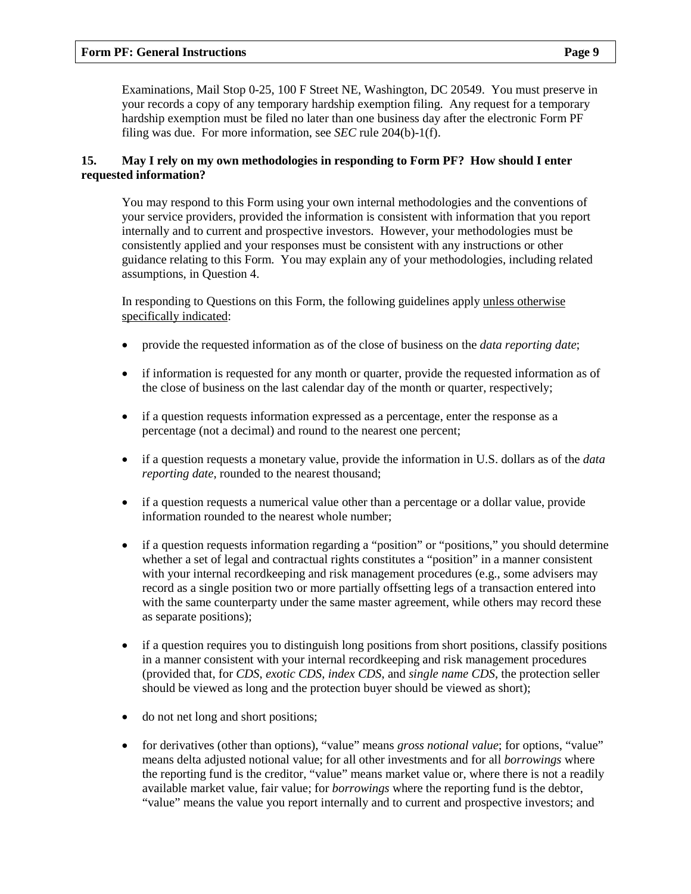Examinations, Mail Stop 0-25, 100 F Street NE, Washington, DC 20549. You must preserve in your records a copy of any temporary hardship exemption filing. Any request for a temporary hardship exemption must be filed no later than one business day after the electronic Form PF filing was due. For more information, see *SEC* rule 204(b)-1(f).

#### **15. May I rely on my own methodologies in responding to Form PF? How should I enter requested information?**

You may respond to this Form using your own internal methodologies and the conventions of your service providers, provided the information is consistent with information that you report internally and to current and prospective investors. However, your methodologies must be consistently applied and your responses must be consistent with any instructions or other guidance relating to this Form. You may explain any of your methodologies, including related assumptions, in Question [4.](#page-13-0)

In responding to Questions on this Form, the following guidelines apply unless otherwise specifically indicated:

- provide the requested information as of the close of business on the *data reporting date*;
- if information is requested for any month or quarter, provide the requested information as of the close of business on the last calendar day of the month or quarter, respectively;
- if a question requests information expressed as a percentage, enter the response as a percentage (not a decimal) and round to the nearest one percent;
- if a question requests a monetary value, provide the information in U.S. dollars as of the *data reporting date*, rounded to the nearest thousand;
- if a question requests a numerical value other than a percentage or a dollar value, provide information rounded to the nearest whole number;
- if a question requests information regarding a "position" or "positions," you should determine whether a set of legal and contractual rights constitutes a "position" in a manner consistent with your internal recordkeeping and risk management procedures (e.g., some advisers may record as a single position two or more partially offsetting legs of a transaction entered into with the same counterparty under the same master agreement, while others may record these as separate positions);
- if a question requires you to distinguish long positions from short positions, classify positions in a manner consistent with your internal recordkeeping and risk management procedures (provided that, for *CDS*, *exotic CDS*, *index CDS*, and *single name CDS*, the protection seller should be viewed as long and the protection buyer should be viewed as short);
- do not net long and short positions;
- for derivatives (other than options), "value" means *gross notional value*; for options, "value" means delta adjusted notional value; for all other investments and for all *borrowings* where the reporting fund is the creditor, "value" means market value or, where there is not a readily available market value, fair value; for *borrowings* where the reporting fund is the debtor, "value" means the value you report internally and to current and prospective investors; and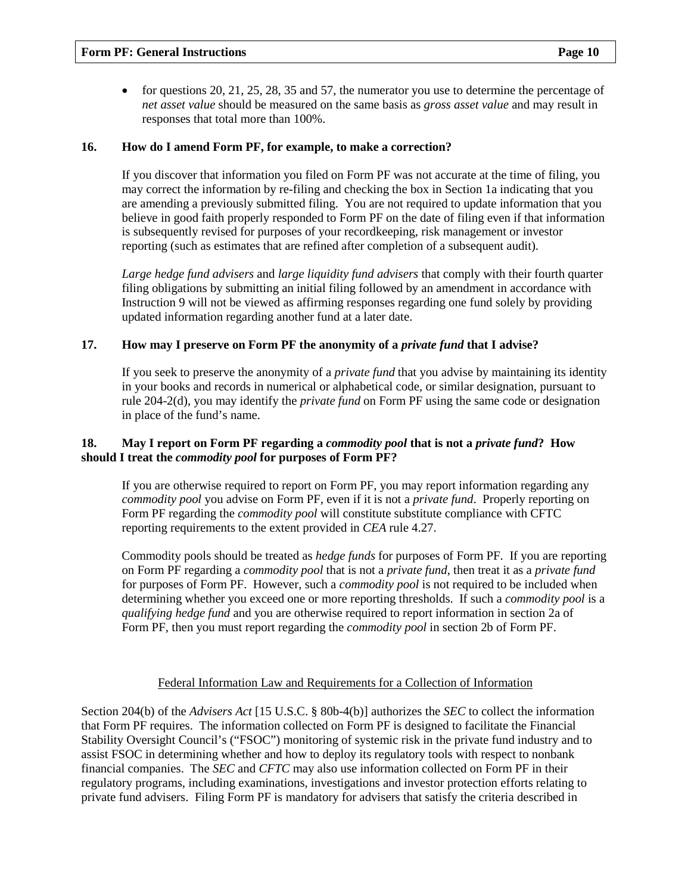• for questions 20, 21, 25, 28, 35 and 57, the numerator you use to determine the percentage of *net asset value* should be measured on the same basis as *gross asset value* and may result in responses that total more than 100%.

#### **16. How do I amend Form PF, for example, to make a correction?**

If you discover that information you filed on Form PF was not accurate at the time of filing, you may correct the information by re-filing and checking the box in Section 1a indicating that you are amending a previously submitted filing. You are not required to update information that you believe in good faith properly responded to Form PF on the date of filing even if that information is subsequently revised for purposes of your recordkeeping, risk management or investor reporting (such as estimates that are refined after completion of a subsequent audit).

*Large hedge fund advisers* and *large liquidity fund advisers* that comply with their fourth quarter filing obligations by submitting an initial filing followed by an amendment in accordance with Instruction 9 will not be viewed as affirming responses regarding one fund solely by providing updated information regarding another fund at a later date.

#### **17. How may I preserve on Form PF the anonymity of a** *private fund* **that I advise?**

If you seek to preserve the anonymity of a *private fund* that you advise by maintaining its identity in your books and records in numerical or alphabetical code, or similar designation, pursuant to rule 204-2(d), you may identify the *private fund* on Form PF using the same code or designation in place of the fund's name.

#### **18. May I report on Form PF regarding a** *commodity pool* **that is not a** *private fund***? How should I treat the** *commodity pool* **for purposes of Form PF?**

If you are otherwise required to report on Form PF, you may report information regarding any *commodity pool* you advise on Form PF, even if it is not a *private fund*. Properly reporting on Form PF regarding the *commodity pool* will constitute substitute compliance with CFTC reporting requirements to the extent provided in *CEA* rule 4.27.

Commodity pools should be treated as *hedge funds* for purposes of Form PF. If you are reporting on Form PF regarding a *commodity pool* that is not a *private fund*, then treat it as a *private fund* for purposes of Form PF. However, such a *commodity pool* is not required to be included when determining whether you exceed one or more reporting thresholds. If such a *commodity pool* is a *qualifying hedge fund* and you are otherwise required to report information in section 2a of Form PF, then you must report regarding the *commodity pool* in section 2b of Form PF.

#### Federal Information Law and Requirements for a Collection of Information

Section 204(b) of the *Advisers Act* [15 U.S.C. § 80b-4(b)] authorizes the *SEC* to collect the information that Form PF requires. The information collected on Form PF is designed to facilitate the Financial Stability Oversight Council's ("FSOC") monitoring of systemic risk in the private fund industry and to assist FSOC in determining whether and how to deploy its regulatory tools with respect to nonbank financial companies. The *SEC* and *CFTC* may also use information collected on Form PF in their regulatory programs, including examinations, investigations and investor protection efforts relating to private fund advisers. Filing Form PF is mandatory for advisers that satisfy the criteria described in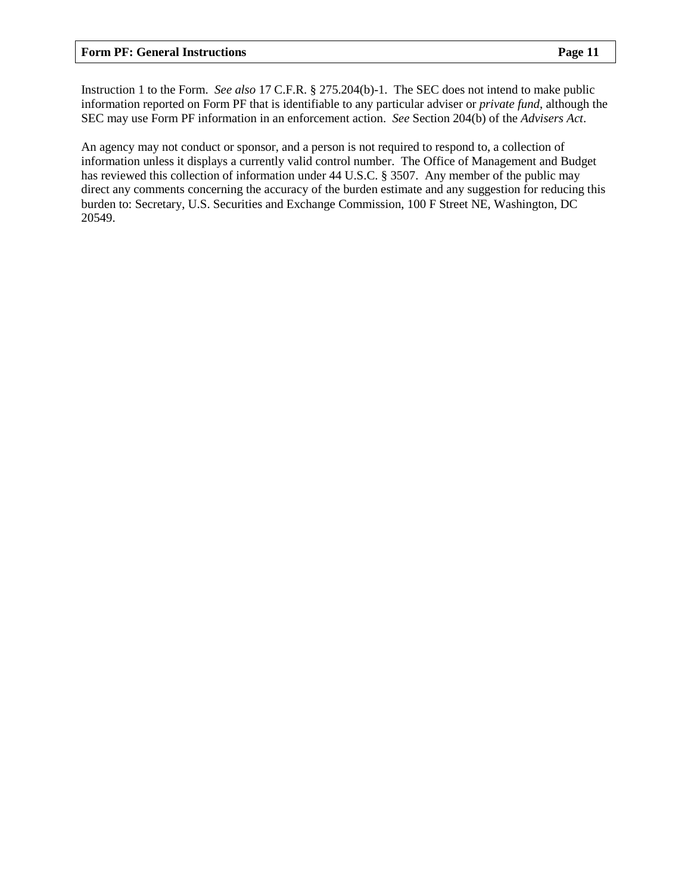Instruction 1 to the Form. *See also* 17 C.F.R. § 275.204(b)-1. The SEC does not intend to make public information reported on Form PF that is identifiable to any particular adviser or *private fund*, although the SEC may use Form PF information in an enforcement action. *See* Section 204(b) of the *Advisers Act*.

An agency may not conduct or sponsor, and a person is not required to respond to, a collection of information unless it displays a currently valid control number. The Office of Management and Budget has reviewed this collection of information under 44 U.S.C. § 3507. Any member of the public may direct any comments concerning the accuracy of the burden estimate and any suggestion for reducing this burden to: Secretary, U.S. Securities and Exchange Commission, 100 F Street NE, Washington, DC 20549.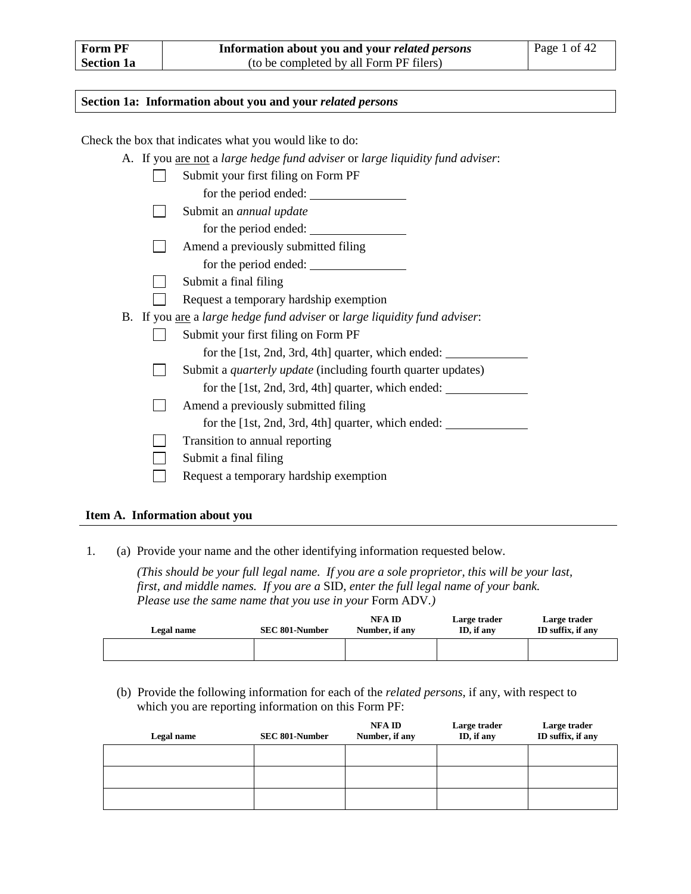#### **Section 1a: Information about you and your** *related persons*

Check the box that indicates what you would like to do:

A. If you are not a *large hedge fund adviser* or *large liquidity fund adviser*:

|  | Submit your first filing on Form PF                                              |
|--|----------------------------------------------------------------------------------|
|  | for the period ended:                                                            |
|  | Submit an <i>annual update</i>                                                   |
|  | for the period ended:                                                            |
|  | Amend a previously submitted filing                                              |
|  | for the period ended:                                                            |
|  | Submit a final filing                                                            |
|  | Request a temporary hardship exemption                                           |
|  | B. If you <u>are</u> a large hedge fund adviser or large liquidity fund adviser: |
|  | Submit your first filing on Form PF                                              |
|  | for the [1st, 2nd, 3rd, 4th] quarter, which ended:                               |
|  | Submit a <i>quarterly update</i> (including fourth quarter updates)              |
|  | for the [1st, 2nd, 3rd, 4th] quarter, which ended:                               |
|  | Amend a previously submitted filing                                              |
|  | for the [1st, 2nd, 3rd, 4th] quarter, which ended:                               |
|  | Transition to annual reporting                                                   |
|  | Submit a final filing                                                            |
|  | Request a temporary hardship exemption                                           |
|  |                                                                                  |

#### **Item A. Information about you**

<span id="page-11-0"></span>1. (a) Provide your name and the other identifying information requested below.

*(This should be your full legal name. If you are a sole proprietor, this will be your last, first, and middle names. If you are a* SID*, enter the full legal name of your bank. Please use the same name that you use in your Form ADV.)* 

| Legal name | <b>SEC 801-Number</b> | <b>NFA ID</b><br>Number, if any | Large trader<br>ID, if any | Large trader<br>ID suffix, if any |
|------------|-----------------------|---------------------------------|----------------------------|-----------------------------------|
|            |                       |                                 |                            |                                   |

(b) Provide the following information for each of the *related persons*, if any, with respect to which you are reporting information on this Form PF:

| Legal name | SEC 801-Number | NFA ID<br>Number, if any | Large trader<br>ID, if any | Large trader<br>ID suffix, if any |
|------------|----------------|--------------------------|----------------------------|-----------------------------------|
|            |                |                          |                            |                                   |
|            |                |                          |                            |                                   |
|            |                |                          |                            |                                   |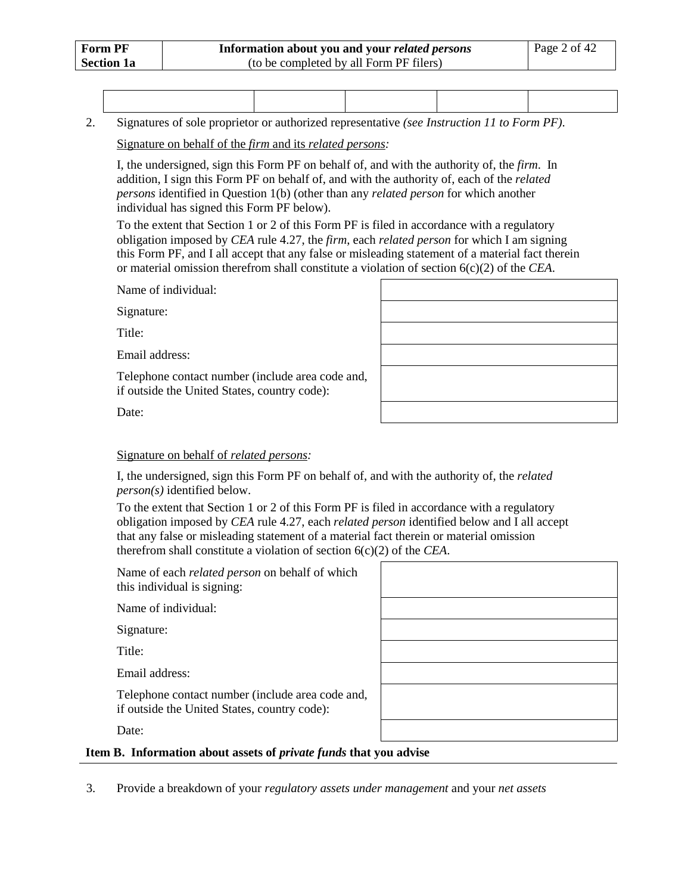2. Signatures of sole proprietor or authorized representative *(see Instruction 11 to Form PF)*.

Signature on behalf of the *firm* and its *related persons:*

I, the undersigned, sign this Form PF on behalf of, and with the authority of, the *firm*. In addition, I sign this Form PF on behalf of, and with the authority of, each of the *related persons* identified in Question [1\(](#page-11-0)b) (other than any *related person* for which another individual has signed this Form PF below).

To the extent that Section 1 or 2 of this Form PF is filed in accordance with a regulatory obligation imposed by *CEA* rule 4.27, the *firm*, each *related person* for which I am signing this Form PF, and I all accept that any false or misleading statement of a material fact therein or material omission therefrom shall constitute a violation of section 6(c)(2) of the *CEA*.

Name of individual:

Signature:

Title:

Email address:

Telephone contact number (include area code and, if outside the United States, country code):

| the control of the control of the control |  |  |
|-------------------------------------------|--|--|
|                                           |  |  |
|                                           |  |  |
|                                           |  |  |
|                                           |  |  |
|                                           |  |  |

Date:

#### Signature on behalf of *related persons:*

I, the undersigned, sign this Form PF on behalf of, and with the authority of, the *related person(s)* identified below.

To the extent that Section 1 or 2 of this Form PF is filed in accordance with a regulatory obligation imposed by *CEA* rule 4.27, each *related person* identified below and I all accept that any false or misleading statement of a material fact therein or material omission therefrom shall constitute a violation of section 6(c)(2) of the *CEA*.

Name of each *related person* on behalf of which this individual is signing:

Name of individual:

Signature:

Title:

Email address:

Telephone contact number (include area code and, if outside the United States, country code):

Date:

#### **Item B. Information about assets of** *private funds* **that you advise**

3. Provide a breakdown of your *regulatory assets under management* and your *net assets*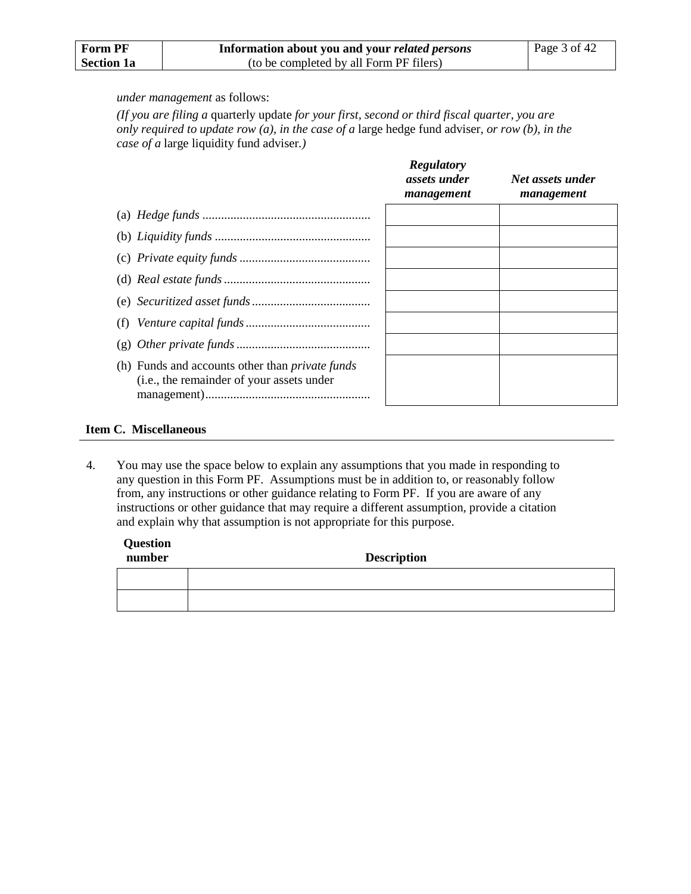| <b>Form PF</b>    | Information about you and your <i>related persons</i> | Page $3$ of $42$ |
|-------------------|-------------------------------------------------------|------------------|
| <b>Section 1a</b> | (to be completed by all Form PF filers)               |                  |

#### *under management* as follows:

*(If you are filing a* quarterly update *for your first, second or third fiscal quarter, you are only required to update row (a), in the case of a* large hedge fund adviser*, or row (b), in the case of a* large liquidity fund adviser*.)*

|                                                                                                     | <b>Regulatory</b><br>assets under<br>management | Net assets under<br>management |  |
|-----------------------------------------------------------------------------------------------------|-------------------------------------------------|--------------------------------|--|
|                                                                                                     |                                                 |                                |  |
|                                                                                                     |                                                 |                                |  |
|                                                                                                     |                                                 |                                |  |
|                                                                                                     |                                                 |                                |  |
|                                                                                                     |                                                 |                                |  |
|                                                                                                     |                                                 |                                |  |
|                                                                                                     |                                                 |                                |  |
| (h) Funds and accounts other than <i>private funds</i><br>(i.e., the remainder of your assets under |                                                 |                                |  |

#### **Item C. Miscellaneous**

<span id="page-13-0"></span>4. You may use the space below to explain any assumptions that you made in responding to any question in this Form PF. Assumptions must be in addition to, or reasonably follow from, any instructions or other guidance relating to Form PF. If you are aware of any instructions or other guidance that may require a different assumption, provide a citation and explain why that assumption is not appropriate for this purpose.

| Question<br>number | <b>Description</b> |
|--------------------|--------------------|
|                    |                    |
|                    |                    |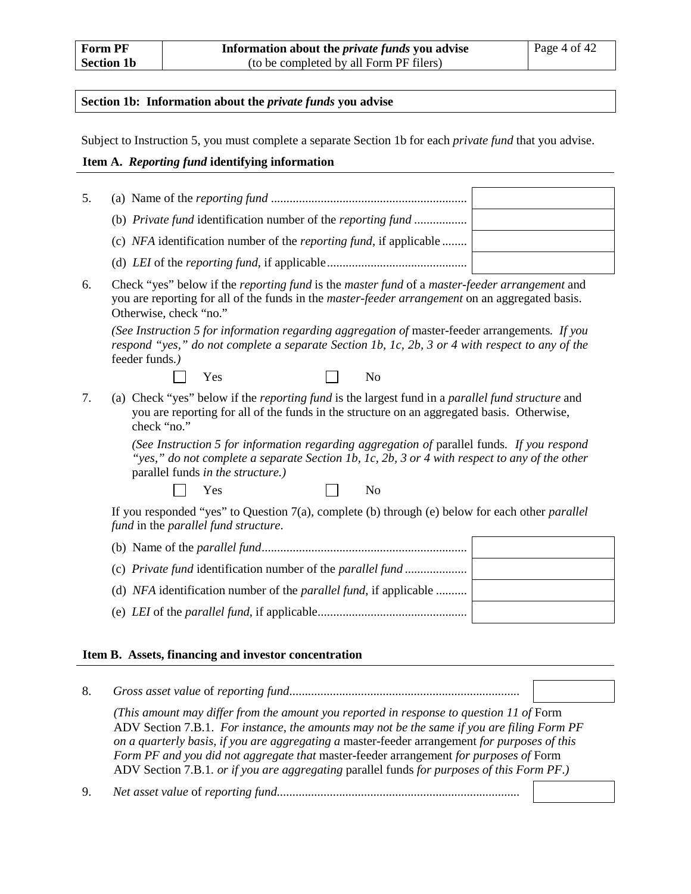#### **Section 1b: Information about the** *private funds* **you advise**

Subject to Instruction 5, you must complete a separate Section 1b for each *private fund* that you advise.

#### **Item A.** *Reporting fund* **identifying information**

| 5. |                                                                            |  |
|----|----------------------------------------------------------------------------|--|
|    | (b) Private fund identification number of the reporting fund               |  |
|    | (c) NFA identification number of the <i>reporting fund</i> , if applicable |  |
|    |                                                                            |  |

6. Check "yes" below if the *reporting fund* is the *master fund* of a *master-feeder arrangement* and you are reporting for all of the funds in the *master-feeder arrangement* on an aggregated basis. Otherwise, check "no."

*(See Instruction 5 for information regarding aggregation of* master-feeder arrangements*. If you respond "yes," do not complete a separate Section 1b, 1c, 2b, 3 or 4 with respect to any of the*  feeder funds*.)*



<span id="page-14-0"></span>7. (a) Check "yes" below if the *reporting fund* is the largest fund in a *parallel fund structure* and you are reporting for all of the funds in the structure on an aggregated basis. Otherwise, check "no."

> *(See Instruction 5 for information regarding aggregation of* parallel funds*. If you respond "yes," do not complete a separate Section 1b, 1c, 2b, 3 or 4 with respect to any of the other*  parallel funds *in the structure.)*

 $\Box$ Yes No

If you responded "yes" to Question [7\(](#page-14-0)a), complete (b) through (e) below for each other *parallel fund* in the *parallel fund structure*.

| (d) NFA identification number of the <i>parallel fund</i> , if applicable |  |
|---------------------------------------------------------------------------|--|
|                                                                           |  |

#### **Item B. Assets, financing and investor concentration**

<span id="page-14-1"></span>8. *Gross asset value* of *reporting fund.......................................................................... (This amount may differ from the amount you reported in response to question 11 of* Form ADV Section 7.B.1. *For instance, the amounts may not be the same if you are filing Form PF on a quarterly basis, if you are aggregating a* master-feeder arrangement *for purposes of this Form PF and you did not aggregate that* master-feeder arrangement *for purposes of* Form ADV Section 7.B.1*. or if you are aggregating* parallel funds *for purposes of this Form PF*.*)* 9. *Net asset value* of *reporting fund..............................................................................*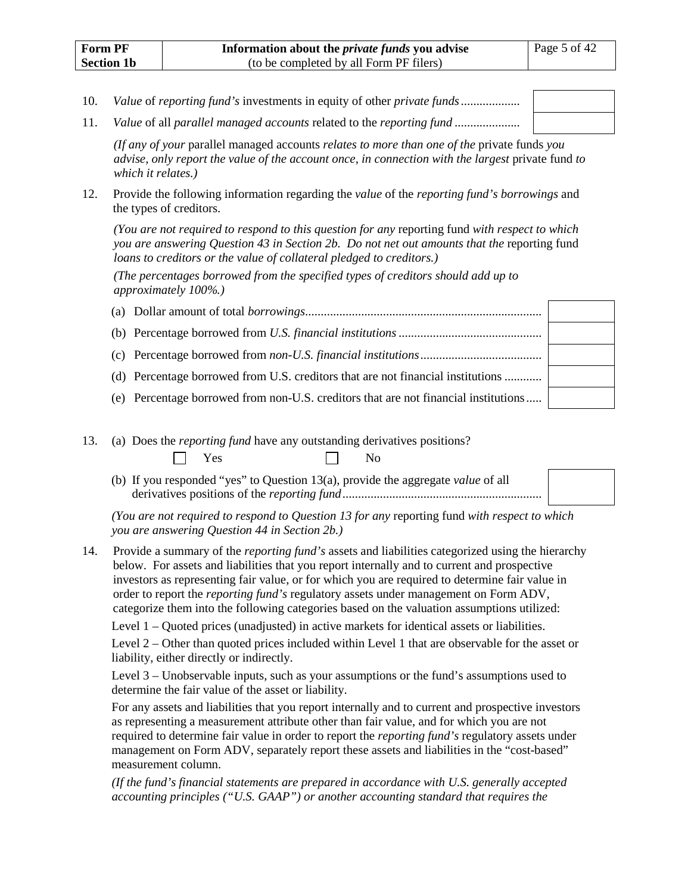<span id="page-15-1"></span><span id="page-15-0"></span>10. *Value* of *reporting fund's* investments in equity of other *private funds*................... 11. *Value* of all *parallel managed accounts* related to the *reporting fund* .....................

*(If any of your* parallel managed accounts *relates to more than one of the* private funds *you advise, only report the value of the account once, in connection with the largest* private fund *to which it relates.)*

<span id="page-15-3"></span>12. Provide the following information regarding the *value* of the *reporting fund's borrowings* and the types of creditors.

*(You are not required to respond to this question for any* reporting fund *with respect to which you are answering Question [43](#page-36-0) in Section 2b. Do not net out amounts that the* reporting fund *loans to creditors or the value of collateral pledged to creditors.)*

*(The percentages borrowed from the specified types of creditors should add up to approximately 100%.)*

| (d) Percentage borrowed from U.S. creditors that are not financial institutions     |  |
|-------------------------------------------------------------------------------------|--|
| (e) Percentage borrowed from non-U.S. creditors that are not financial institutions |  |

<span id="page-15-2"></span>13. (a) Does the *reporting fund* have any outstanding derivatives positions?

Yes No

(b) If you responded "yes" to Question [13\(](#page-15-2)a), provide the aggregate *value* of all derivatives positions of the *reporting fund*................................................................

*(You are not required to respond to Questio[n 13](#page-15-2) for any* reporting fund *with respect to which you are answering Question [44](#page-38-0) in Section 2b.)*

14. Provide a summary of the *reporting fund's* assets and liabilities categorized using the hierarchy below. For assets and liabilities that you report internally and to current and prospective investors as representing fair value, or for which you are required to determine fair value in order to report the *reporting fund's* regulatory assets under management on Form ADV, categorize them into the following categories based on the valuation assumptions utilized:

Level 1 – Quoted prices (unadjusted) in active markets for identical assets or liabilities.

Level 2 – Other than quoted prices included within Level 1 that are observable for the asset or liability, either directly or indirectly.

Level 3 – Unobservable inputs, such as your assumptions or the fund's assumptions used to determine the fair value of the asset or liability.

For any assets and liabilities that you report internally and to current and prospective investors as representing a measurement attribute other than fair value, and for which you are not required to determine fair value in order to report the *reporting fund's* regulatory assets under management on Form ADV, separately report these assets and liabilities in the "cost-based" measurement column.

*(If the fund's financial statements are prepared in accordance with U.S. generally accepted accounting principles ("U.S. GAAP") or another accounting standard that requires the*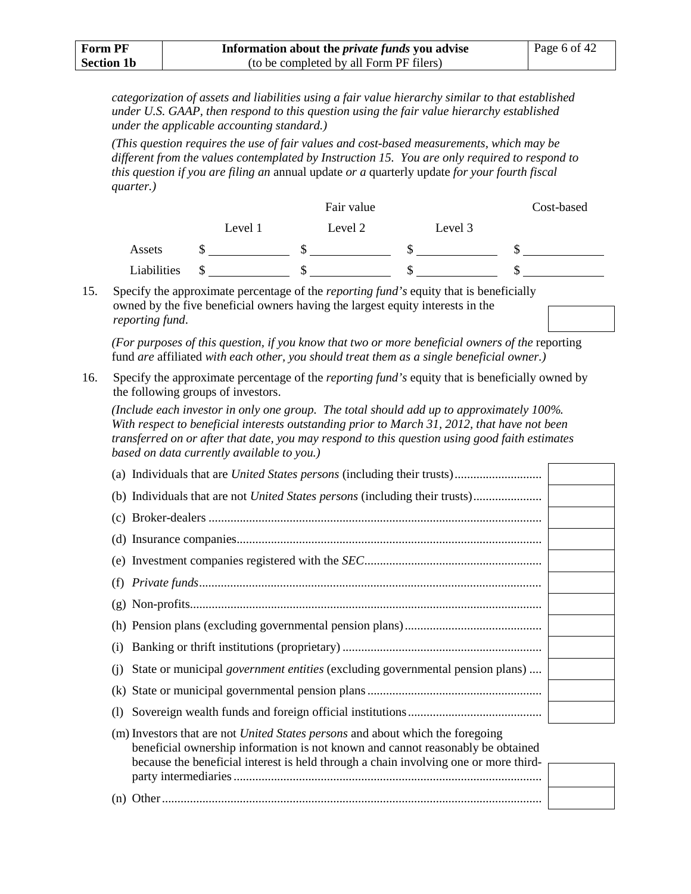| Form PF           | Information about the <i>private funds</i> you advise | Page 6 of $42$ |
|-------------------|-------------------------------------------------------|----------------|
| <b>Section 1b</b> | (to be completed by all Form PF filers)               |                |

*categorization of assets and liabilities using a fair value hierarchy similar to that established under U.S. GAAP, then respond to this question using the fair value hierarchy established under the applicable accounting standard.)*

*(This question requires the use of fair values and cost-based measurements, which may be different from the values contemplated by Instruction 15. You are only required to respond to this question if you are filing an* annual update *or a* quarterly update *for your fourth fiscal quarter.)*

|             |         | Fair value |         | Cost-based |
|-------------|---------|------------|---------|------------|
|             | Level 1 | Level 2    | Level 3 |            |
| Assets      |         |            |         |            |
| Liabilities |         |            |         |            |

15. Specify the approximate percentage of the *reporting fund's* equity that is beneficially owned by the five beneficial owners having the largest equity interests in the *reporting fund*.

*(For purposes of this question, if you know that two or more beneficial owners of the* reporting fund *are* affiliated *with each other, you should treat them as a single beneficial owner.)*

16. Specify the approximate percentage of the *reporting fund's* equity that is beneficially owned by the following groups of investors.

*(Include each investor in only one group. The total should add up to approximately 100%. With respect to beneficial interests outstanding prior to March 31, 2012, that have not been transferred on or after that date, you may respond to this question using good faith estimates based on data currently available to you.)*

| (j) State or municipal <i>government entities</i> (excluding governmental pension plans)                                                                                                                           |  |
|--------------------------------------------------------------------------------------------------------------------------------------------------------------------------------------------------------------------|--|
|                                                                                                                                                                                                                    |  |
|                                                                                                                                                                                                                    |  |
| (m) Investors that are not <i>United States persons</i> and about which the foregoing<br>$\mathbf{r}$ , and the state $\mathbf{r}$ and the state of the state $\mathbf{r}$ and the state of the state $\mathbf{r}$ |  |

| beneficial ownership information is not known and cannot reasonably be obtained      |  |
|--------------------------------------------------------------------------------------|--|
| because the beneficial interest is held through a chain involving one or more third- |  |
|                                                                                      |  |
|                                                                                      |  |
|                                                                                      |  |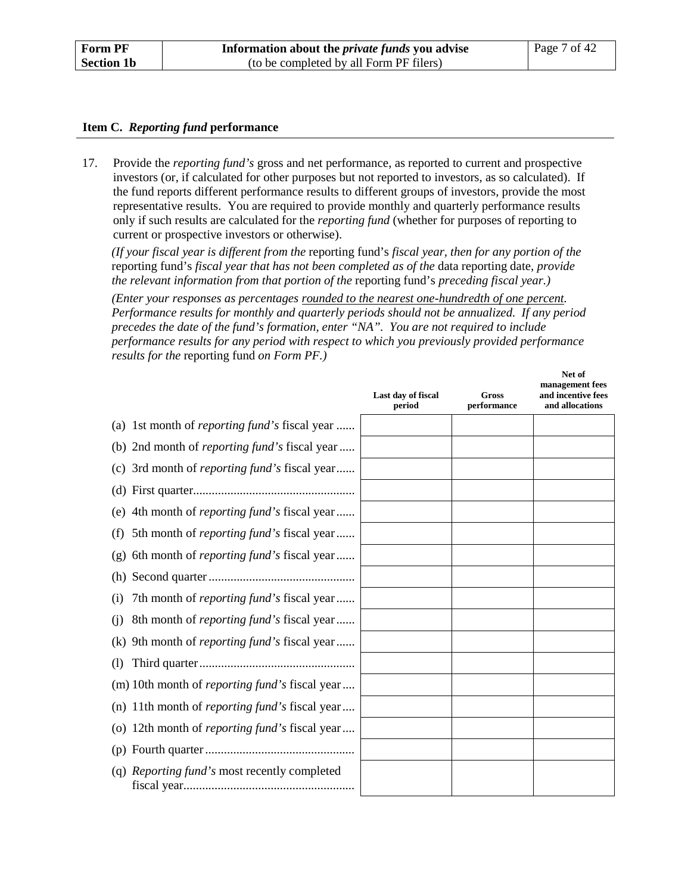#### **Item C.** *Reporting fund* **performance**

<span id="page-17-0"></span>17. Provide the *reporting fund's* gross and net performance, as reported to current and prospective investors (or, if calculated for other purposes but not reported to investors, as so calculated). If the fund reports different performance results to different groups of investors, provide the most representative results. You are required to provide monthly and quarterly performance results only if such results are calculated for the *reporting fund* (whether for purposes of reporting to current or prospective investors or otherwise).

*(If your fiscal year is different from the* reporting fund's *fiscal year, then for any portion of the*  reporting fund's *fiscal year that has not been completed as of the* data reporting date*, provide the relevant information from that portion of the* reporting fund's *preceding fiscal year.)*

*(Enter your responses as percentages rounded to the nearest one-hundredth of one percent. Performance results for monthly and quarterly periods should not be annualized. If any period precedes the date of the fund's formation, enter "NA". You are not required to include performance results for any period with respect to which you previously provided performance results for the* reporting fund *on Form PF.)*

|                                                          | Last day of fiscal<br>period | Gross<br>performance | Net of<br>management fees<br>and incentive fees<br>and allocations |
|----------------------------------------------------------|------------------------------|----------------------|--------------------------------------------------------------------|
| (a) 1st month of <i>reporting fund</i> 's fiscal year    |                              |                      |                                                                    |
| (b) 2nd month of <i>reporting fund</i> 's fiscal year    |                              |                      |                                                                    |
| (c) 3rd month of <i>reporting fund</i> 's fiscal year    |                              |                      |                                                                    |
|                                                          |                              |                      |                                                                    |
| 4th month of <i>reporting fund's</i> fiscal year<br>(e)  |                              |                      |                                                                    |
| 5th month of <i>reporting fund's</i> fiscal year<br>(f)  |                              |                      |                                                                    |
| 6th month of <i>reporting fund's</i> fiscal year<br>(g)  |                              |                      |                                                                    |
| (h)                                                      |                              |                      |                                                                    |
| 7th month of <i>reporting fund</i> 's fiscal year<br>(i) |                              |                      |                                                                    |
| 8th month of <i>reporting fund's</i> fiscal year<br>(i)  |                              |                      |                                                                    |
| 9th month of <i>reporting fund</i> 's fiscal year<br>(k) |                              |                      |                                                                    |
| $\left( \frac{1}{2} \right)$                             |                              |                      |                                                                    |
| (m) 10th month of <i>reporting fund</i> 's fiscal year   |                              |                      |                                                                    |
| (n) 11th month of <i>reporting fund's</i> fiscal year    |                              |                      |                                                                    |
| (o) 12th month of <i>reporting fund</i> 's fiscal year   |                              |                      |                                                                    |
|                                                          |                              |                      |                                                                    |
| (q) <i>Reporting fund's</i> most recently completed      |                              |                      |                                                                    |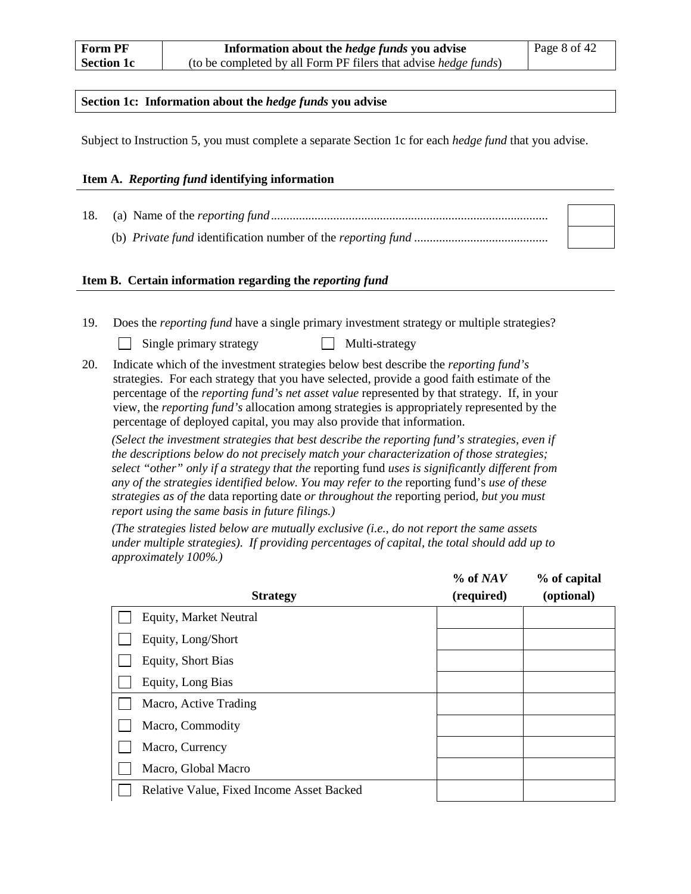#### **Section 1c: Information about the** *hedge funds* **you advise**

Subject to Instruction 5, you must complete a separate Section 1c for each *hedge fund* that you advise.

#### **Item A.** *Reporting fund* **identifying information**

18. (a) Name of the *reporting fund*......................................................................................... (b) *Private fund* identification number of the *reporting fund* ...........................................

#### **Item B. Certain information regarding the** *reporting fund*

19. Does the *reporting fund* have a single primary investment strategy or multiple strategies?

| Single primary strategy | $\Box$ Multi-strategy |
|-------------------------|-----------------------|
|-------------------------|-----------------------|

20. Indicate which of the investment strategies below best describe the *reporting fund's* strategies. For each strategy that you have selected, provide a good faith estimate of the percentage of the *reporting fund's net asset value* represented by that strategy. If, in your view, the *reporting fund's* allocation among strategies is appropriately represented by the percentage of deployed capital, you may also provide that information.

*(Select the investment strategies that best describe the reporting fund's strategies, even if the descriptions below do not precisely match your characterization of those strategies; select "other" only if a strategy that the* reporting fund *uses is significantly different from any of the strategies identified below. You may refer to the* reporting fund's *use of these strategies as of the* data reporting date *or throughout the* reporting period*, but you must report using the same basis in future filings.)*

*(The strategies listed below are mutually exclusive (i.e., do not report the same assets under multiple strategies). If providing percentages of capital, the total should add up to approximately 100%.)*

| <b>Strategy</b>                           | % of NAV<br>(required) | % of capital<br>(optional) |
|-------------------------------------------|------------------------|----------------------------|
| <b>Equity, Market Neutral</b>             |                        |                            |
| Equity, Long/Short                        |                        |                            |
| <b>Equity, Short Bias</b>                 |                        |                            |
| Equity, Long Bias                         |                        |                            |
| Macro, Active Trading                     |                        |                            |
| Macro, Commodity                          |                        |                            |
| Macro, Currency                           |                        |                            |
| Macro, Global Macro                       |                        |                            |
| Relative Value, Fixed Income Asset Backed |                        |                            |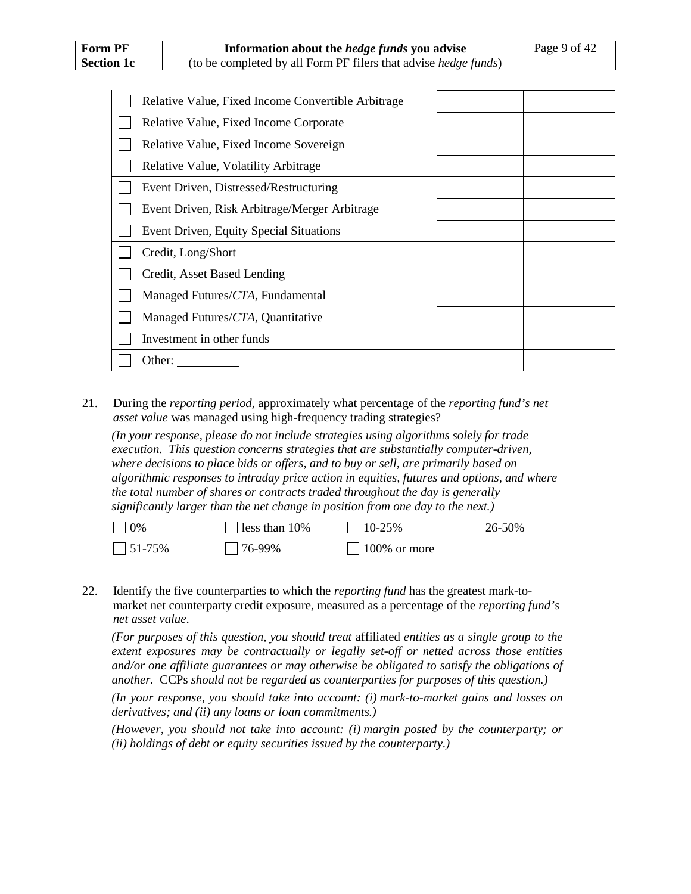| Relative Value, Fixed Income Convertible Arbitrage |  |
|----------------------------------------------------|--|
| Relative Value, Fixed Income Corporate             |  |
| Relative Value, Fixed Income Sovereign             |  |
| Relative Value, Volatility Arbitrage               |  |
| Event Driven, Distressed/Restructuring             |  |
| Event Driven, Risk Arbitrage/Merger Arbitrage      |  |
| Event Driven, Equity Special Situations            |  |
| Credit, Long/Short                                 |  |
| Credit, Asset Based Lending                        |  |
| Managed Futures/CTA, Fundamental                   |  |
| Managed Futures/CTA, Quantitative                  |  |
| Investment in other funds                          |  |
| Other:                                             |  |

21. During the *reporting period*, approximately what percentage of the *reporting fund's net asset value* was managed using high-frequency trading strategies?

*(In your response, please do not include strategies using algorithms solely for trade execution. This question concerns strategies that are substantially computer-driven, where decisions to place bids or offers, and to buy or sell, are primarily based on algorithmic responses to intraday price action in equities, futures and options, and where the total number of shares or contracts traded throughout the day is generally significantly larger than the net change in position from one day to the next.)* 

| $\Box$ 0%        | $\Box$ less than 10% | $10-25%$        | $\Box$ 26-50% |
|------------------|----------------------|-----------------|---------------|
| $\bigcap$ 51-75% | $1176-99\%$          | $100\%$ or more |               |

<span id="page-19-0"></span>22. Identify the five counterparties to which the *reporting fund* has the greatest mark-tomarket net counterparty credit exposure, measured as a percentage of the *reporting fund's net asset value*.

*(For purposes of this question, you should treat* affiliated *entities as a single group to the extent exposures may be contractually or legally set-off or netted across those entities and/or one affiliate guarantees or may otherwise be obligated to satisfy the obligations of another.* CCPs *should not be regarded as counterparties for purposes of this question.)*

*(In your response, you should take into account: (i) mark-to-market gains and losses on derivatives; and (ii) any loans or loan commitments.)* 

*(However, you should not take into account: (i) margin posted by the counterparty; or (ii) holdings of debt or equity securities issued by the counterparty.)*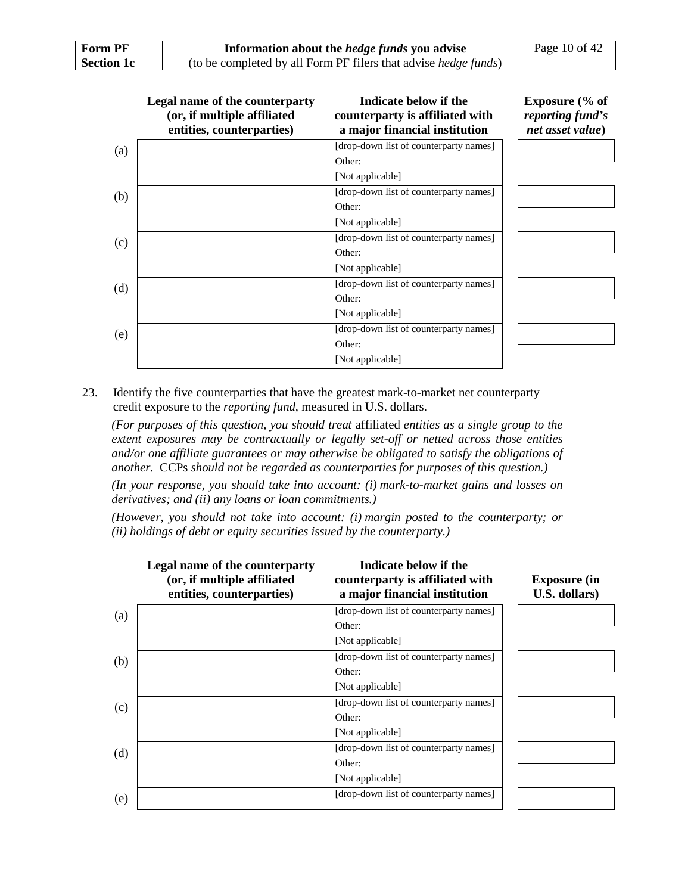| <b>Form PF</b>    | Information about the <i>hedge funds</i> you advise                     | Page 10 of $42$ |
|-------------------|-------------------------------------------------------------------------|-----------------|
| <b>Section 1c</b> | (to be completed by all Form PF filers that advise <i>hedge funds</i> ) |                 |

|     | Legal name of the counterparty<br>(or, if multiple affiliated<br>entities, counterparties) | Indicate below if the<br>counterparty is affiliated with<br>a major financial institution | Exposure $\frac{6}{6}$ of<br>reporting fund's<br>net asset value) |
|-----|--------------------------------------------------------------------------------------------|-------------------------------------------------------------------------------------------|-------------------------------------------------------------------|
| (a) |                                                                                            | [drop-down list of counterparty names]                                                    |                                                                   |
|     |                                                                                            | Other: $\qquad \qquad$                                                                    |                                                                   |
|     |                                                                                            | [Not applicable]                                                                          |                                                                   |
| (b) |                                                                                            | [drop-down list of counterparty names]                                                    |                                                                   |
|     |                                                                                            | Other:                                                                                    |                                                                   |
|     |                                                                                            | [Not applicable]                                                                          |                                                                   |
| (c) |                                                                                            | [drop-down list of counterparty names]                                                    |                                                                   |
|     |                                                                                            | Other:                                                                                    |                                                                   |
|     |                                                                                            | [Not applicable]                                                                          |                                                                   |
| (d) |                                                                                            | [drop-down list of counterparty names]                                                    |                                                                   |
|     |                                                                                            | Other: $\qquad \qquad$                                                                    |                                                                   |
|     |                                                                                            | [Not applicable]                                                                          |                                                                   |
| (e) |                                                                                            | [drop-down list of counterparty names]                                                    |                                                                   |
|     |                                                                                            | Other:                                                                                    |                                                                   |
|     |                                                                                            | [Not applicable]                                                                          |                                                                   |

<span id="page-20-0"></span>23. Identify the five counterparties that have the greatest mark-to-market net counterparty credit exposure to the *reporting fund*, measured in U.S. dollars.

*(For purposes of this question, you should treat* affiliated *entities as a single group to the extent exposures may be contractually or legally set-off or netted across those entities and/or one affiliate guarantees or may otherwise be obligated to satisfy the obligations of another.* CCPs *should not be regarded as counterparties for purposes of this question.)*

*(In your response, you should take into account: (i) mark-to-market gains and losses on derivatives; and (ii) any loans or loan commitments.)* 

*(However, you should not take into account: (i) margin posted to the counterparty; or (ii) holdings of debt or equity securities issued by the counterparty.)*

|     | Legal name of the counterparty<br>(or, if multiple affiliated<br>entities, counterparties) | Indicate below if the<br>counterparty is affiliated with<br>a major financial institution | <b>Exposure (in</b><br>U.S. dollars) |
|-----|--------------------------------------------------------------------------------------------|-------------------------------------------------------------------------------------------|--------------------------------------|
| (a) |                                                                                            | [drop-down list of counterparty names]                                                    |                                      |
|     |                                                                                            | Other: $\_\_$                                                                             |                                      |
|     |                                                                                            | [Not applicable]                                                                          |                                      |
| (b) |                                                                                            | [drop-down list of counterparty names]                                                    |                                      |
|     |                                                                                            | Other: $\qquad \qquad$                                                                    |                                      |
|     |                                                                                            | [Not applicable]                                                                          |                                      |
| (c) |                                                                                            | [drop-down list of counterparty names]                                                    |                                      |
|     |                                                                                            | Other:                                                                                    |                                      |
|     |                                                                                            | [Not applicable]                                                                          |                                      |
| (d) |                                                                                            | [drop-down list of counterparty names]                                                    |                                      |
|     |                                                                                            | Other:                                                                                    |                                      |
|     |                                                                                            | [Not applicable]                                                                          |                                      |
| (e) |                                                                                            | [drop-down list of counterparty names]                                                    |                                      |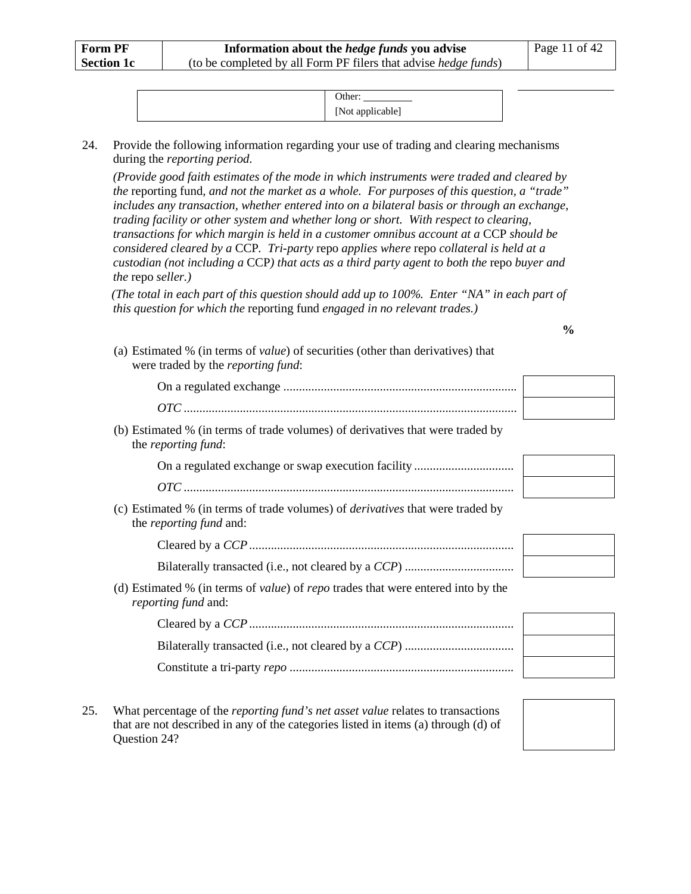| [Not applicable] |
|------------------|

<span id="page-21-0"></span>24. Provide the following information regarding your use of trading and clearing mechanisms during the *reporting period*.

*(Provide good faith estimates of the mode in which instruments were traded and cleared by the* reporting fund*, and not the market as a whole. For purposes of this question, a "trade" includes any transaction, whether entered into on a bilateral basis or through an exchange, trading facility or other system and whether long or short. With respect to clearing, transactions for which margin is held in a customer omnibus account at a CCP should be considered cleared by a* CCP*. Tri-party* repo *applies where* repo *collateral is held at a custodian (not including a* CCP*) that acts as a third party agent to both the* repo *buyer and the* repo *seller.)*

*(The total in each part of this question should add up to 100%. Enter "NA" in each part of this question for which the* reporting fund *engaged in no relevant trades.)*

**%**

| (a) Estimated % (in terms of <i>value</i> ) of securities (other than derivatives) that<br>were traded by the <i>reporting fund</i> : |  |
|---------------------------------------------------------------------------------------------------------------------------------------|--|
|                                                                                                                                       |  |
|                                                                                                                                       |  |
| (b) Estimated % (in terms of trade volumes) of derivatives that were traded by<br>the <i>reporting fund</i> :                         |  |
|                                                                                                                                       |  |
|                                                                                                                                       |  |
| (c) Estimated % (in terms of trade volumes) of <i>derivatives</i> that were traded by<br>the <i>reporting fund</i> and:               |  |
|                                                                                                                                       |  |
|                                                                                                                                       |  |
| (d) Estimated % (in terms of <i>value</i> ) of <i>repo</i> trades that were entered into by the<br><i>reporting fund and:</i>         |  |
|                                                                                                                                       |  |
|                                                                                                                                       |  |
|                                                                                                                                       |  |
|                                                                                                                                       |  |

25. What percentage of the *reporting fund's net asset value* relates to transactions that are not described in any of the categories listed in items (a) through (d) of Question [24?](#page-21-0)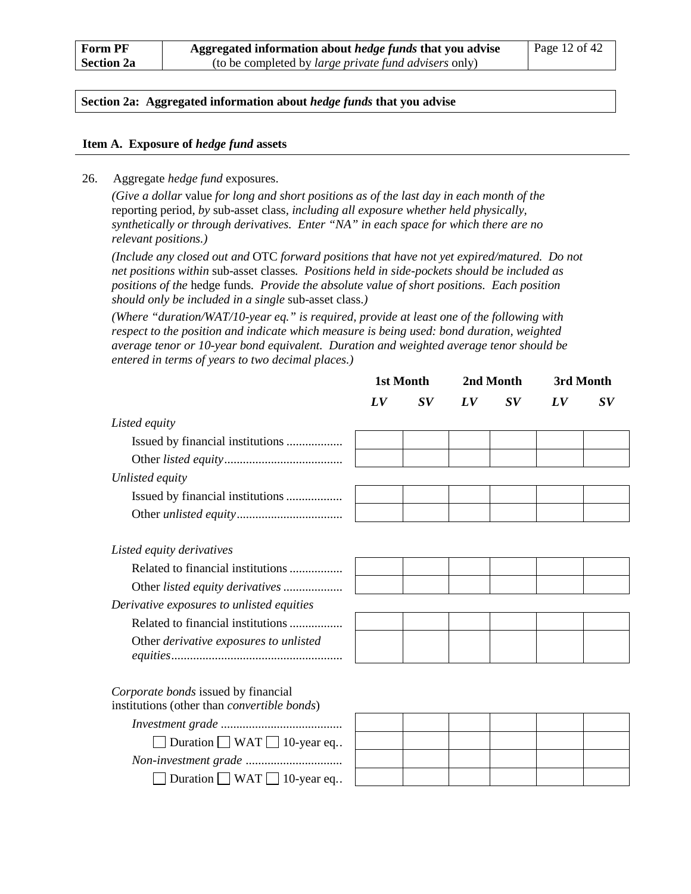#### **Section 2a: Aggregated information about** *hedge funds* **that you advise**

#### **Item A. Exposure of** *hedge fund* **assets**

<span id="page-22-0"></span>26. Aggregate *hedge fund* exposures.

*(Give a dollar* value *for long and short positions as of the last day in each month of the*  reporting period*, by* sub-asset class*, including all exposure whether held physically, synthetically or through derivatives. Enter "NA" in each space for which there are no relevant positions.)*

*(Include any closed out and* OTC *forward positions that have not yet expired/matured. Do not net positions within* sub-asset classes*. Positions held in side-pockets should be included as positions of the* hedge funds*. Provide the absolute value of short positions. Each position should only be included in a single* sub-asset class.*)*

*(Where "duration/WAT/10-year eq." is required, provide at least one of the following with respect to the position and indicate which measure is being used: bond duration, weighted average tenor or 10-year bond equivalent. Duration and weighted average tenor should be entered in terms of years to two decimal places.)*

|                                                                                            | 1st Month       |                | 2nd Month |                                | 3rd Month |                                |
|--------------------------------------------------------------------------------------------|-----------------|----------------|-----------|--------------------------------|-----------|--------------------------------|
|                                                                                            | $\bm{L} \bm{V}$ | $\bm{S}\bm{V}$ | LV        | $\boldsymbol{S}\boldsymbol{V}$ | LV        | $\boldsymbol{S}\boldsymbol{V}$ |
| Listed equity                                                                              |                 |                |           |                                |           |                                |
|                                                                                            |                 |                |           |                                |           |                                |
|                                                                                            |                 |                |           |                                |           |                                |
| Unlisted equity                                                                            |                 |                |           |                                |           |                                |
| Issued by financial institutions                                                           |                 |                |           |                                |           |                                |
|                                                                                            |                 |                |           |                                |           |                                |
| Listed equity derivatives                                                                  |                 |                |           |                                |           |                                |
| Related to financial institutions                                                          |                 |                |           |                                |           |                                |
|                                                                                            |                 |                |           |                                |           |                                |
| Derivative exposures to unlisted equities                                                  |                 |                |           |                                |           |                                |
| Related to financial institutions                                                          |                 |                |           |                                |           |                                |
| Other derivative exposures to unlisted                                                     |                 |                |           |                                |           |                                |
|                                                                                            |                 |                |           |                                |           |                                |
| Corporate bonds issued by financial<br>institutions (other than <i>convertible bonds</i> ) |                 |                |           |                                |           |                                |
|                                                                                            |                 |                |           |                                |           |                                |
| Duration $\Box$ WAT $\Box$ 10-year eq                                                      |                 |                |           |                                |           |                                |
|                                                                                            |                 |                |           |                                |           |                                |
| Duration $\Box$ WAT $\Box$ 10-year eq                                                      |                 |                |           |                                |           |                                |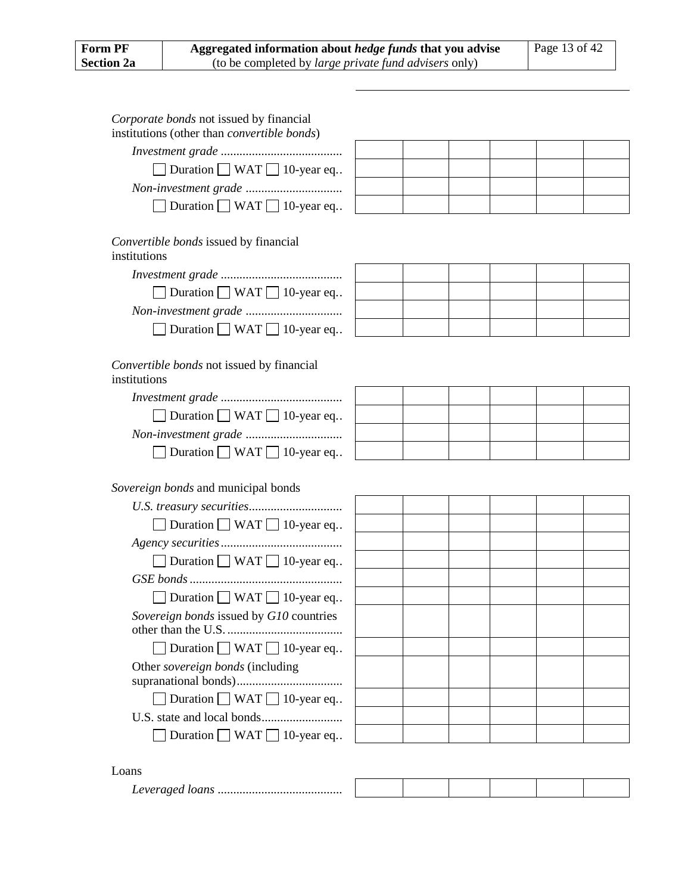| Corporate bonds not issued by financial<br>institutions (other than <i>convertible bonds</i> ) |  |  |  |
|------------------------------------------------------------------------------------------------|--|--|--|
|                                                                                                |  |  |  |
| Duration ■ WAT ■ 10-year eq                                                                    |  |  |  |
|                                                                                                |  |  |  |
| Duration $\Box$ WAT $\Box$ 10-year eq                                                          |  |  |  |
| Convertible bonds issued by financial<br>institutions                                          |  |  |  |
|                                                                                                |  |  |  |
| $\Box$ Duration $\Box$ WAT $\Box$ 10-year eq                                                   |  |  |  |
|                                                                                                |  |  |  |
| Duration $\Box$ WAT $\Box$ 10-year eq                                                          |  |  |  |
| Convertible bonds not issued by financial<br>institutions                                      |  |  |  |
|                                                                                                |  |  |  |
| $\Box$ Duration $\Box$ WAT $\Box$ 10-year eq                                                   |  |  |  |
|                                                                                                |  |  |  |
| Duration $\Box$ WAT $\Box$ 10-year eq                                                          |  |  |  |
| Sovereign bonds and municipal bonds                                                            |  |  |  |
|                                                                                                |  |  |  |
| $\Box$ Duration $\Box$ WAT $\Box$ 10-year eq                                                   |  |  |  |
|                                                                                                |  |  |  |
|                                                                                                |  |  |  |
| Duration $\Box$ WAT $\Box$ 10-year eq                                                          |  |  |  |
|                                                                                                |  |  |  |
| $\Box$ Duration $\Box$ WAT $\Box$ 10-year eq                                                   |  |  |  |
| Sovereign bonds issued by G10 countries                                                        |  |  |  |
| Duration $\Box$ WAT $\Box$ 10-year eq                                                          |  |  |  |
| Other sovereign bonds (including                                                               |  |  |  |
| Duration $\Box$ WAT $\Box$ 10-year eq                                                          |  |  |  |
|                                                                                                |  |  |  |
| Duration $\Box$ WAT $\Box$ 10-year eq                                                          |  |  |  |
| Loans                                                                                          |  |  |  |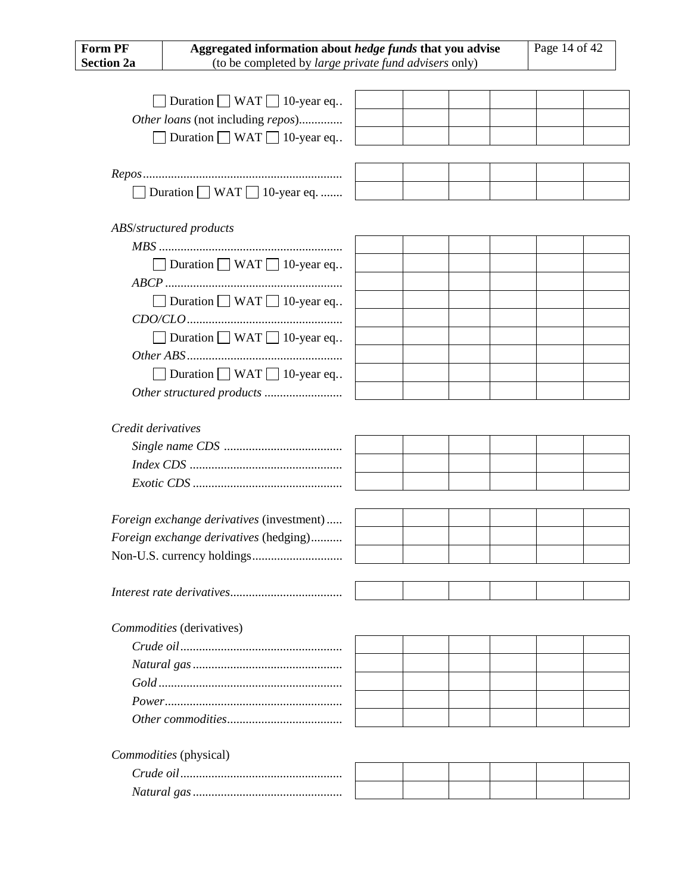| Aggregated information about hedge funds that you advise<br><b>Form PF</b> |                                              |  |  |  | Page 14 of 42 |  |  |
|----------------------------------------------------------------------------|----------------------------------------------|--|--|--|---------------|--|--|
| <b>Section 2a</b><br>(to be completed by large private fund advisers only) |                                              |  |  |  |               |  |  |
|                                                                            |                                              |  |  |  |               |  |  |
|                                                                            | Duration $\Box$ WAT $\Box$ 10-year eq        |  |  |  |               |  |  |
|                                                                            | Other loans (not including repos)            |  |  |  |               |  |  |
|                                                                            | Duration $\Box$ WAT $\Box$ 10-year eq        |  |  |  |               |  |  |
|                                                                            |                                              |  |  |  |               |  |  |
|                                                                            |                                              |  |  |  |               |  |  |
|                                                                            | Duration $\Box$ WAT $\Box$ 10-year eq.       |  |  |  |               |  |  |
|                                                                            |                                              |  |  |  |               |  |  |
|                                                                            | ABS/structured products                      |  |  |  |               |  |  |
|                                                                            |                                              |  |  |  |               |  |  |
|                                                                            | $\Box$ Duration $\Box$ WAT $\Box$ 10-year eq |  |  |  |               |  |  |
|                                                                            |                                              |  |  |  |               |  |  |
|                                                                            | $\Box$ Duration $\Box$ WAT $\Box$ 10-year eq |  |  |  |               |  |  |
|                                                                            |                                              |  |  |  |               |  |  |
|                                                                            | Duration $\Box$ WAT $\Box$ 10-year eq        |  |  |  |               |  |  |
|                                                                            |                                              |  |  |  |               |  |  |
|                                                                            | $\Box$ Duration $\Box$ WAT $\Box$ 10-year eq |  |  |  |               |  |  |
|                                                                            |                                              |  |  |  |               |  |  |
|                                                                            |                                              |  |  |  |               |  |  |
| Credit derivatives                                                         |                                              |  |  |  |               |  |  |
|                                                                            |                                              |  |  |  |               |  |  |
|                                                                            |                                              |  |  |  |               |  |  |
|                                                                            |                                              |  |  |  |               |  |  |
|                                                                            |                                              |  |  |  |               |  |  |
|                                                                            | Foreign exchange derivatives (investment)    |  |  |  |               |  |  |
|                                                                            | Foreign exchange derivatives (hedging)       |  |  |  |               |  |  |
|                                                                            |                                              |  |  |  |               |  |  |
|                                                                            |                                              |  |  |  |               |  |  |
|                                                                            |                                              |  |  |  |               |  |  |
|                                                                            |                                              |  |  |  |               |  |  |
|                                                                            | Commodities (derivatives)                    |  |  |  |               |  |  |
|                                                                            |                                              |  |  |  |               |  |  |
|                                                                            |                                              |  |  |  |               |  |  |
|                                                                            |                                              |  |  |  |               |  |  |
|                                                                            |                                              |  |  |  |               |  |  |
|                                                                            |                                              |  |  |  |               |  |  |
|                                                                            |                                              |  |  |  |               |  |  |
|                                                                            | Commodities (physical)                       |  |  |  |               |  |  |
|                                                                            |                                              |  |  |  |               |  |  |
|                                                                            |                                              |  |  |  |               |  |  |
|                                                                            |                                              |  |  |  |               |  |  |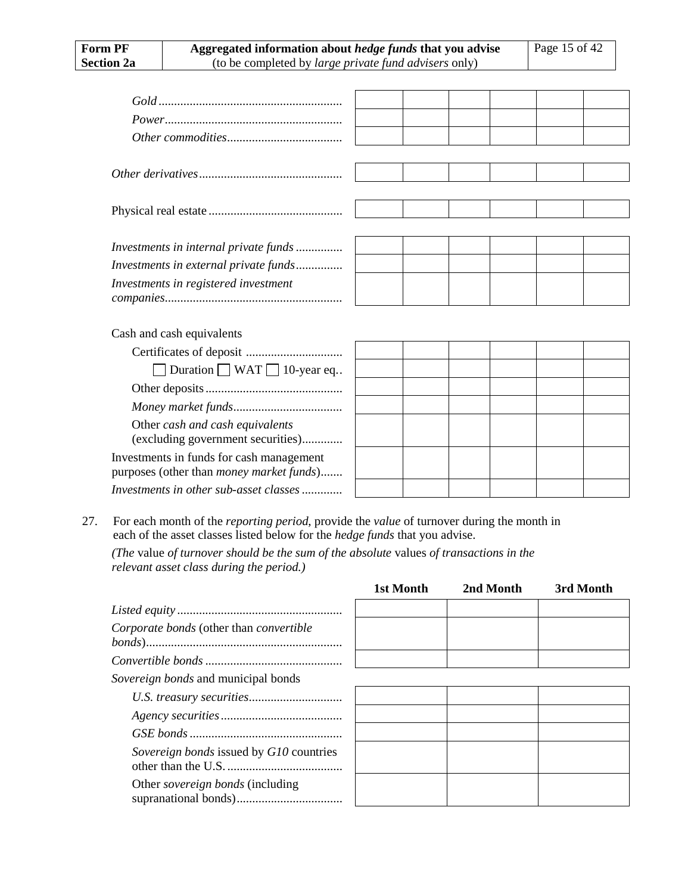| Investments in internal private funds            |  |  |  |
|--------------------------------------------------|--|--|--|
| Investments in external private funds            |  |  |  |
| Investments in registered investment             |  |  |  |
|                                                  |  |  |  |
|                                                  |  |  |  |
| Cash and cash equivalents                        |  |  |  |
|                                                  |  |  |  |
| $\Box$ Duration $\Box$ WAT $\Box$ 10-year eq     |  |  |  |
|                                                  |  |  |  |
|                                                  |  |  |  |
| Other cash and cash equivalents                  |  |  |  |
| (excluding government securities)                |  |  |  |
| Investments in funds for cash management         |  |  |  |
| purposes (other than <i>money market funds</i> ) |  |  |  |

27. For each month of the *reporting period*, provide the *value* of turnover during the month in each of the asset classes listed below for the *hedge funds* that you advise.

*Investments in other sub-asset classes.............*

*(The* value *of turnover should be the sum of the absolute* values *of transactions in the relevant asset class during the period.)*

|                                            | 1st Month | 2nd Month | 3rd Month |
|--------------------------------------------|-----------|-----------|-----------|
|                                            |           |           |           |
| Corporate bonds (other than convertible    |           |           |           |
|                                            |           |           |           |
| <i>Sovereign bonds</i> and municipal bonds |           |           |           |
|                                            |           |           |           |
|                                            |           |           |           |
|                                            |           |           |           |
| Sovereign bonds issued by G10 countries    |           |           |           |
| Other <i>sovereign bonds</i> (including    |           |           |           |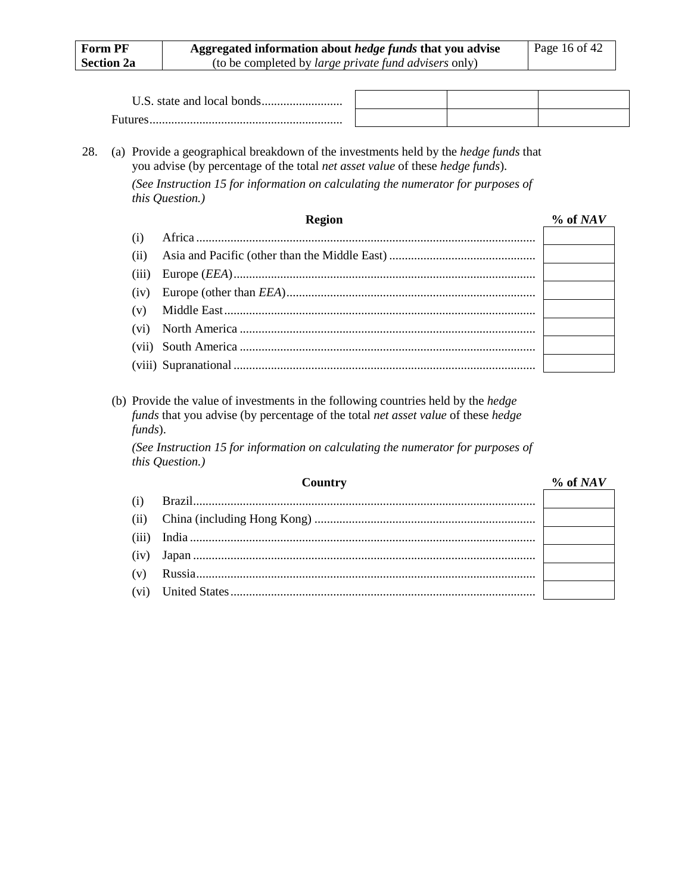| <b>Form PF</b>    |               |                                                                   | Page 16 of 42                                                                                                                                                                                                                                                                                                                                                                                                                                                                                                                                                                                                                                             |  |
|-------------------|---------------|-------------------------------------------------------------------|-----------------------------------------------------------------------------------------------------------------------------------------------------------------------------------------------------------------------------------------------------------------------------------------------------------------------------------------------------------------------------------------------------------------------------------------------------------------------------------------------------------------------------------------------------------------------------------------------------------------------------------------------------------|--|
| <b>Section 2a</b> |               |                                                                   |                                                                                                                                                                                                                                                                                                                                                                                                                                                                                                                                                                                                                                                           |  |
|                   |               |                                                                   |                                                                                                                                                                                                                                                                                                                                                                                                                                                                                                                                                                                                                                                           |  |
|                   |               |                                                                   |                                                                                                                                                                                                                                                                                                                                                                                                                                                                                                                                                                                                                                                           |  |
|                   |               |                                                                   |                                                                                                                                                                                                                                                                                                                                                                                                                                                                                                                                                                                                                                                           |  |
|                   |               |                                                                   |                                                                                                                                                                                                                                                                                                                                                                                                                                                                                                                                                                                                                                                           |  |
|                   |               |                                                                   |                                                                                                                                                                                                                                                                                                                                                                                                                                                                                                                                                                                                                                                           |  |
|                   | <b>Region</b> |                                                                   | $% of NAV$                                                                                                                                                                                                                                                                                                                                                                                                                                                                                                                                                                                                                                                |  |
| (i)               |               |                                                                   |                                                                                                                                                                                                                                                                                                                                                                                                                                                                                                                                                                                                                                                           |  |
| (ii)              |               |                                                                   |                                                                                                                                                                                                                                                                                                                                                                                                                                                                                                                                                                                                                                                           |  |
| (iii)             |               |                                                                   |                                                                                                                                                                                                                                                                                                                                                                                                                                                                                                                                                                                                                                                           |  |
| (iv)              |               |                                                                   |                                                                                                                                                                                                                                                                                                                                                                                                                                                                                                                                                                                                                                                           |  |
| (v)               |               |                                                                   |                                                                                                                                                                                                                                                                                                                                                                                                                                                                                                                                                                                                                                                           |  |
| (vi)              |               |                                                                   |                                                                                                                                                                                                                                                                                                                                                                                                                                                                                                                                                                                                                                                           |  |
|                   |               |                                                                   |                                                                                                                                                                                                                                                                                                                                                                                                                                                                                                                                                                                                                                                           |  |
|                   |               |                                                                   |                                                                                                                                                                                                                                                                                                                                                                                                                                                                                                                                                                                                                                                           |  |
|                   |               |                                                                   |                                                                                                                                                                                                                                                                                                                                                                                                                                                                                                                                                                                                                                                           |  |
|                   |               |                                                                   | $% of NAV$                                                                                                                                                                                                                                                                                                                                                                                                                                                                                                                                                                                                                                                |  |
|                   |               |                                                                   |                                                                                                                                                                                                                                                                                                                                                                                                                                                                                                                                                                                                                                                           |  |
| (ii)              |               |                                                                   |                                                                                                                                                                                                                                                                                                                                                                                                                                                                                                                                                                                                                                                           |  |
| (iii)             |               |                                                                   |                                                                                                                                                                                                                                                                                                                                                                                                                                                                                                                                                                                                                                                           |  |
|                   |               |                                                                   |                                                                                                                                                                                                                                                                                                                                                                                                                                                                                                                                                                                                                                                           |  |
| (iv)              |               |                                                                   |                                                                                                                                                                                                                                                                                                                                                                                                                                                                                                                                                                                                                                                           |  |
|                   | (i)           | this Question.)<br>(vii)<br>funds).<br>this Question.)<br>Country | Aggregated information about hedge funds that you advise<br>(to be completed by large private fund advisers only)<br>(a) Provide a geographical breakdown of the investments held by the <i>hedge funds</i> that<br>you advise (by percentage of the total net asset value of these hedge funds).<br>(See Instruction 15 for information on calculating the numerator for purposes of<br>(b) Provide the value of investments in the following countries held by the <i>hedge</i><br>funds that you advise (by percentage of the total net asset value of these hedge<br>(See Instruction 15 for information on calculating the numerator for purposes of |  |

(vi) United States..................................................................................................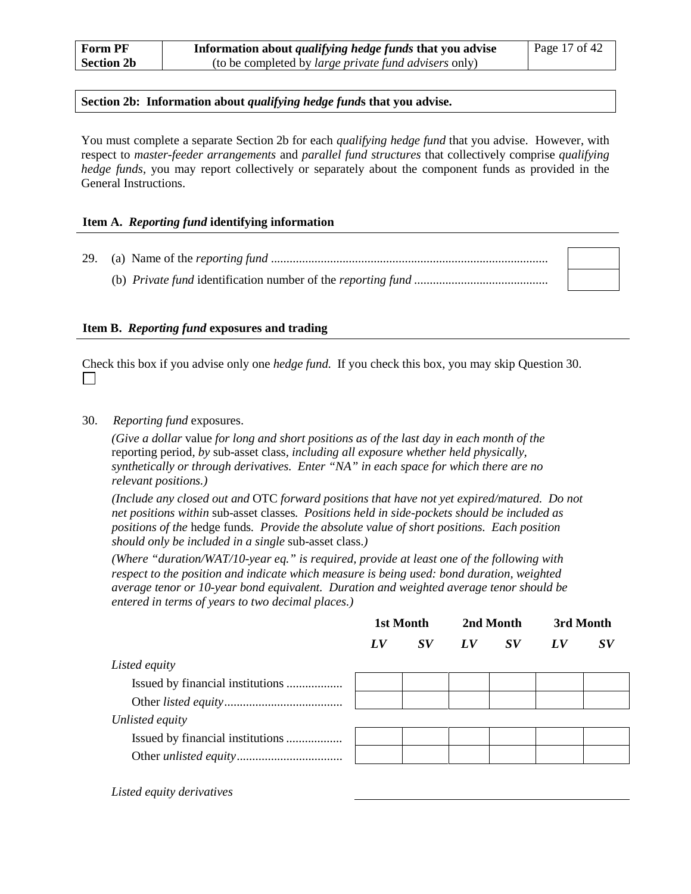#### **Section 2b: Information about** *qualifying hedge fund***s that you advise.**

You must complete a separate Section 2b for each *qualifying hedge fund* that you advise. However, with respect to *master-feeder arrangements* and *parallel fund structures* that collectively comprise *qualifying hedge funds*, you may report collectively or separately about the component funds as provided in the General Instructions.

#### **Item A.** *Reporting fund* **identifying information**

29. (a) Name of the *reporting fund* ......................................................................................... (b) *Private fund* identification number of the *reporting fund* ...........................................

#### **Item B.** *Reporting fund* **exposures and trading**

Check this box if you advise only one *hedge fund*. If you check this box, you may skip Question [30.](#page-27-0)  $\perp$ 

#### <span id="page-27-0"></span>30. *Reporting fund* exposures.

*(Give a dollar* value *for long and short positions as of the last day in each month of the*  reporting period*, by* sub-asset class*, including all exposure whether held physically, synthetically or through derivatives. Enter "NA" in each space for which there are no relevant positions.)*

*(Include any closed out and* OTC *forward positions that have not yet expired/matured. Do not net positions within* sub-asset classes*. Positions held in side-pockets should be included as positions of the* hedge funds*. Provide the absolute value of short positions. Each position should only be included in a single* sub-asset class.*)*

*(Where "duration/WAT/10-year eq." is required, provide at least one of the following with respect to the position and indicate which measure is being used: bond duration, weighted average tenor or 10-year bond equivalent. Duration and weighted average tenor should be entered in terms of years to two decimal places.)*

|                 | 1st Month       |  | 2nd Month |  | 3rd Month       |                                |
|-----------------|-----------------|--|-----------|--|-----------------|--------------------------------|
|                 | $\bm{L} \bm{V}$ |  | SV LV SV  |  | LV <sub>U</sub> | $\boldsymbol{S}\boldsymbol{V}$ |
| Listed equity   |                 |  |           |  |                 |                                |
|                 |                 |  |           |  |                 |                                |
|                 |                 |  |           |  |                 |                                |
| Unlisted equity |                 |  |           |  |                 |                                |
|                 |                 |  |           |  |                 |                                |
|                 |                 |  |           |  |                 |                                |

*Listed equity derivatives*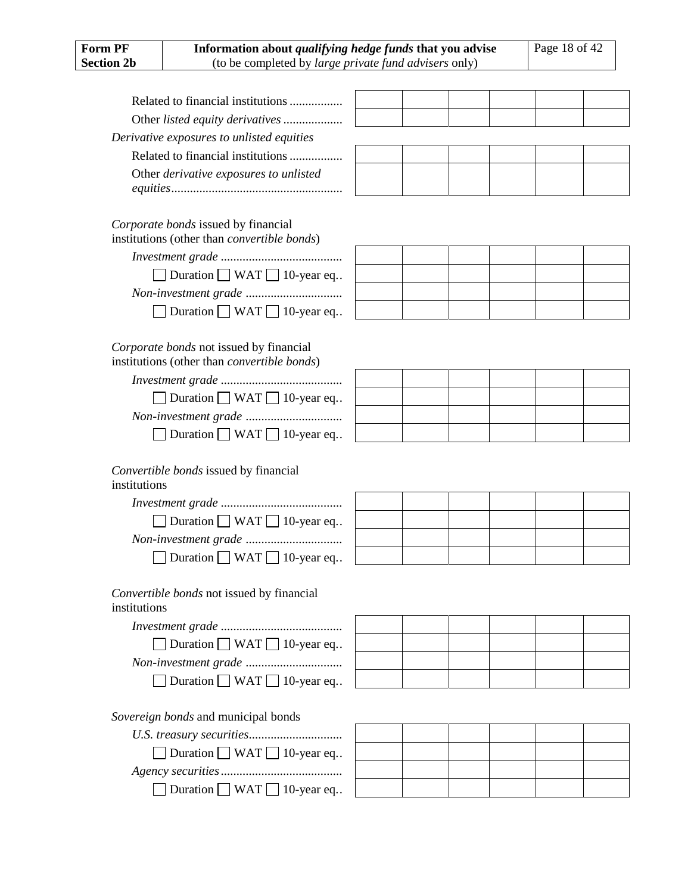| <b>Form PF</b>    | Information about <i>qualifying hedge funds</i> that you advise                                |  |  | Page 18 of 42 |  |  |  |
|-------------------|------------------------------------------------------------------------------------------------|--|--|---------------|--|--|--|
| <b>Section 2b</b> | (to be completed by <i>large private fund advisers</i> only)                                   |  |  |               |  |  |  |
|                   |                                                                                                |  |  |               |  |  |  |
|                   | Related to financial institutions                                                              |  |  |               |  |  |  |
|                   | Other listed equity derivatives                                                                |  |  |               |  |  |  |
|                   | Derivative exposures to unlisted equities                                                      |  |  |               |  |  |  |
|                   | Related to financial institutions                                                              |  |  |               |  |  |  |
|                   | Other <i>derivative exposures to unlisted</i>                                                  |  |  |               |  |  |  |
|                   | Corporate bonds issued by financial<br>institutions (other than <i>convertible bonds</i> )     |  |  |               |  |  |  |
|                   |                                                                                                |  |  |               |  |  |  |
|                   | $\Box$ Duration $\Box$ WAT $\Box$ 10-year eq                                                   |  |  |               |  |  |  |
|                   |                                                                                                |  |  |               |  |  |  |
|                   | Duration $\Box$ WAT $\Box$ 10-year eq                                                          |  |  |               |  |  |  |
|                   |                                                                                                |  |  |               |  |  |  |
|                   | Corporate bonds not issued by financial<br>institutions (other than <i>convertible bonds</i> ) |  |  |               |  |  |  |
|                   |                                                                                                |  |  |               |  |  |  |
|                   | $\Box$ Duration $\Box$ WAT $\Box$ 10-year eq                                                   |  |  |               |  |  |  |
|                   |                                                                                                |  |  |               |  |  |  |
|                   | Duration $\Box$ WAT $\Box$ 10-year eq                                                          |  |  |               |  |  |  |
| institutions      | Convertible bonds issued by financial                                                          |  |  |               |  |  |  |
|                   |                                                                                                |  |  |               |  |  |  |
|                   | Duration $\Box$ WAT $\Box$ 10-year eq                                                          |  |  |               |  |  |  |
|                   |                                                                                                |  |  |               |  |  |  |
|                   | Duration $\Box$ WAT $\Box$ 10-year eq                                                          |  |  |               |  |  |  |
| institutions      | Convertible bonds not issued by financial                                                      |  |  |               |  |  |  |
|                   |                                                                                                |  |  |               |  |  |  |
|                   | $\Box$ Duration $\Box$ WAT $\Box$ 10-year eq                                                   |  |  |               |  |  |  |
|                   |                                                                                                |  |  |               |  |  |  |
|                   | Duration $\Box$ WAT $\Box$ 10-year eq                                                          |  |  |               |  |  |  |
|                   | Sovereign bonds and municipal bonds                                                            |  |  |               |  |  |  |
|                   |                                                                                                |  |  |               |  |  |  |
|                   | Duration $\Box$ WAT $\Box$ 10-year eq                                                          |  |  |               |  |  |  |

| $U.S.$ <i>IPERSUIV SECUTIVES</i>      |  |  |  |
|---------------------------------------|--|--|--|
| Duration WAT 10-year eq               |  |  |  |
|                                       |  |  |  |
| Duration $\Box$ WAT $\Box$ 10-year eq |  |  |  |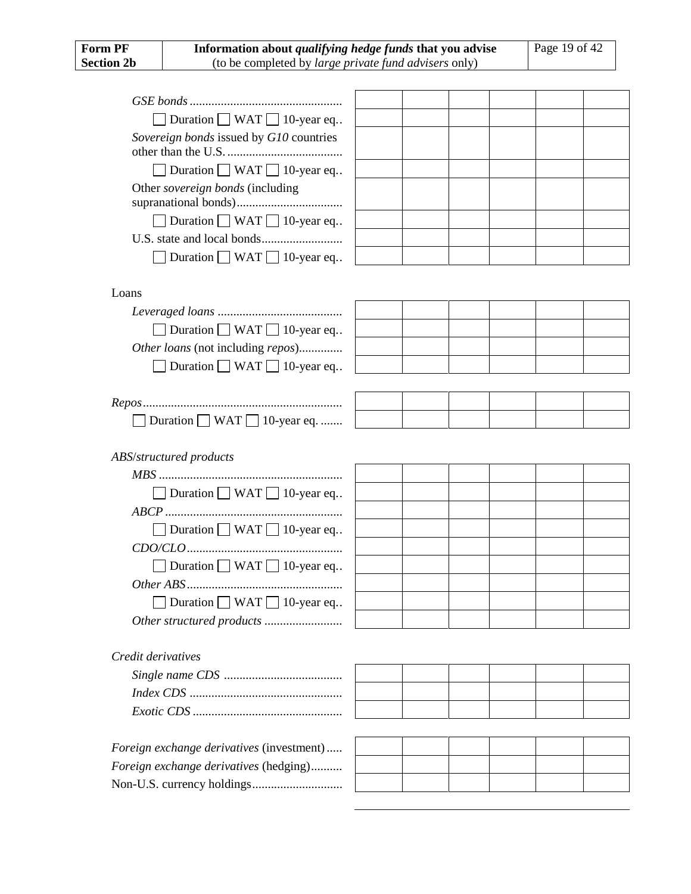| <b>Form PF</b><br>Information about <i>qualifying hedge funds</i> that you advise |                                                       | Page 19 of 42 |  |  |  |
|-----------------------------------------------------------------------------------|-------------------------------------------------------|---------------|--|--|--|
| <b>Section 2b</b>                                                                 | (to be completed by large private fund advisers only) |               |  |  |  |
|                                                                                   |                                                       |               |  |  |  |
|                                                                                   |                                                       |               |  |  |  |
|                                                                                   | Duration WAT $\Box$ 10-year eq                        |               |  |  |  |
|                                                                                   | Sovereign bonds issued by G10 countries               |               |  |  |  |
|                                                                                   |                                                       |               |  |  |  |
|                                                                                   | $\Box$ Duration $\Box$ WAT $\Box$ 10-year eq          |               |  |  |  |
|                                                                                   | Other sovereign bonds (including                      |               |  |  |  |
|                                                                                   |                                                       |               |  |  |  |
|                                                                                   | Duration $\Box$ WAT $\Box$ 10-year eq                 |               |  |  |  |
|                                                                                   |                                                       |               |  |  |  |
|                                                                                   | Duration $\Box$ WAT $\Box$ 10-year eq                 |               |  |  |  |
|                                                                                   |                                                       |               |  |  |  |
| Loans                                                                             |                                                       |               |  |  |  |
|                                                                                   |                                                       |               |  |  |  |
|                                                                                   | Duration $\Box$ WAT $\Box$ 10-year eq                 |               |  |  |  |
|                                                                                   | Other loans (not including repos)                     |               |  |  |  |
|                                                                                   | Duration $\Box$ WAT $\Box$ 10-year eq                 |               |  |  |  |
|                                                                                   |                                                       |               |  |  |  |
|                                                                                   |                                                       |               |  |  |  |
|                                                                                   | Duration $\Box$ WAT $\Box$ 10-year eq.                |               |  |  |  |
|                                                                                   | ABS/structured products                               |               |  |  |  |
|                                                                                   |                                                       |               |  |  |  |
|                                                                                   | Duration WAT 10-year eq                               |               |  |  |  |
|                                                                                   |                                                       |               |  |  |  |
|                                                                                   | Duration $\Box$ WAT $\Box$ 10-year eq                 |               |  |  |  |
|                                                                                   |                                                       |               |  |  |  |
|                                                                                   | Duration $\Box$ WAT $\Box$ 10-year eq                 |               |  |  |  |
|                                                                                   |                                                       |               |  |  |  |
|                                                                                   | Duration $\Box$ WAT $\Box$ 10-year eq                 |               |  |  |  |
|                                                                                   |                                                       |               |  |  |  |
|                                                                                   |                                                       |               |  |  |  |
| Credit derivatives                                                                |                                                       |               |  |  |  |
|                                                                                   |                                                       |               |  |  |  |
|                                                                                   |                                                       |               |  |  |  |
|                                                                                   |                                                       |               |  |  |  |
|                                                                                   |                                                       |               |  |  |  |
|                                                                                   | Foreign exchange derivatives (investment)             |               |  |  |  |
|                                                                                   | Foreign exchange derivatives (hedging)                |               |  |  |  |
|                                                                                   |                                                       |               |  |  |  |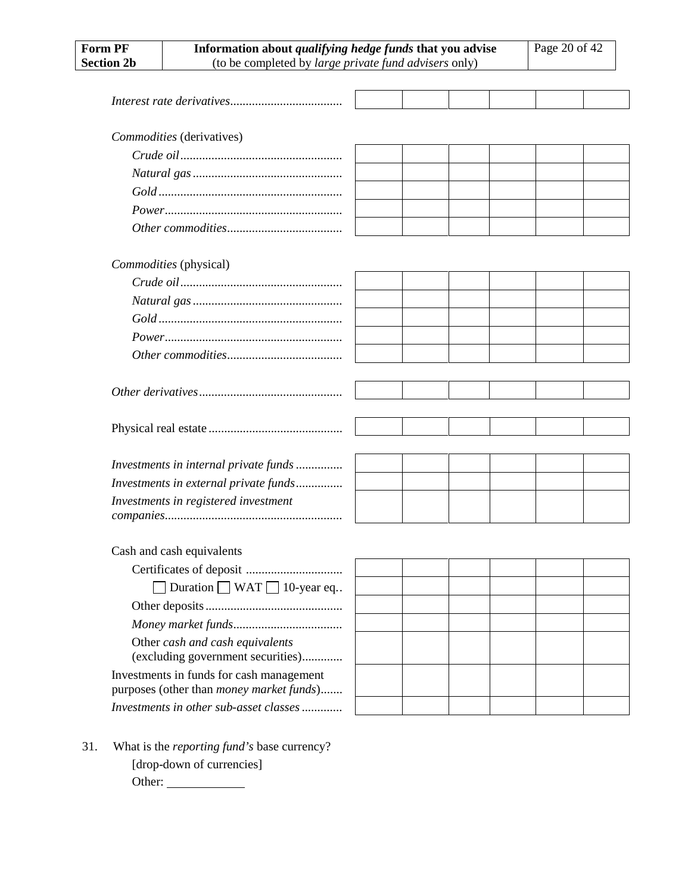| Information about qualifying hedge funds that you advise<br><b>Form PF</b> |                                       |  |  |  | Page 20 of 42 |  |
|----------------------------------------------------------------------------|---------------------------------------|--|--|--|---------------|--|
| <b>Section 2b</b><br>(to be completed by large private fund advisers only) |                                       |  |  |  |               |  |
|                                                                            |                                       |  |  |  |               |  |
|                                                                            |                                       |  |  |  |               |  |
|                                                                            |                                       |  |  |  |               |  |
|                                                                            | Commodities (derivatives)             |  |  |  |               |  |
|                                                                            |                                       |  |  |  |               |  |
|                                                                            |                                       |  |  |  |               |  |
|                                                                            |                                       |  |  |  |               |  |
|                                                                            |                                       |  |  |  |               |  |
|                                                                            |                                       |  |  |  |               |  |
|                                                                            |                                       |  |  |  |               |  |
|                                                                            | Commodities (physical)                |  |  |  |               |  |
|                                                                            |                                       |  |  |  |               |  |
|                                                                            |                                       |  |  |  |               |  |
|                                                                            |                                       |  |  |  |               |  |
|                                                                            |                                       |  |  |  |               |  |
|                                                                            |                                       |  |  |  |               |  |
|                                                                            |                                       |  |  |  |               |  |
|                                                                            |                                       |  |  |  |               |  |
|                                                                            |                                       |  |  |  |               |  |
|                                                                            |                                       |  |  |  |               |  |
|                                                                            |                                       |  |  |  |               |  |
|                                                                            | Investments in internal private funds |  |  |  |               |  |
|                                                                            | Investments in external private funds |  |  |  |               |  |
|                                                                            | Investments in registered investment  |  |  |  |               |  |
|                                                                            |                                       |  |  |  |               |  |
|                                                                            | Cash and cash equivalents             |  |  |  |               |  |
|                                                                            |                                       |  |  |  |               |  |
|                                                                            | Duration $\Box$ WAT $\Box$ 10-year eq |  |  |  |               |  |
|                                                                            |                                       |  |  |  |               |  |
|                                                                            |                                       |  |  |  |               |  |
|                                                                            | Other cash and cash equivalents       |  |  |  |               |  |
|                                                                            | (excluding government securities)     |  |  |  |               |  |

Investments in funds for cash management purposes (other than *money market funds*)....... *Investments in other sub-asset classes.............*

31. What is the *reporting fund's* base currency? [drop-down of currencies]

Other: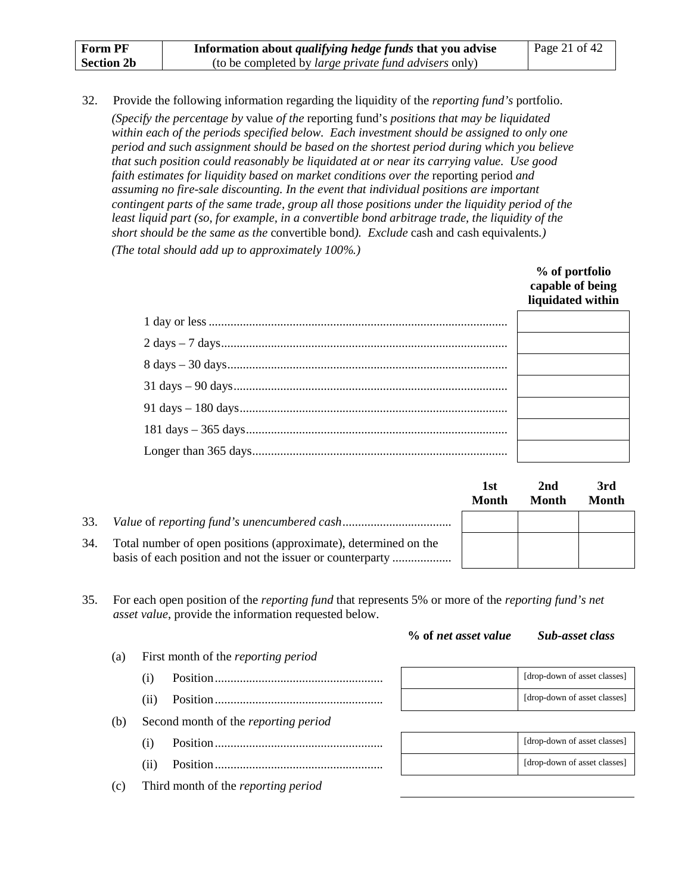| <b>Form PF</b>    | Information about <i>qualifying hedge funds</i> that you advise | Page 21 of 42 |
|-------------------|-----------------------------------------------------------------|---------------|
| <b>Section 2b</b> | (to be completed by <i>large private fund advisers</i> only)    |               |

32. Provide the following information regarding the liquidity of the *reporting fund's* portfolio. *(Specify the percentage by* value *of the* reporting fund's *positions that may be liquidated within each of the periods specified below. Each investment should be assigned to only one period and such assignment should be based on the shortest period during which you believe that such position could reasonably be liquidated at or near its carrying value. Use good*  faith estimates for liquidity based on market conditions over the reporting period and *assuming no fire-sale discounting. In the event that individual positions are important contingent parts of the same trade, group all those positions under the liquidity period of the least liquid part (so, for example, in a convertible bond arbitrage trade, the liquidity of the short should be the same as the* convertible bond*). Exclude* cash and cash equivalents*.)*

*(The total should add up to approximately 100%.)*

| % of portfolio<br>capable of being<br>liquidated within |
|---------------------------------------------------------|
|                                                         |
|                                                         |
|                                                         |
|                                                         |
|                                                         |
|                                                         |
|                                                         |

|     |                                                                 | 1st<br>Month | 2nd<br>Month | 3rd<br>Month |
|-----|-----------------------------------------------------------------|--------------|--------------|--------------|
| 33. |                                                                 |              |              |              |
| 34. | Total number of open positions (approximate), determined on the |              |              |              |

35. For each open position of the *reporting fund* that represents 5% or more of the *reporting fund's net asset value*, provide the information requested below.

#### **% of** *net asset value Sub-asset class*

| (a) | First month of the reporting period         |                              |  |  |  |  |
|-----|---------------------------------------------|------------------------------|--|--|--|--|
|     |                                             | [drop-down of asset classes] |  |  |  |  |
|     | (i)                                         | [drop-down of asset classes] |  |  |  |  |
| (b) | Second month of the <i>reporting period</i> |                              |  |  |  |  |
|     | $\left(1\right)$                            | [drop-down of asset classes] |  |  |  |  |
|     | (11)                                        | [drop-down of asset classes] |  |  |  |  |
| (c) | Third month of the reporting period         |                              |  |  |  |  |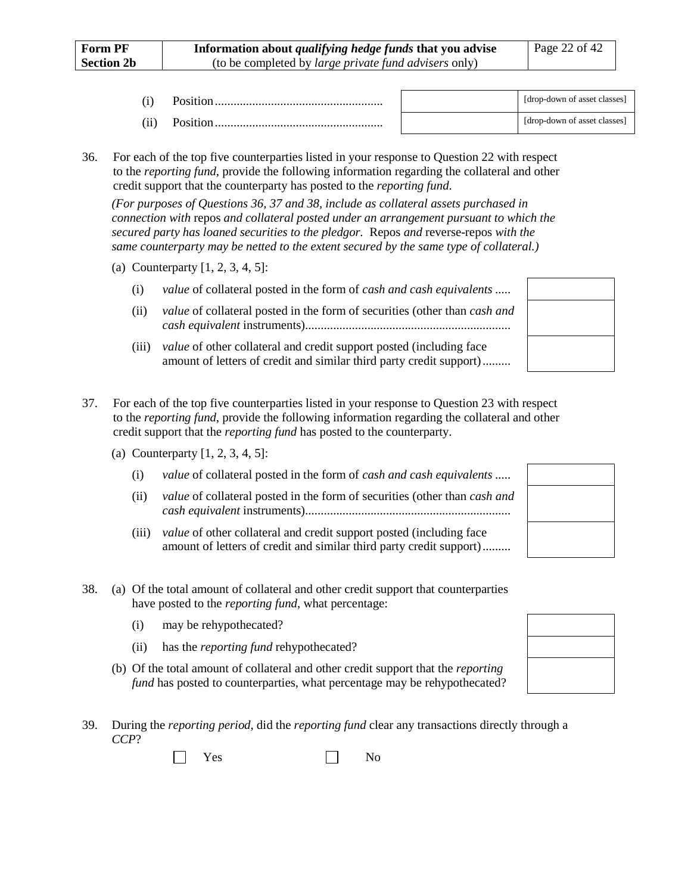|  | [drop-down of asset classes] |
|--|------------------------------|
|  | [drop-down of asset classes] |

<span id="page-32-0"></span>36. For each of the top five counterparties listed in your response to Question [22](#page-19-0) with respect to the *reporting fund*, provide the following information regarding the collateral and other credit support that the counterparty has posted to the *reporting fund*.

*(For purposes of Questions [36,](#page-32-0) [37](#page-32-1) and [38,](#page-32-2) include as collateral assets purchased in connection with* repos *and collateral posted under an arrangement pursuant to which the secured party has loaned securities to the pledgor.* Repos *and* reverse-repos *with the same counterparty may be netted to the extent secured by the same type of collateral.)*

- (a) Counterparty [1, 2, 3, 4, 5]:
	- (i) *value* of collateral posted in the form of *cash and cash equivalents* .....
	- (ii) *value* of collateral posted in the form of securities (other than *cash and cash equivalent* instruments)..................................................................
	- (iii) *value* of other collateral and credit support posted (including face amount of letters of credit and similar third party credit support).........
- <span id="page-32-1"></span>37. For each of the top five counterparties listed in your response to Question [23](#page-20-0) with respect to the *reporting fund*, provide the following information regarding the collateral and other credit support that the *reporting fund* has posted to the counterparty.
	- (a) Counterparty [1, 2, 3, 4, 5]:
		- (i) *value* of collateral posted in the form of *cash and cash equivalents* .....
		- (ii) *value* of collateral posted in the form of securities (other than *cash and cash equivalent* instruments)..................................................................
		- (iii) *value* of other collateral and credit support posted (including face amount of letters of credit and similar third party credit support).........

<span id="page-32-2"></span>

| 38. | (a) Of the total amount of collateral and other credit support that counterparties |
|-----|------------------------------------------------------------------------------------|
|     | have posted to the <i>reporting fund</i> , what percentage:                        |

- (i) may be rehypothecated?
- (ii) has the *reporting fund* rehypothecated?
- (b) Of the total amount of collateral and other credit support that the *reporting fund* has posted to counterparties, what percentage may be rehypothecated?
- 39. During the *reporting period*, did the *reporting fund* clear any transactions directly through a *CCP*?

|  | - -<br>⋍<br>$\tilde{}$ |  |  | Ÿ<br>- |
|--|------------------------|--|--|--------|
|--|------------------------|--|--|--------|

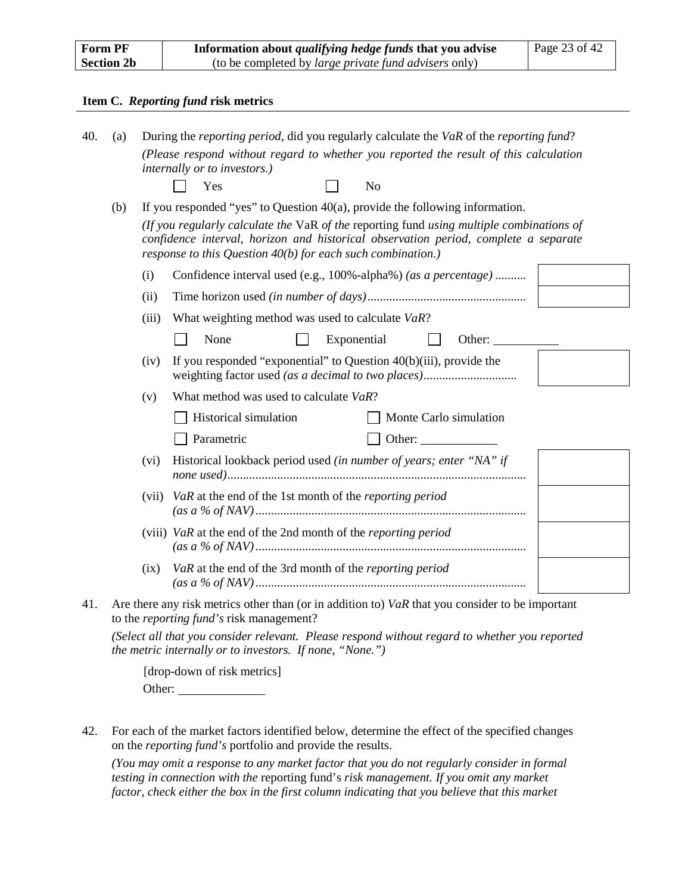| <b>Form PF</b>    | Information about <i>qualifying hedge funds</i> that you advise<br>Page 23 of 42 |  |
|-------------------|----------------------------------------------------------------------------------|--|
| <b>Section 2b</b> | (to be completed by <i>large private fund advisers</i> only)                     |  |

#### **Item C.** *Reporting fund* **risk metrics**

<span id="page-33-0"></span>

| 40. | (a) |                                                                                                                                                                                                                                                  | During the <i>reporting period</i> , did you regularly calculate the VaR of the <i>reporting fund</i> ?                                              |  |  |  |  |
|-----|-----|--------------------------------------------------------------------------------------------------------------------------------------------------------------------------------------------------------------------------------------------------|------------------------------------------------------------------------------------------------------------------------------------------------------|--|--|--|--|
|     |     |                                                                                                                                                                                                                                                  | (Please respond without regard to whether you reported the result of this calculation<br>internally or to investors.)                                |  |  |  |  |
|     |     |                                                                                                                                                                                                                                                  | Yes<br>No                                                                                                                                            |  |  |  |  |
|     | (b) |                                                                                                                                                                                                                                                  | If you responded "yes" to Question $40(a)$ , provide the following information.                                                                      |  |  |  |  |
|     |     | (If you regularly calculate the VaR of the reporting fund using multiple combinations of<br>confidence interval, horizon and historical observation period, complete a separate<br>response to this Question $40(b)$ for each such combination.) |                                                                                                                                                      |  |  |  |  |
|     |     | (i)                                                                                                                                                                                                                                              | Confidence interval used (e.g., 100%-alpha%) (as a percentage)                                                                                       |  |  |  |  |
|     |     | (ii)                                                                                                                                                                                                                                             |                                                                                                                                                      |  |  |  |  |
|     |     | (iii)                                                                                                                                                                                                                                            | What weighting method was used to calculate VaR?                                                                                                     |  |  |  |  |
|     |     |                                                                                                                                                                                                                                                  | None<br>Exponential<br>Other:                                                                                                                        |  |  |  |  |
|     |     | (iv)                                                                                                                                                                                                                                             | If you responded "exponential" to Question $40(b)(iii)$ , provide the                                                                                |  |  |  |  |
|     |     | (v)                                                                                                                                                                                                                                              | What method was used to calculate VaR?                                                                                                               |  |  |  |  |
|     |     |                                                                                                                                                                                                                                                  | Historical simulation<br>Monte Carlo simulation                                                                                                      |  |  |  |  |
|     |     |                                                                                                                                                                                                                                                  | Parametric<br>Other:                                                                                                                                 |  |  |  |  |
|     |     | (vi)                                                                                                                                                                                                                                             | Historical lookback period used (in number of years; enter "NA" if                                                                                   |  |  |  |  |
|     |     | (vii)                                                                                                                                                                                                                                            | VaR at the end of the 1st month of the reporting period                                                                                              |  |  |  |  |
|     |     |                                                                                                                                                                                                                                                  | (viii) $VaR$ at the end of the 2nd month of the <i>reporting period</i>                                                                              |  |  |  |  |
|     |     | (ix)                                                                                                                                                                                                                                             | VaR at the end of the 3rd month of the reporting period                                                                                              |  |  |  |  |
| 41. |     |                                                                                                                                                                                                                                                  | Are there any risk metrics other than (or in addition to) $VaR$ that you consider to be important<br>to the <i>reporting fund's</i> risk management? |  |  |  |  |
|     |     |                                                                                                                                                                                                                                                  | (Select all that you consider relevant. Please respond without regard to whether you reported                                                        |  |  |  |  |

*the metric internally or to investors. If none, "None.")*

[drop-down of risk metrics] Other:

42. For each of the market factors identified below, determine the effect of the specified changes on the *reporting fund's* portfolio and provide the results.

*(You may omit a response to any market factor that you do not regularly consider in formal testing in connection with the* reporting fund's *risk management. If you omit any market factor, check either the box in the first column indicating that you believe that this market*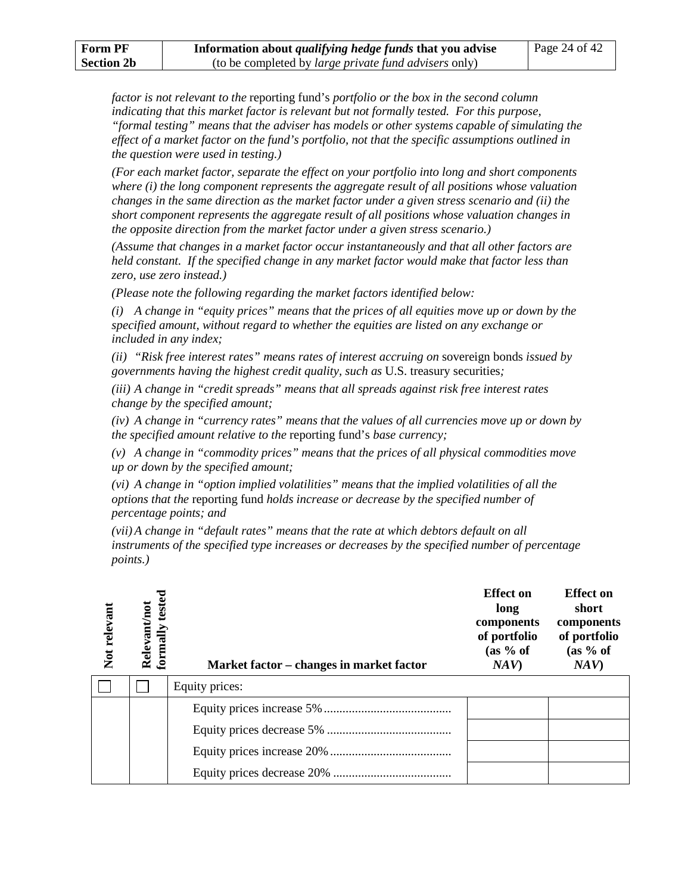*factor is not relevant to the* reporting fund's *portfolio or the box in the second column indicating that this market factor is relevant but not formally tested. For this purpose, "formal testing" means that the adviser has models or other systems capable of simulating the effect of a market factor on the fund's portfolio, not that the specific assumptions outlined in the question were used in testing.)*

*(For each market factor, separate the effect on your portfolio into long and short components where (i) the long component represents the aggregate result of all positions whose valuation changes in the same direction as the market factor under a given stress scenario and (ii) the short component represents the aggregate result of all positions whose valuation changes in the opposite direction from the market factor under a given stress scenario.)*

*(Assume that changes in a market factor occur instantaneously and that all other factors are held constant. If the specified change in any market factor would make that factor less than zero, use zero instead.)*

*(Please note the following regarding the market factors identified below:*

*(i) A change in "equity prices" means that the prices of all equities move up or down by the specified amount, without regard to whether the equities are listed on any exchange or included in any index;*

*(ii) "Risk free interest rates" means rates of interest accruing on* sovereign bonds *issued by governments having the highest credit quality, such as* U.S. treasury securities*;*

*(iii) A change in "credit spreads" means that all spreads against risk free interest rates change by the specified amount;*

*(iv) A change in "currency rates" means that the values of all currencies move up or down by the specified amount relative to the* reporting fund's *base currency;*

*(v) A change in "commodity prices" means that the prices of all physical commodities move up or down by the specified amount;*

*(vi) A change in "option implied volatilities" means that the implied volatilities of all the options that the* reporting fund *holds increase or decrease by the specified number of percentage points; and*

*(vii) A change in "default rates" means that the rate at which debtors default on all instruments of the specified type increases or decreases by the specified number of percentage points.)*

| Not relevant | formally tested<br>Relevant/not | Market factor – changes in market factor | <b>Effect on</b><br>long<br>components<br>of portfolio<br>(as 9/6 of<br>NAV | <b>Effect</b> on<br>short<br>components<br>of portfolio<br>(as 9/6 of<br>NAV |
|--------------|---------------------------------|------------------------------------------|-----------------------------------------------------------------------------|------------------------------------------------------------------------------|
|              |                                 | Equity prices:                           |                                                                             |                                                                              |
|              |                                 |                                          |                                                                             |                                                                              |
|              |                                 |                                          |                                                                             |                                                                              |
|              |                                 |                                          |                                                                             |                                                                              |
|              |                                 |                                          |                                                                             |                                                                              |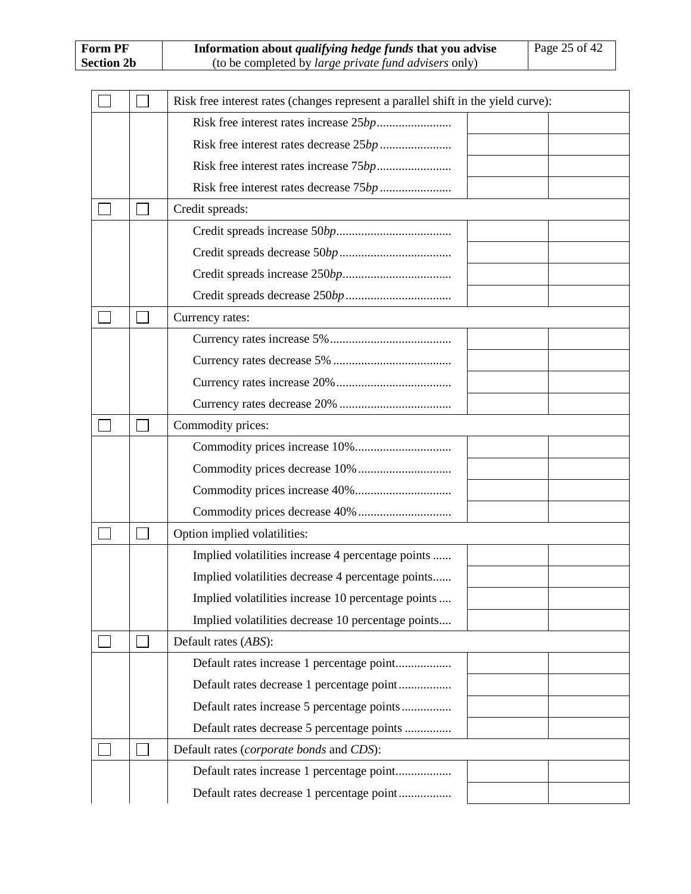|  | Risk free interest rates (changes represent a parallel shift in the yield curve): |
|--|-----------------------------------------------------------------------------------|
|  |                                                                                   |
|  |                                                                                   |
|  |                                                                                   |
|  |                                                                                   |
|  | Credit spreads:                                                                   |
|  |                                                                                   |
|  |                                                                                   |
|  |                                                                                   |
|  |                                                                                   |
|  | Currency rates:                                                                   |
|  |                                                                                   |
|  |                                                                                   |
|  |                                                                                   |
|  |                                                                                   |
|  | Commodity prices:                                                                 |
|  |                                                                                   |
|  |                                                                                   |
|  |                                                                                   |
|  |                                                                                   |
|  | Option implied volatilities:                                                      |
|  | Implied volatilities increase 4 percentage points                                 |
|  | Implied volatilities decrease 4 percentage points                                 |
|  | Implied volatilities increase 10 percentage points                                |
|  | Implied volatilities decrease 10 percentage points                                |
|  | Default rates (ABS):                                                              |
|  | Default rates increase 1 percentage point                                         |
|  | Default rates decrease 1 percentage point                                         |
|  | Default rates increase 5 percentage points                                        |
|  | Default rates decrease 5 percentage points                                        |
|  | Default rates (corporate bonds and CDS):                                          |
|  | Default rates increase 1 percentage point                                         |
|  | Default rates decrease 1 percentage point                                         |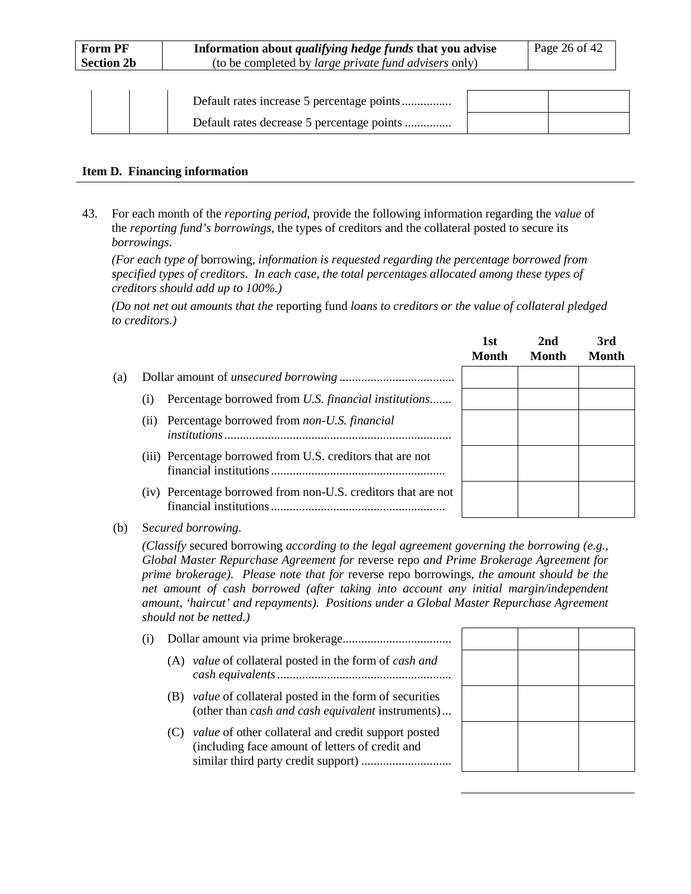| Form PF           | Information about <i>qualifying hedge funds</i> that you advise | Page 26 of 42 |
|-------------------|-----------------------------------------------------------------|---------------|
| <b>Section 2b</b> | (to be completed by <i>large private fund advisers</i> only)    |               |
|                   |                                                                 |               |

#### **Item D. Financing information**

<span id="page-36-0"></span>43. For each month of the *reporting period*, provide the following information regarding the *value* of the *reporting fund's borrowings*, the types of creditors and the collateral posted to secure its *borrowings*.

*(For each type of* borrowing*, information is requested regarding the percentage borrowed from specified types of creditors. In each case, the total percentages allocated among these types of creditors should add up to 100%.)*

*(Do not net out amounts that the* reporting fund *loans to creditors or the value of collateral pledged to creditors.)*

|     |      |                                                               | 1st<br>Month | 2nd<br>Month | 3rd<br><b>Month</b> |
|-----|------|---------------------------------------------------------------|--------------|--------------|---------------------|
| (a) |      |                                                               |              |              |                     |
|     | (1)  | Percentage borrowed from U.S. financial institutions          |              |              |                     |
|     | (11) | Percentage borrowed from non-U.S. financial                   |              |              |                     |
|     |      | (iii) Percentage borrowed from U.S. creditors that are not    |              |              |                     |
|     |      | (iv) Percentage borrowed from non-U.S. creditors that are not |              |              |                     |

(b) S*ecured borrowing*.

*(Classify* secured borrowing *according to the legal agreement governing the borrowing (e.g., Global Master Repurchase Agreement for* reverse repo *and Prime Brokerage Agreement for prime brokerage). Please note that for* reverse repo borrowings*, the amount should be the net amount of cash borrowed (after taking into account any initial margin/independent amount, 'haircut' and repayments). Positions under a Global Master Repurchase Agreement should not be netted.)*

| (i) |     |                                                                                                                         |  |
|-----|-----|-------------------------------------------------------------------------------------------------------------------------|--|
|     |     | (A) value of collateral posted in the form of cash and                                                                  |  |
|     | (B) | <i>value</i> of collateral posted in the form of securities<br>(other than <i>cash and cash equivalent</i> instruments) |  |
|     | (C) | <i>value</i> of other collateral and credit support posted<br>(including face amount of letters of credit and           |  |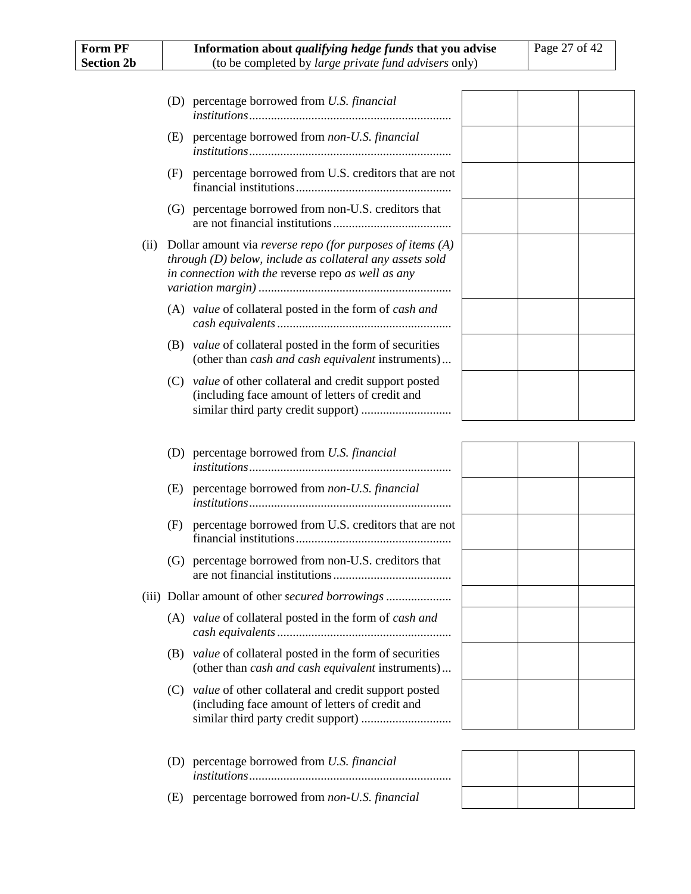| <b>Form PF</b><br><b>Section 2b</b> | Information about <i>qualifying hedge funds</i> that you advise<br>(to be completed by large private fund advisers only)                                                        | Page 27 of 42 |
|-------------------------------------|---------------------------------------------------------------------------------------------------------------------------------------------------------------------------------|---------------|
|                                     |                                                                                                                                                                                 |               |
|                                     | (D) percentage borrowed from U.S. financial                                                                                                                                     |               |
|                                     | (E) percentage borrowed from non-U.S. financial                                                                                                                                 |               |
|                                     | (F) percentage borrowed from U.S. creditors that are not                                                                                                                        |               |
|                                     | (G) percentage borrowed from non-U.S. creditors that                                                                                                                            |               |
| (ii)                                | Dollar amount via reverse repo (for purposes of items $(A)$<br>$through (D) below, include as collateral any assets sold$<br>in connection with the reverse repo as well as any |               |
|                                     | (A) value of collateral posted in the form of cash and                                                                                                                          |               |
|                                     | (B) <i>value</i> of collateral posted in the form of securities<br>(other than <i>cash and cash equivalent</i> instruments)                                                     |               |
|                                     | (C) value of other collateral and credit support posted<br>(including face amount of letters of credit and                                                                      |               |
|                                     | (D) percentage borrowed from U.S. financial                                                                                                                                     |               |
|                                     | (E) percentage borrowed from non-U.S. financial                                                                                                                                 |               |
|                                     | percentage borrowed from U.S. creditors that are not<br>(F)                                                                                                                     |               |
|                                     | (G) percentage borrowed from non-U.S. creditors that                                                                                                                            |               |
|                                     |                                                                                                                                                                                 |               |
|                                     | (A) value of collateral posted in the form of cash and                                                                                                                          |               |
|                                     | (B) <i>value</i> of collateral posted in the form of securities<br>(other than cash and cash equivalent instruments)                                                            |               |
|                                     | (C) value of other collateral and credit support posted<br>(including face amount of letters of credit and                                                                      |               |
|                                     | (D) percentage borrowed from U.S. financial                                                                                                                                     |               |
|                                     | (E) percentage borrowed from non-U.S. financial                                                                                                                                 |               |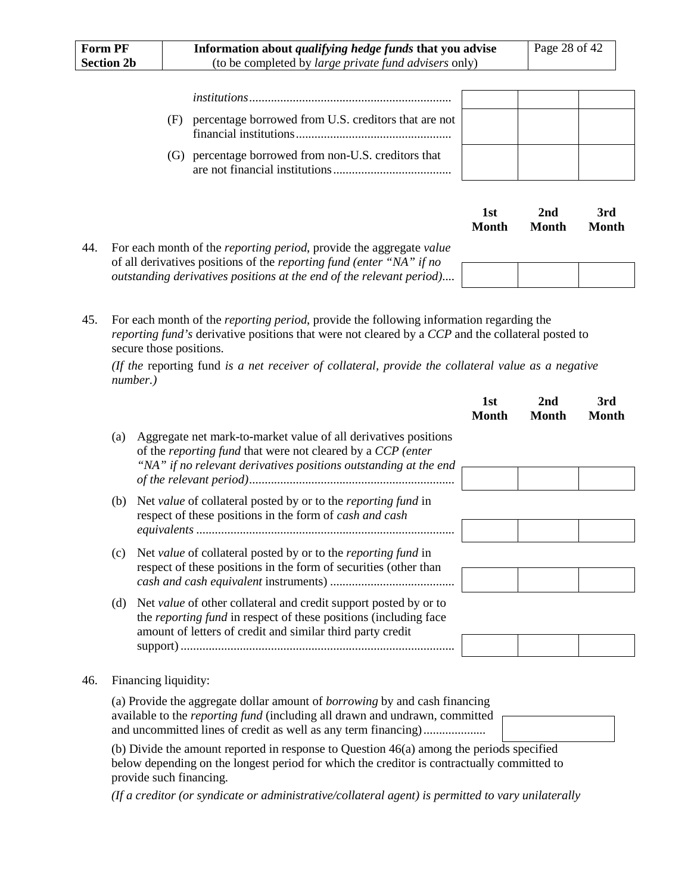| Form PF           | Information about qualifying hedge funds that you advise     |                                                      |     |     | Page 28 of 42 |
|-------------------|--------------------------------------------------------------|------------------------------------------------------|-----|-----|---------------|
| <b>Section 2b</b> | (to be completed by <i>large private fund advisers</i> only) |                                                      |     |     |               |
|                   |                                                              |                                                      |     |     |               |
|                   |                                                              |                                                      |     |     |               |
|                   | (F)                                                          | percentage borrowed from U.S. creditors that are not |     |     |               |
|                   |                                                              | (G) percentage borrowed from non-U.S. creditors that |     |     |               |
|                   |                                                              |                                                      | lst | 2nd | 3rd           |

**Month**

**Month**

**Month**

45. For each month of the *reporting period*, provide the following information regarding the *reporting fund's* derivative positions that were not cleared by a *CCP* and the collateral posted to secure those positions.

*(If the* reporting fund *is a net receiver of collateral, provide the collateral value as a negative number.)*

|     |     |                                                                                                                                                                                                                                           | 1st<br><b>Month</b> | 2nd<br><b>Month</b> | 3rd<br><b>Month</b> |
|-----|-----|-------------------------------------------------------------------------------------------------------------------------------------------------------------------------------------------------------------------------------------------|---------------------|---------------------|---------------------|
|     | (a) | Aggregate net mark-to-market value of all derivatives positions<br>of the reporting fund that were not cleared by a CCP (enter<br>"NA" if no relevant derivatives positions outstanding at the end                                        |                     |                     |                     |
|     | (b) | Net value of collateral posted by or to the reporting fund in<br>respect of these positions in the form of cash and cash                                                                                                                  |                     |                     |                     |
|     | (c) | Net value of collateral posted by or to the <i>reporting fund</i> in<br>respect of these positions in the form of securities (other than                                                                                                  |                     |                     |                     |
|     | (d) | Net value of other collateral and credit support posted by or to<br>the <i>reporting fund</i> in respect of these positions (including face<br>amount of letters of credit and similar third party credit                                 |                     |                     |                     |
| 46. |     | Financing liquidity:                                                                                                                                                                                                                      |                     |                     |                     |
|     |     | (a) Provide the aggregate dollar amount of <i>borrowing</i> by and cash financing<br>available to the <i>reporting fund</i> (including all drawn and undrawn, committed<br>and uncommitted lines of credit as well as any term financing) |                     |                     |                     |
|     |     | (b) Divide the amount reported in response to Question 46(a) among the periods specified<br>below depending on the longest period for which the creditor is contractually committed to                                                    |                     |                     |                     |

<span id="page-38-1"></span>below depending on the longest period for which the creditor is contractually committed to provide such financing.

*(If a creditor (or syndicate or administrative/collateral agent) is permitted to vary unilaterally* 

<span id="page-38-0"></span><sup>44.</sup> For each month of the *reporting period*, provide the aggregate *value* of all derivatives positions of the *reporting fund (enter "NA" if no outstanding derivatives positions at the end of the relevant period)*....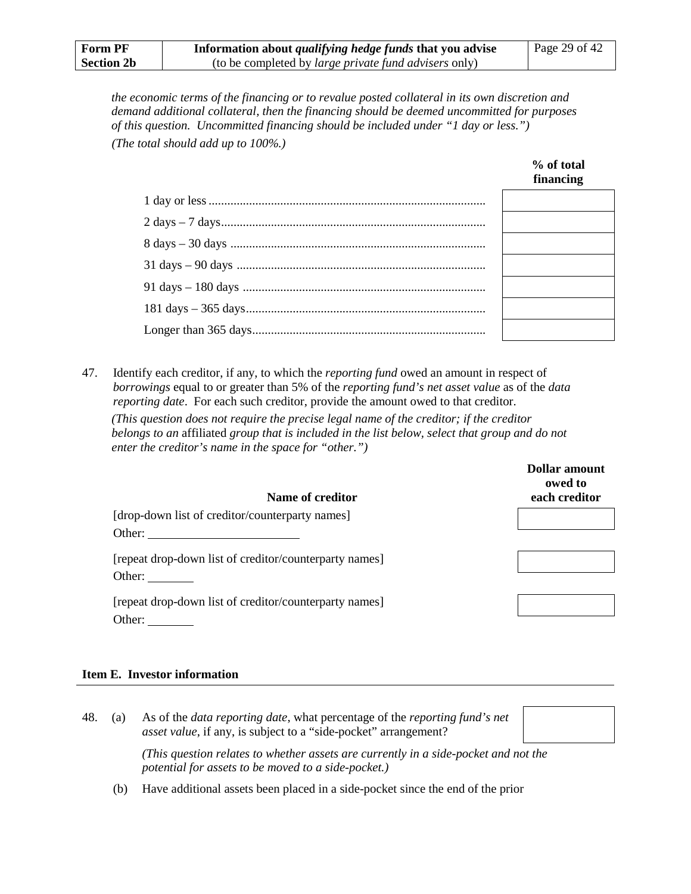*the economic terms of the financing or to revalue posted collateral in its own discretion and demand additional collateral, then the financing should be deemed uncommitted for purposes of this question. Uncommitted financing should be included under "1 day or less.") (The total should add up to 100%.)*

| financing |
|-----------|
|           |
|           |
|           |
|           |
|           |
|           |
|           |

**% of total**

47. Identify each creditor, if any, to which the *reporting fund* owed an amount in respect of *borrowings* equal to or greater than 5% of the *reporting fund's net asset value* as of the *data reporting date*. For each such creditor, provide the amount owed to that creditor.

*(This question does not require the precise legal name of the creditor; if the creditor belongs to an* affiliated *group that is included in the list below, select that group and do not enter the creditor's name in the space for "other.")*

| Name of creditor                                                                 | Dollar amount<br>owed to<br>each creditor |
|----------------------------------------------------------------------------------|-------------------------------------------|
| [drop-down list of creditor/counterparty names]                                  |                                           |
| Other:                                                                           |                                           |
| [repeat drop-down list of creditor/counterparty names]<br>Other: $\qquad \qquad$ |                                           |
| [repeat drop-down list of creditor/counterparty names]                           |                                           |
| Other:                                                                           |                                           |

#### **Item E. Investor information**

<span id="page-39-0"></span>48. (a) As of the *data reporting date*, what percentage of the *reporting fund's net asset value*, if any, is subject to a "side-pocket" arrangement?

> *(This question relates to whether assets are currently in a side-pocket and not the potential for assets to be moved to a side-pocket.)*

(b) Have additional assets been placed in a side-pocket since the end of the prior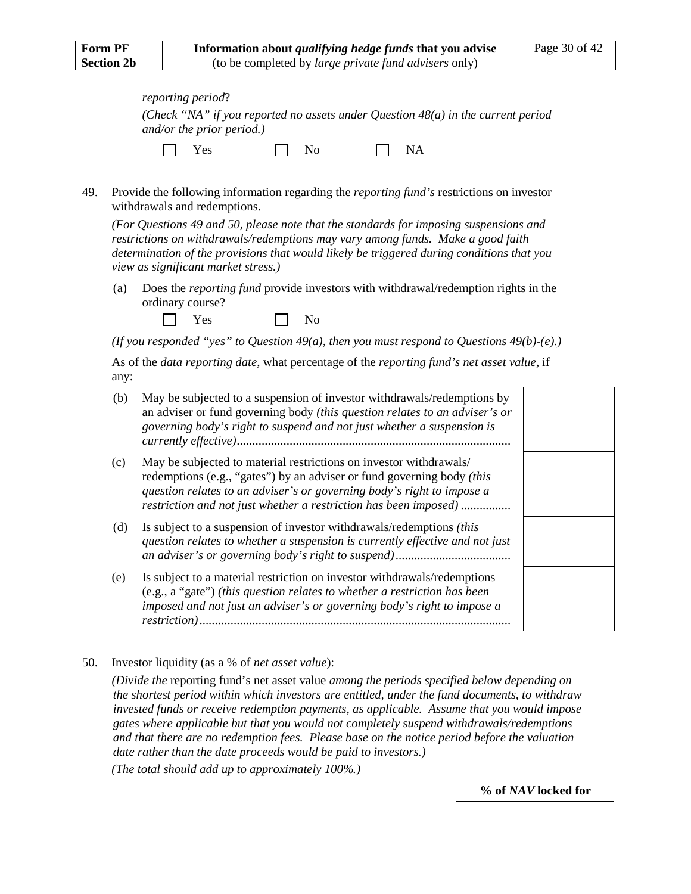| reporting period?                 |              |                                                                                    |  |
|-----------------------------------|--------------|------------------------------------------------------------------------------------|--|
| and/or the prior period.)         |              | (Check "NA" if you reported no assets under Question $48(a)$ in the current period |  |
| $\blacksquare$ $\blacksquare$ Yes | $N_{\Omega}$ | $\mathsf{I}$ NA                                                                    |  |

<span id="page-40-0"></span>49. Provide the following information regarding the *reporting fund's* restrictions on investor withdrawals and redemptions.

*(For Questions [49](#page-40-0) an[d 50,](#page-40-1) please note that the standards for imposing suspensions and restrictions on withdrawals/redemptions may vary among funds. Make a good faith determination of the provisions that would likely be triggered during conditions that you view as significant market stress.)*

(a) Does the *reporting fund* provide investors with withdrawal/redemption rights in the ordinary course?

| es<br>٠.,<br>- |  | N<br>No |
|----------------|--|---------|
|----------------|--|---------|

*(If you responded "yes" to Question [49\(](#page-40-0)a), then you must respond to Question[s 49\(](#page-40-0)b)-(e).)*

As of the *data reporting date*, what percentage of the *reporting fund's net asset value*, if any:

| (b) | May be subjected to a suspension of investor withdrawals/redemptions by<br>an adviser or fund governing body (this question relates to an adviser's or<br>governing body's right to suspend and not just whether a suspension is                                                           |  |
|-----|--------------------------------------------------------------------------------------------------------------------------------------------------------------------------------------------------------------------------------------------------------------------------------------------|--|
| (c) | May be subjected to material restrictions on investor withdrawals/<br>redemptions (e.g., "gates") by an adviser or fund governing body (this<br>question relates to an adviser's or governing body's right to impose a<br>restriction and not just whether a restriction has been imposed) |  |
| (d) | Is subject to a suspension of investor withdrawals/redemptions <i>(this</i> )<br>question relates to whether a suspension is currently effective and not just                                                                                                                              |  |
| (e) | Is subject to a material restriction on investor withdrawals/redemptions<br>(e.g., a "gate") (this question relates to whether a restriction has been<br>imposed and not just an adviser's or governing body's right to impose a<br><i>restriction</i> ).                                  |  |

<span id="page-40-1"></span>50. Investor liquidity (as a % of *net asset value*):

*(Divide the* reporting fund's net asset value *among the periods specified below depending on the shortest period within which investors are entitled, under the fund documents, to withdraw invested funds or receive redemption payments, as applicable. Assume that you would impose gates where applicable but that you would not completely suspend withdrawals/redemptions and that there are no redemption fees. Please base on the notice period before the valuation date rather than the date proceeds would be paid to investors.)*

*(The total should add up to approximately 100%.)*

**% of** *NAV* **locked for**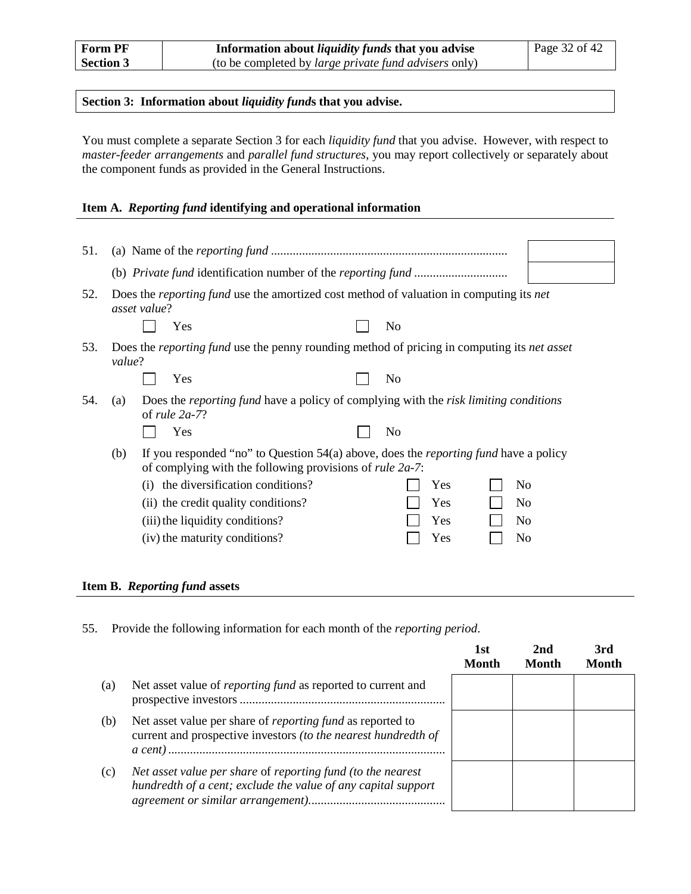#### **Section 3: Information about** *liquidity fund***s that you advise.**

You must complete a separate Section 3 for each *liquidity fund* that you advise. However, with respect to *master-feeder arrangements* and *parallel fund structures*, you may report collectively or separately about the component funds as provided in the General Instructions.

#### **Item A.** *Reporting fund* **identifying and operational information**

<span id="page-42-0"></span>

| 51. |        |              |                                                                                                                                                                   |                |     |                |
|-----|--------|--------------|-------------------------------------------------------------------------------------------------------------------------------------------------------------------|----------------|-----|----------------|
|     |        |              |                                                                                                                                                                   |                |     |                |
| 52. |        | asset value? | Does the <i>reporting fund</i> use the amortized cost method of valuation in computing its <i>net</i>                                                             |                |     |                |
|     |        |              | Yes                                                                                                                                                               | N <sub>0</sub> |     |                |
| 53. | value? |              | Does the <i>reporting fund</i> use the penny rounding method of pricing in computing its <i>net asset</i>                                                         |                |     |                |
|     |        |              | Yes                                                                                                                                                               | No             |     |                |
| 54. | (a)    |              | Does the <i>reporting fund</i> have a policy of complying with the <i>risk limiting conditions</i><br>of rule $2a-7$ ?                                            |                |     |                |
|     |        |              | Yes                                                                                                                                                               | N <sub>o</sub> |     |                |
|     | (b)    |              | If you responded "no" to Question 54(a) above, does the <i>reporting fund</i> have a policy<br>of complying with the following provisions of <i>rule</i> $2a-7$ : |                |     |                |
|     |        |              | (i) the diversification conditions?                                                                                                                               |                | Yes | N <sub>0</sub> |
|     |        |              | (ii) the credit quality conditions?                                                                                                                               |                | Yes | N <sub>0</sub> |
|     |        |              | (iii) the liquidity conditions?                                                                                                                                   |                | Yes | N <sub>0</sub> |
|     |        |              | (iv) the maturity conditions?                                                                                                                                     |                | Yes | No             |
|     |        |              |                                                                                                                                                                   |                |     |                |

#### **Item B.** *Reporting fund* **assets**

55. Provide the following information for each month of the *reporting period*. **1st Month 2nd Month Month** (a) Net asset value of *reporting fund* as reported to current and prospective investors .................................................................. (b) Net asset value per share of *reporting fund* as reported to current and prospective investors *(to the nearest hundredth of a cent)*......................................................................................... (c) *Net asset value per share* of *reporting fund (to the nearest hundredth of a cent; exclude the value of any capital support agreement or similar arrangement).*...........................................

**3rd**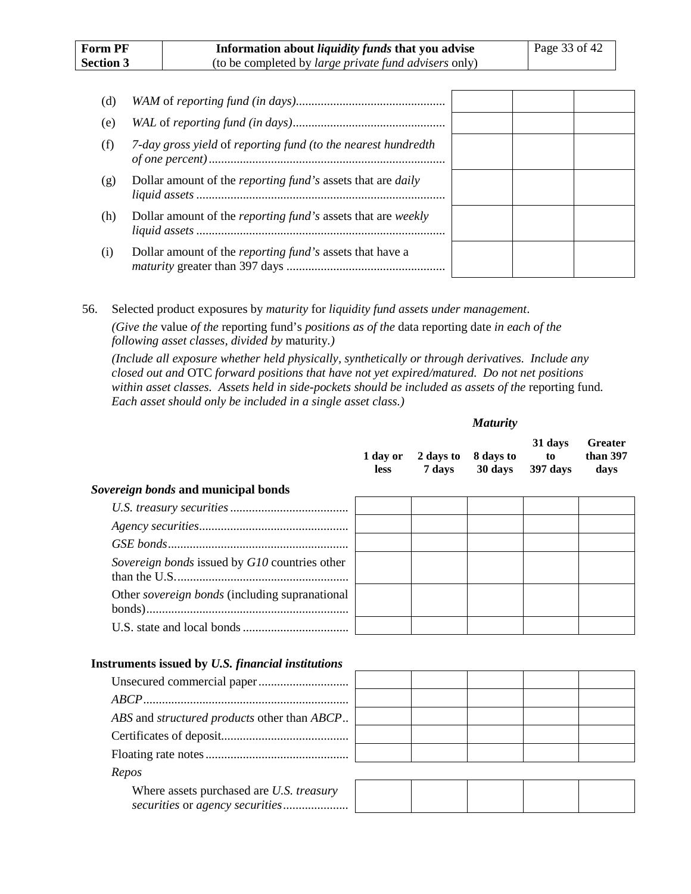| (d) |                                                                             |  |  |
|-----|-----------------------------------------------------------------------------|--|--|
| (e) |                                                                             |  |  |
| (f) | 7-day gross yield of reporting fund (to the nearest hundredth               |  |  |
| (g) | Dollar amount of the <i>reporting fund</i> 's assets that are <i>daily</i>  |  |  |
| (h) | Dollar amount of the <i>reporting fund</i> 's assets that are <i>weekly</i> |  |  |
| (1) | Dollar amount of the <i>reporting fund's</i> assets that have a             |  |  |

56. Selected product exposures by *maturity* for *liquidity fund assets under management*. *(Give the* value *of the* reporting fund's *positions as of the* data reporting date *in each of the following asset classes, divided by* maturity*.)*

*(Include all exposure whether held physically, synthetically or through derivatives. Include any closed out and* OTC *forward positions that have not yet expired/matured. Do not net positions within asset classes. Assets held in side-pockets should be included as assets of the reporting fund. Each asset should only be included in a single asset class.)*

|                                                          | 1 day or<br><b>less</b> | 2 days to<br>7 days | 8 days to<br>30 days | 31 days<br>to<br>397 days | <b>Greater</b><br>than 397<br>days |
|----------------------------------------------------------|-------------------------|---------------------|----------------------|---------------------------|------------------------------------|
| Sovereign bonds and municipal bonds                      |                         |                     |                      |                           |                                    |
|                                                          |                         |                     |                      |                           |                                    |
|                                                          |                         |                     |                      |                           |                                    |
|                                                          |                         |                     |                      |                           |                                    |
| Sovereign bonds issued by G10 countries other            |                         |                     |                      |                           |                                    |
| Other <i>sovereign bonds</i> (including supranational    |                         |                     |                      |                           |                                    |
|                                                          |                         |                     |                      |                           |                                    |
| <b>Instruments issued by U.S. financial institutions</b> |                         |                     |                      |                           |                                    |
|                                                          |                         |                     |                      |                           |                                    |
|                                                          |                         |                     |                      |                           |                                    |
| ABS and <i>structured products</i> other than ABCP       |                         |                     |                      |                           |                                    |
|                                                          |                         |                     |                      |                           |                                    |
|                                                          |                         |                     |                      |                           |                                    |

| Repos                                           |  |
|-------------------------------------------------|--|
| Where assets purchased are <i>U.S. treasury</i> |  |
|                                                 |  |

*Maturity*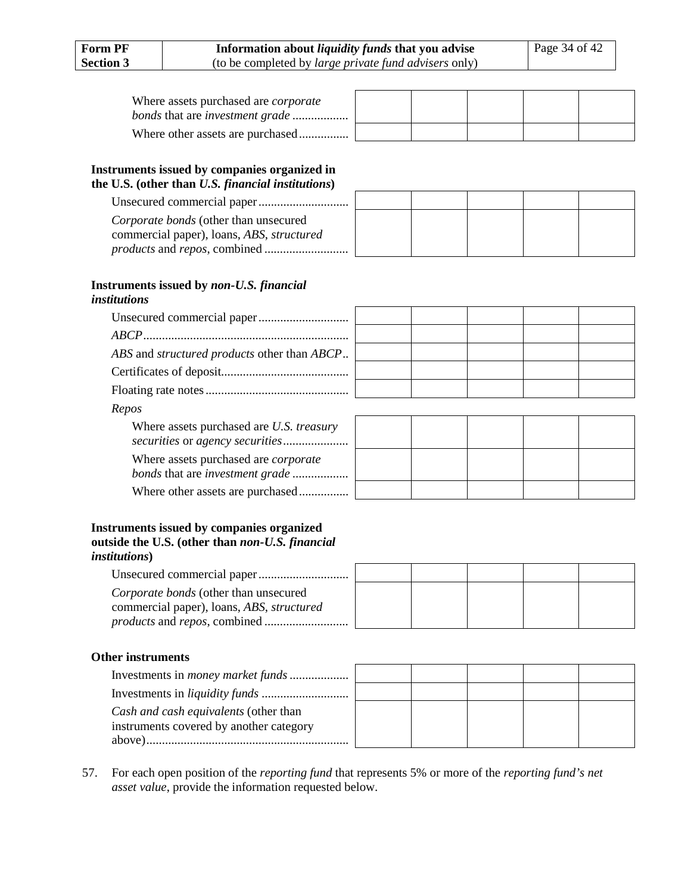| Where assets purchased are <i>corporate</i> |  |  |  |
|---------------------------------------------|--|--|--|
|                                             |  |  |  |

#### **Instruments issued by companies organized in the U.S. (other than** *U.S. financial institutions***)**

Unsecured commercial paper............................. *Corporate bonds* (other than unsecured commercial paper), loans, *ABS*, *structured products* and *repos*, combined *...........................*

| ٠ |  |  |  |
|---|--|--|--|
|   |  |  |  |
|   |  |  |  |
|   |  |  |  |

#### **Instruments issued by** *non-U.S. financial institutions*

| ABS and <i>structured products</i> other than ABCP                             |  |  |  |
|--------------------------------------------------------------------------------|--|--|--|
|                                                                                |  |  |  |
|                                                                                |  |  |  |
| Repos                                                                          |  |  |  |
| Where assets purchased are U.S. treasury                                       |  |  |  |
| Where assets purchased are <i>corporate</i><br>bonds that are investment grade |  |  |  |

#### **Instruments issued by companies organized outside the U.S. (other than** *non-U.S. financial institutions***)**

Where other assets are purchased................

Unsecured commercial paper............................. *Corporate bonds* (other than unsecured commercial paper), loans, *ABS*, *structured products* and *repos*, combined *...........................*

## **Other instruments**

| Investments in <i>money market funds</i> |  |  |  |
|------------------------------------------|--|--|--|
|                                          |  |  |  |
| Cash and cash equivalents (other than    |  |  |  |
| instruments covered by another category  |  |  |  |
|                                          |  |  |  |

57. For each open position of the *reporting fund* that represents 5% or more of the *reporting fund's net asset value*, provide the information requested below.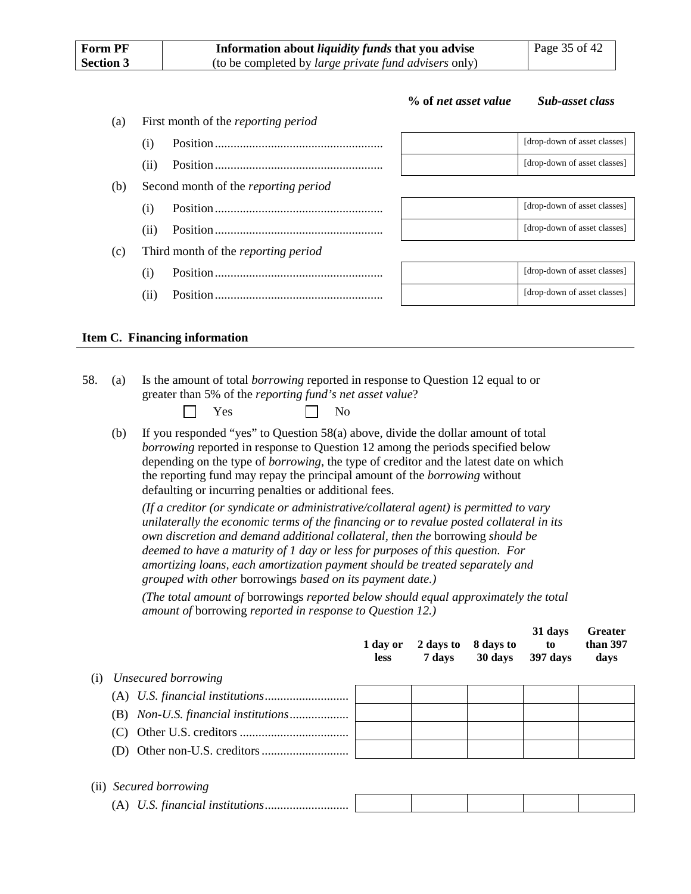| <b>Form PF</b><br>Information about <i>liquidity funds</i> that you advise<br><b>Section 3</b><br>(to be completed by <i>large private fund advisers</i> only) |      |                                             | Page 35 of 42        |                              |
|----------------------------------------------------------------------------------------------------------------------------------------------------------------|------|---------------------------------------------|----------------------|------------------------------|
|                                                                                                                                                                |      |                                             | % of net asset value | <b>Sub-asset class</b>       |
| (a)                                                                                                                                                            |      | First month of the <i>reporting period</i>  |                      |                              |
|                                                                                                                                                                | (i)  |                                             |                      | [drop-down of asset classes] |
|                                                                                                                                                                | (ii) |                                             |                      | [drop-down of asset classes] |
| (b)                                                                                                                                                            |      | Second month of the <i>reporting period</i> |                      |                              |
|                                                                                                                                                                | (i)  |                                             |                      | [drop-down of asset classes] |
|                                                                                                                                                                | (i)  |                                             |                      | [drop-down of asset classes] |
| (c)                                                                                                                                                            |      | Third month of the <i>reporting period</i>  |                      |                              |
|                                                                                                                                                                | (i)  |                                             |                      | [drop-down of asset classes] |
|                                                                                                                                                                | (i)  |                                             |                      | [drop-down of asset classes] |

#### **Item C. Financing information**

<span id="page-45-0"></span>58. (a) Is the amount of total *borrowing* reported in response to Question [12](#page-15-3) equal to or greater than 5% of the *reporting fund's net asset value*?

| $\sim$<br>es | <b>N</b> T<br>No |
|--------------|------------------|
| $\tilde{}$   |                  |

(b) If you responded "yes" to Question [58\(](#page-45-0)a) above, divide the dollar amount of total *borrowing* reported in response to Question [12](#page-15-3) among the periods specified below depending on the type of *borrowing*, the type of creditor and the latest date on which the reporting fund may repay the principal amount of the *borrowing* without defaulting or incurring penalties or additional fees.

*(If a creditor (or syndicate or administrative/collateral agent) is permitted to vary unilaterally the economic terms of the financing or to revalue posted collateral in its own discretion and demand additional collateral, then the* borrowing *should be deemed to have a maturity of 1 day or less for purposes of this question. For amortizing loans, each amortization payment should be treated separately and grouped with other* borrowings *based on its payment date.)*

*(The total amount of* borrowings *reported below should equal approximately the total amount of* borrowing *reported in response to Question [12.](#page-15-3))*

**31 days** 

**Greater** 

|     |                     | 1 day or<br><b>less</b> | 2 days to<br>7 days | 8 days to<br>30 days | JI uavs<br>to<br>397 days | <b>SI</b> Catcl<br>than 397<br>days |
|-----|---------------------|-------------------------|---------------------|----------------------|---------------------------|-------------------------------------|
| (1) | Unsecured borrowing |                         |                     |                      |                           |                                     |
|     |                     |                         |                     |                      |                           |                                     |
|     |                     |                         |                     |                      |                           |                                     |
|     |                     |                         |                     |                      |                           |                                     |
|     |                     |                         |                     |                      |                           |                                     |
|     |                     |                         |                     |                      |                           |                                     |

### (ii) *Secured borrowing*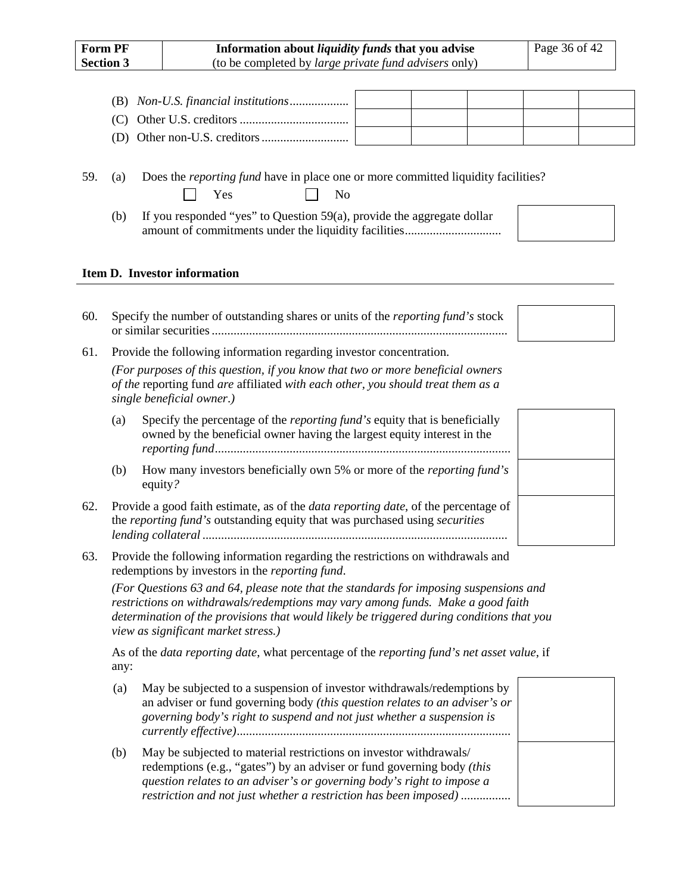| <b>Form PF</b><br><b>Section 3</b> | Information about <i>liquidity funds</i> that you advise<br>Page 36 of 42<br>(to be completed by <i>large private fund advisers</i> only) |  |  |  |  |  |
|------------------------------------|-------------------------------------------------------------------------------------------------------------------------------------------|--|--|--|--|--|
|                                    |                                                                                                                                           |  |  |  |  |  |
|                                    |                                                                                                                                           |  |  |  |  |  |
|                                    |                                                                                                                                           |  |  |  |  |  |

<span id="page-46-0"></span>

|  | 59. (a) Does the <i>reporting fund</i> have in place one or more committed liquidity facilities? |
|--|--------------------------------------------------------------------------------------------------|

| (b) | If you responded "yes" to Question 59(a), provide the aggregate dollar |  |
|-----|------------------------------------------------------------------------|--|
|     |                                                                        |  |

#### **Item D. Investor information**

| 60. | Specify the number of outstanding shares or units of the <i>reporting fund's</i> stock |
|-----|----------------------------------------------------------------------------------------|
|     |                                                                                        |

 $Yes \t\t \Box No$ 

61. Provide the following information regarding investor concentration.

(D) Other non-U.S. creditors............................

*(For purposes of this question, if you know that two or more beneficial owners of the* reporting fund *are* affiliated *with each other, you should treat them as a single beneficial owner*.*)*

- (a) Specify the percentage of the *reporting fund's* equity that is beneficially owned by the beneficial owner having the largest equity interest in the *reporting fund*...............................................................................................
- (b) How many investors beneficially own 5% or more of the *reporting fund's* equity*?*
- 62. Provide a good faith estimate, as of the *data reporting date*, of the percentage of the *reporting fund's* outstanding equity that was purchased using *securities lending collateral* ..................................................................................................
- <span id="page-46-1"></span>63. Provide the following information regarding the restrictions on withdrawals and redemptions by investors in the *reporting fund*.

*(For Questions [63](#page-46-1) an[d 64,](#page-47-0) please note that the standards for imposing suspensions and restrictions on withdrawals/redemptions may vary among funds. Make a good faith determination of the provisions that would likely be triggered during conditions that you view as significant market stress.)*

As of the *data reporting date*, what percentage of the *reporting fund's net asset value*, if any:

- (a) May be subjected to a suspension of investor withdrawals/redemptions by an adviser or fund governing body *(this question relates to an adviser's or governing body's right to suspend and not just whether a suspension is currently effective)*........................................................................................
- (b) May be subjected to material restrictions on investor withdrawals/ redemptions (e.g., "gates") by an adviser or fund governing body *(this question relates to an adviser's or governing body's right to impose a restriction and not just whether a restriction has been imposed)* ................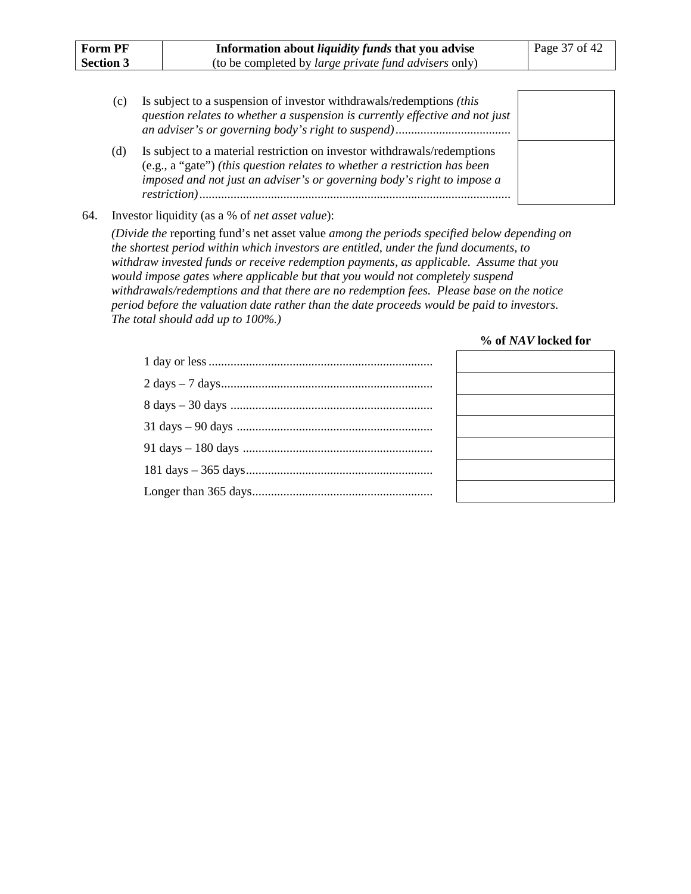| <b>Form PF</b><br><b>Section 3</b> | Information about <i>liquidity funds</i> that you advise<br>(to be completed by <i>large private fund advisers</i> only)                                                                                                                                 | Page 37 of 42 |
|------------------------------------|----------------------------------------------------------------------------------------------------------------------------------------------------------------------------------------------------------------------------------------------------------|---------------|
| (c)                                | Is subject to a suspension of investor withdrawals/redemptions <i>(this</i> )<br>question relates to whether a suspension is currently effective and not just                                                                                            |               |
| (d)                                | Is subject to a material restriction on investor withdrawals/redemptions<br>(e.g., a "gate") (this question relates to whether a restriction has been<br>imposed and not just an adviser's or governing body's right to impose a<br><i>restriction</i> ) |               |

#### <span id="page-47-0"></span>64. Investor liquidity (as a % of *net asset value*):

*(Divide the* reporting fund's net asset value *among the periods specified below depending on the shortest period within which investors are entitled, under the fund documents, to withdraw invested funds or receive redemption payments, as applicable. Assume that you would impose gates where applicable but that you would not completely suspend withdrawals/redemptions and that there are no redemption fees. Please base on the notice period before the valuation date rather than the date proceeds would be paid to investors. The total should add up to 100%.)*

#### **% of** *NAV* **locked for**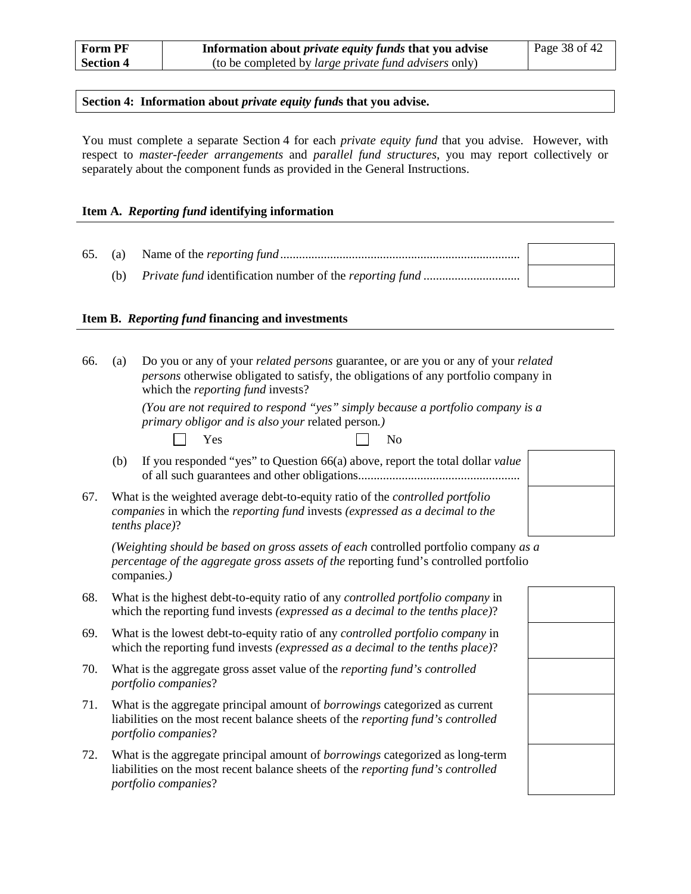#### **Section 4: Information about** *private equity fund***s that you advise.**

You must complete a separate Section 4 for each *private equity fund* that you advise. However, with respect to *master-feeder arrangements* and *parallel fund structures*, you may report collectively or separately about the component funds as provided in the General Instructions.

#### **Item A.** *Reporting fund* **identifying information**

#### **Item B.** *Reporting fund* **financing and investments**

<span id="page-48-0"></span>

| 66. | (a) | Do you or any of your <i>related persons</i> guarantee, or are you or any of your <i>related</i><br>persons otherwise obligated to satisfy, the obligations of any portfolio company in<br>which the <i>reporting fund</i> invests? |  |  |  |  |
|-----|-----|-------------------------------------------------------------------------------------------------------------------------------------------------------------------------------------------------------------------------------------|--|--|--|--|
|     |     | (You are not required to respond "yes" simply because a portfolio company is a<br>primary obligor and is also your related person.)<br>Yes<br>N <sub>o</sub>                                                                        |  |  |  |  |
|     | (b) | If you responded "yes" to Question 66(a) above, report the total dollar value                                                                                                                                                       |  |  |  |  |
| 67. |     | What is the weighted average debt-to-equity ratio of the controlled portfolio<br>companies in which the reporting fund invests (expressed as a decimal to the<br>tenths place)?                                                     |  |  |  |  |
|     |     | (Weighting should be based on gross assets of each controlled portfolio company as a<br>percentage of the aggregate gross assets of the reporting fund's controlled portfolio<br>companies.)                                        |  |  |  |  |
| 68. |     | What is the highest debt-to-equity ratio of any controlled portfolio company in<br>which the reporting fund invests (expressed as a decimal to the tenths place)?                                                                   |  |  |  |  |
| 69. |     | What is the lowest debt-to-equity ratio of any controlled portfolio company in<br>which the reporting fund invests (expressed as a decimal to the tenths place)?                                                                    |  |  |  |  |
| 70. |     | What is the aggregate gross asset value of the reporting fund's controlled<br>portfolio companies?                                                                                                                                  |  |  |  |  |
| 71. |     | What is the aggregate principal amount of <i>borrowings</i> categorized as current<br>liabilities on the most recent balance sheets of the reporting fund's controlled<br>portfolio companies?                                      |  |  |  |  |
| 72. |     | What is the aggregate principal amount of <i>borrowings</i> categorized as long-term<br>liabilities on the most recent balance sheets of the reporting fund's controlled<br>portfolio companies?                                    |  |  |  |  |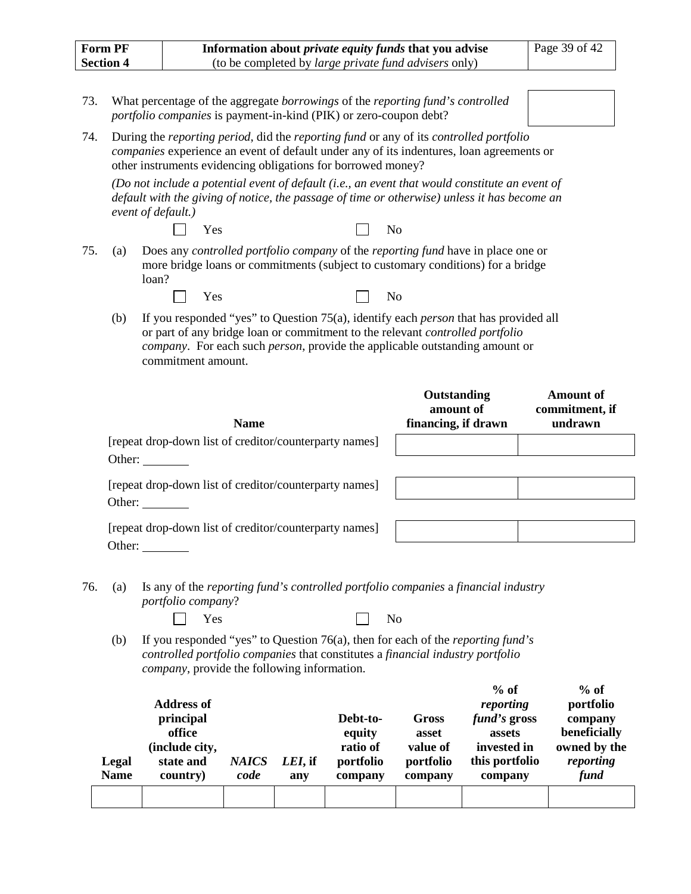| <b>Form PF</b>   | Information about <i>private equity funds</i> that you advise | Page 39 of 42 |
|------------------|---------------------------------------------------------------|---------------|
| <b>Section 4</b> | (to be completed by <i>large private fund advisers</i> only)  |               |

- 73. What percentage of the aggregate *borrowings* of the *reporting fund's controlled portfolio companies* is payment-in-kind (PIK) or zero-coupon debt?
- 74. During the *reporting period*, did the *reporting fund* or any of its *controlled portfolio companies* experience an event of default under any of its indentures, loan agreements or other instruments evidencing obligations for borrowed money?

*(Do not include a potential event of default (i.e., an event that would constitute an event of default with the giving of notice, the passage of time or otherwise) unless it has become an event of default.)*

| $\Box$ Yes |  | $\vert \vert$ No |  |
|------------|--|------------------|--|
|------------|--|------------------|--|

<span id="page-49-0"></span>75. (a) Does any *controlled portfolio company* of the *reporting fund* have in place one or more bridge loans or commitments (subject to customary conditions) for a bridge loan?

П

| Yes |  | No |
|-----|--|----|
|     |  |    |

(b) If you responded "yes" to Question [75\(](#page-49-0)a), identify each *person* that has provided all or part of any bridge loan or commitment to the relevant *controlled portfolio company*. For each such *person*, provide the applicable outstanding amount or commitment amount.

| <b>Name</b>                                                                      | Outstanding<br>amount of<br>financing, if drawn | Amount of<br>commitment, if<br>undrawn |
|----------------------------------------------------------------------------------|-------------------------------------------------|----------------------------------------|
| [repeat drop-down list of creditor/counterparty names]<br>Other:                 |                                                 |                                        |
| [repeat drop-down list of creditor/counterparty names]<br>Other: $\qquad \qquad$ |                                                 |                                        |
| [repeat drop-down list of creditor/counterparty names]<br>Other:                 |                                                 |                                        |

<span id="page-49-1"></span>76. (a) Is any of the *reporting fund's controlled portfolio companies* a *financial industry portfolio company*?

| المنابع<br>Yes | No |
|----------------|----|
|----------------|----|

 $\sqrt{ }$ 

(b) If you responded "yes" to Question [76\(](#page-49-1)a), then for each of the *reporting fund's controlled portfolio companies* that constitutes a *financial industry portfolio company*, provide the following information.

| Legal<br><b>Name</b> | <b>Address of</b><br>principal<br>office<br>(include city,<br>state and<br>country) | <b>NAICS</b><br>code | LEI, if<br>any | Debt-to-<br>equity<br>ratio of<br>portfolio<br>company | <b>Gross</b><br>asset<br>value of<br>portfolio<br>company | $%$ of<br>reporting<br><i>fund's</i> gross<br>assets<br>invested in<br>this portfolio<br>company | $%$ of<br>portfolio<br>company<br>beneficially<br>owned by the<br>reporting<br>fund |
|----------------------|-------------------------------------------------------------------------------------|----------------------|----------------|--------------------------------------------------------|-----------------------------------------------------------|--------------------------------------------------------------------------------------------------|-------------------------------------------------------------------------------------|
|                      |                                                                                     |                      |                |                                                        |                                                           |                                                                                                  |                                                                                     |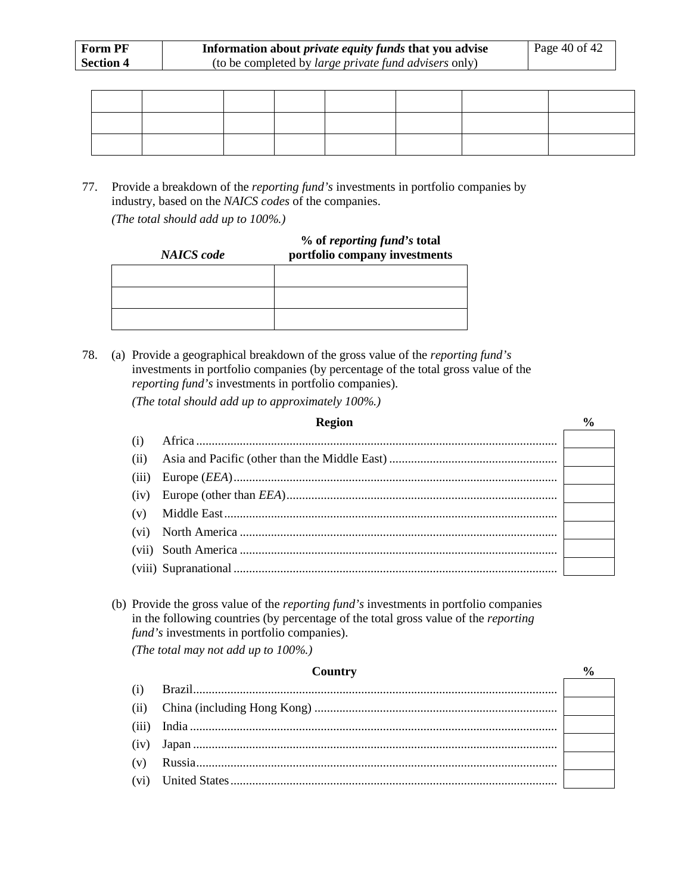77. Provide a breakdown of the *reporting fund's* investments in portfolio companies by industry, based on the *NAICS codes* of the companies. *(The total should add up to 100%.)*

#### **% of** *reporting fund's* **total portfolio company investments**

78. (a) Provide a geographical breakdown of the gross value of the *reporting fund's* investments in portfolio companies (by percentage of the total gross value of the *reporting fund's* investments in portfolio companies).

*(The total should add up to approximately 100%.)*

*NAICS code*

|       | <b>Region</b> |  |
|-------|---------------|--|
| (i)   |               |  |
| (ii)  |               |  |
| (iii) |               |  |
| (iv)  |               |  |
| (v)   |               |  |
| (vi)  |               |  |
|       |               |  |
|       |               |  |

(b) Provide the gross value of the *reporting fund's* investments in portfolio companies in the following countries (by percentage of the total gross value of the *reporting fund's* investments in portfolio companies).

*(The total may not add up to 100%.)*

# **Country %** (i) Brazil..................................................................................................................... (ii) China (including Hong Kong) .............................................................................. (iii) India ...................................................................................................................... (iv) Japan ..................................................................................................................... (v) Russia.................................................................................................................... (vi) United States.........................................................................................................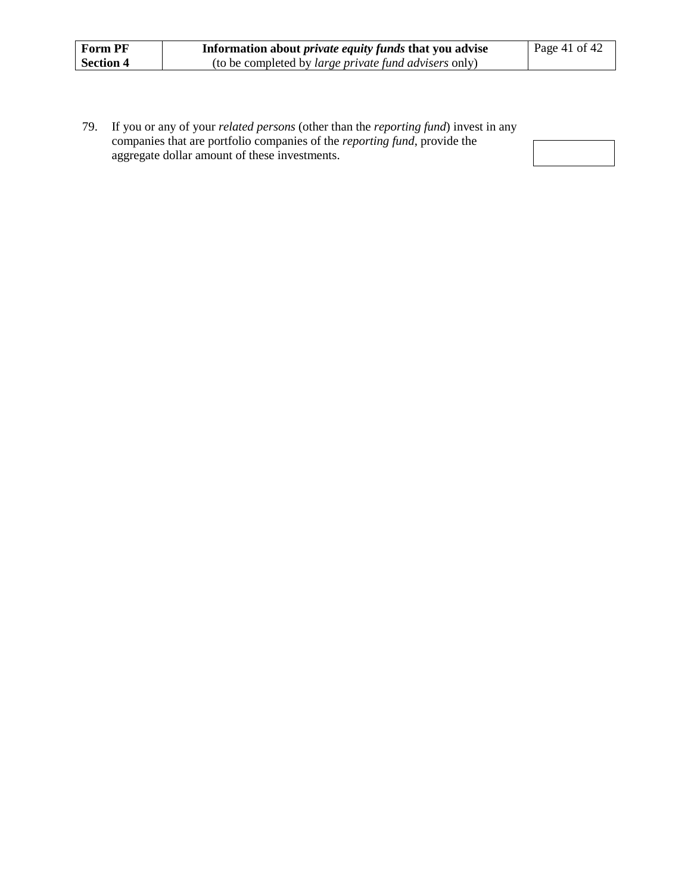| <b>Form PF</b>   | Information about <i>private equity funds</i> that you advise | l Page 41 of 42 |
|------------------|---------------------------------------------------------------|-----------------|
| <b>Section 4</b> | (to be completed by <i>large private fund advisers</i> only)  |                 |

79. If you or any of your *related persons* (other than the *reporting fund*) invest in any companies that are portfolio companies of the *reporting fund*, provide the aggregate dollar amount of these investments.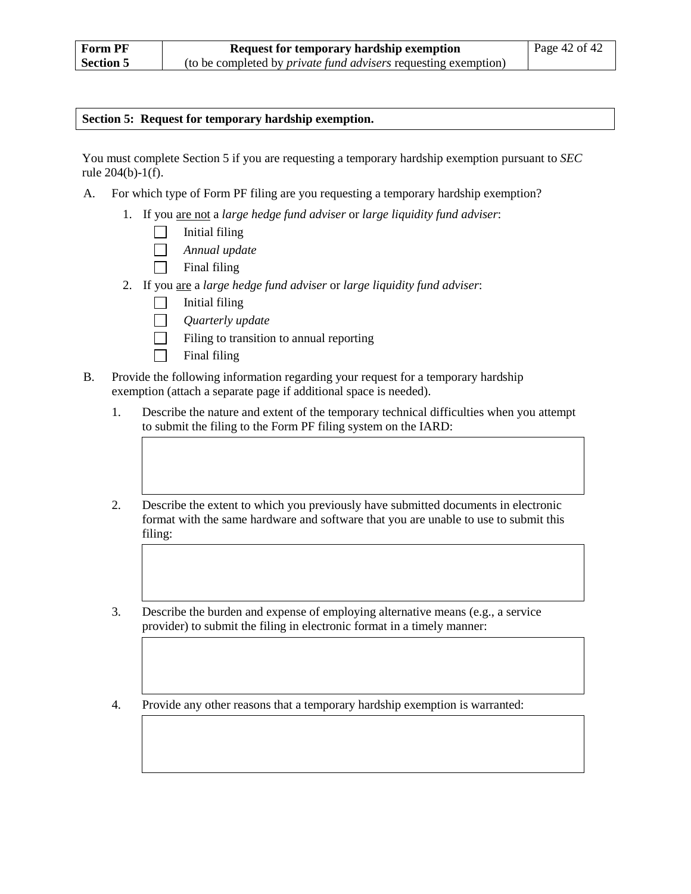#### **Section 5: Request for temporary hardship exemption.**

You must complete Section 5 if you are requesting a temporary hardship exemption pursuant to *SEC* rule 204(b)-1(f).

- A. For which type of Form PF filing are you requesting a temporary hardship exemption?
	- 1. If you are not a *large hedge fund adviser* or *large liquidity fund adviser*:
		- $\Box$ Initial filing
		- $\Box$ *Annual update*
		- Final filing  $\Box$
	- 2. If you are a *large hedge fund adviser* or *large liquidity fund adviser*:
		- $\Box$ Initial filing
		- *Quarterly update*  $\Box$
		- $\Box$ Filing to transition to annual reporting
		- $\Box$ Final filing
- B. Provide the following information regarding your request for a temporary hardship exemption (attach a separate page if additional space is needed).
	- 1. Describe the nature and extent of the temporary technical difficulties when you attempt to submit the filing to the Form PF filing system on the IARD:
	- 2. Describe the extent to which you previously have submitted documents in electronic format with the same hardware and software that you are unable to use to submit this filing:
	- 3. Describe the burden and expense of employing alternative means (e.g., a service provider) to submit the filing in electronic format in a timely manner:
	- 4. Provide any other reasons that a temporary hardship exemption is warranted: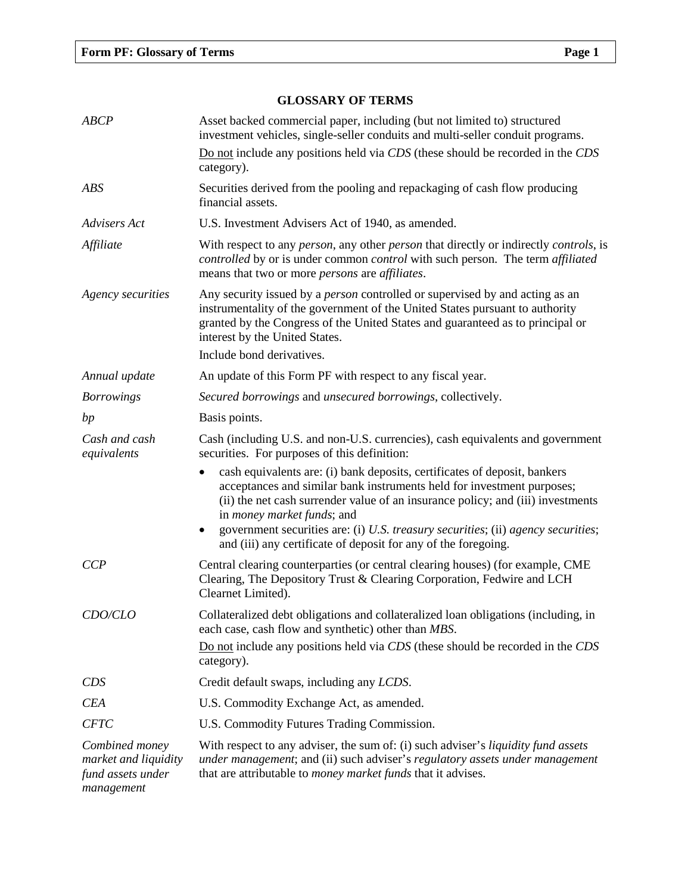### **GLOSSARY OF TERMS**

| <b>ABCP</b>                                                               | Asset backed commercial paper, including (but not limited to) structured<br>investment vehicles, single-seller conduits and multi-seller conduit programs.                                                                                                                                                                                                                                                                         |
|---------------------------------------------------------------------------|------------------------------------------------------------------------------------------------------------------------------------------------------------------------------------------------------------------------------------------------------------------------------------------------------------------------------------------------------------------------------------------------------------------------------------|
|                                                                           | Do not include any positions held via CDS (these should be recorded in the CDS<br>category).                                                                                                                                                                                                                                                                                                                                       |
| <b>ABS</b>                                                                | Securities derived from the pooling and repackaging of cash flow producing<br>financial assets.                                                                                                                                                                                                                                                                                                                                    |
| Advisers Act                                                              | U.S. Investment Advisers Act of 1940, as amended.                                                                                                                                                                                                                                                                                                                                                                                  |
| Affiliate                                                                 | With respect to any <i>person</i> , any other <i>person</i> that directly or indirectly <i>controls</i> , is<br>controlled by or is under common control with such person. The term affiliated<br>means that two or more <i>persons</i> are <i>affiliates</i> .                                                                                                                                                                    |
| Agency securities                                                         | Any security issued by a <i>person</i> controlled or supervised by and acting as an<br>instrumentality of the government of the United States pursuant to authority<br>granted by the Congress of the United States and guaranteed as to principal or<br>interest by the United States.                                                                                                                                            |
|                                                                           | Include bond derivatives.                                                                                                                                                                                                                                                                                                                                                                                                          |
| Annual update                                                             | An update of this Form PF with respect to any fiscal year.                                                                                                                                                                                                                                                                                                                                                                         |
| <b>Borrowings</b>                                                         | Secured borrowings and unsecured borrowings, collectively.                                                                                                                                                                                                                                                                                                                                                                         |
| bp                                                                        | Basis points.                                                                                                                                                                                                                                                                                                                                                                                                                      |
| Cash and cash<br>equivalents                                              | Cash (including U.S. and non-U.S. currencies), cash equivalents and government<br>securities. For purposes of this definition:                                                                                                                                                                                                                                                                                                     |
|                                                                           | cash equivalents are: (i) bank deposits, certificates of deposit, bankers<br>acceptances and similar bank instruments held for investment purposes;<br>(ii) the net cash surrender value of an insurance policy; and (iii) investments<br>in <i>money market funds</i> ; and<br>government securities are: (i) U.S. treasury securities; (ii) agency securities;<br>and (iii) any certificate of deposit for any of the foregoing. |
| CCP                                                                       | Central clearing counterparties (or central clearing houses) (for example, CME<br>Clearing, The Depository Trust & Clearing Corporation, Fedwire and LCH<br>Clearnet Limited).                                                                                                                                                                                                                                                     |
| CDO/CLO                                                                   | Collateralized debt obligations and collateralized loan obligations (including, in<br>each case, cash flow and synthetic) other than MBS.<br>Do not include any positions held via CDS (these should be recorded in the CDS<br>category).                                                                                                                                                                                          |
| <b>CDS</b>                                                                | Credit default swaps, including any LCDS.                                                                                                                                                                                                                                                                                                                                                                                          |
| <b>CEA</b>                                                                | U.S. Commodity Exchange Act, as amended.                                                                                                                                                                                                                                                                                                                                                                                           |
| <b>CFTC</b>                                                               | U.S. Commodity Futures Trading Commission.                                                                                                                                                                                                                                                                                                                                                                                         |
| Combined money<br>market and liquidity<br>fund assets under<br>management | With respect to any adviser, the sum of: (i) such adviser's <i>liquidity fund assets</i><br>under management; and (ii) such adviser's regulatory assets under management<br>that are attributable to <i>money market funds</i> that it advises.                                                                                                                                                                                    |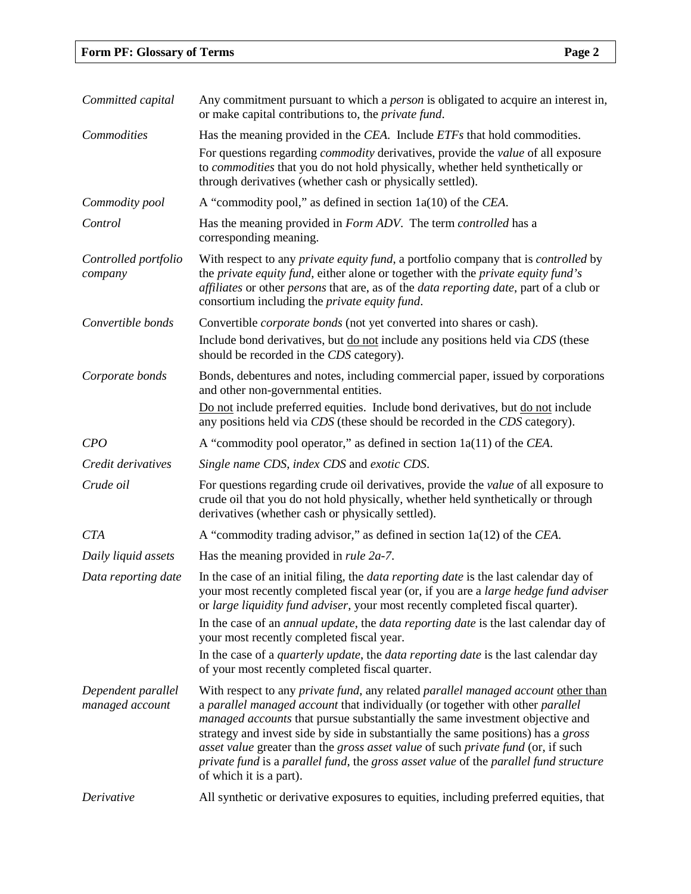| Committed capital                     | Any commitment pursuant to which a <i>person</i> is obligated to acquire an interest in,<br>or make capital contributions to, the <i>private fund</i> .                                                                                                                                                                                                                                                                                                                                                                                         |
|---------------------------------------|-------------------------------------------------------------------------------------------------------------------------------------------------------------------------------------------------------------------------------------------------------------------------------------------------------------------------------------------------------------------------------------------------------------------------------------------------------------------------------------------------------------------------------------------------|
| Commodities                           | Has the meaning provided in the CEA. Include ETFs that hold commodities.                                                                                                                                                                                                                                                                                                                                                                                                                                                                        |
|                                       | For questions regarding <i>commodity</i> derivatives, provide the <i>value</i> of all exposure<br>to <i>commodities</i> that you do not hold physically, whether held synthetically or<br>through derivatives (whether cash or physically settled).                                                                                                                                                                                                                                                                                             |
| Commodity pool                        | A "commodity pool," as defined in section $1a(10)$ of the <i>CEA</i> .                                                                                                                                                                                                                                                                                                                                                                                                                                                                          |
| Control                               | Has the meaning provided in Form ADV. The term controlled has a<br>corresponding meaning.                                                                                                                                                                                                                                                                                                                                                                                                                                                       |
| Controlled portfolio<br>company       | With respect to any <i>private equity fund</i> , a portfolio company that is <i>controlled</i> by<br>the private equity fund, either alone or together with the private equity fund's<br>affiliates or other persons that are, as of the data reporting date, part of a club or<br>consortium including the <i>private equity fund</i> .                                                                                                                                                                                                        |
| Convertible bonds                     | Convertible <i>corporate bonds</i> (not yet converted into shares or cash).                                                                                                                                                                                                                                                                                                                                                                                                                                                                     |
|                                       | Include bond derivatives, but do not include any positions held via CDS (these<br>should be recorded in the CDS category).                                                                                                                                                                                                                                                                                                                                                                                                                      |
| Corporate bonds                       | Bonds, debentures and notes, including commercial paper, issued by corporations<br>and other non-governmental entities.                                                                                                                                                                                                                                                                                                                                                                                                                         |
|                                       | Do not include preferred equities. Include bond derivatives, but do not include<br>any positions held via CDS (these should be recorded in the CDS category).                                                                                                                                                                                                                                                                                                                                                                                   |
| CPO                                   | A "commodity pool operator," as defined in section $1a(11)$ of the CEA.                                                                                                                                                                                                                                                                                                                                                                                                                                                                         |
| Credit derivatives                    | Single name CDS, index CDS and exotic CDS.                                                                                                                                                                                                                                                                                                                                                                                                                                                                                                      |
| Crude oil                             | For questions regarding crude oil derivatives, provide the <i>value</i> of all exposure to<br>crude oil that you do not hold physically, whether held synthetically or through<br>derivatives (whether cash or physically settled).                                                                                                                                                                                                                                                                                                             |
| <b>CTA</b>                            | A "commodity trading advisor," as defined in section $1a(12)$ of the CEA.                                                                                                                                                                                                                                                                                                                                                                                                                                                                       |
| Daily liquid assets                   | Has the meaning provided in <i>rule 2a-7</i> .                                                                                                                                                                                                                                                                                                                                                                                                                                                                                                  |
| Data reporting date                   | In the case of an initial filing, the <i>data reporting date</i> is the last calendar day of<br>your most recently completed fiscal year (or, if you are a large hedge fund adviser<br>or large liquidity fund adviser, your most recently completed fiscal quarter).                                                                                                                                                                                                                                                                           |
|                                       | In the case of an <i>annual update</i> , the <i>data reporting date</i> is the last calendar day of<br>your most recently completed fiscal year.                                                                                                                                                                                                                                                                                                                                                                                                |
|                                       | In the case of a <i>quarterly update</i> , the <i>data reporting date</i> is the last calendar day<br>of your most recently completed fiscal quarter.                                                                                                                                                                                                                                                                                                                                                                                           |
| Dependent parallel<br>managed account | With respect to any private fund, any related parallel managed account other than<br>a parallel managed account that individually (or together with other parallel<br>managed accounts that pursue substantially the same investment objective and<br>strategy and invest side by side in substantially the same positions) has a gross<br>asset value greater than the gross asset value of such private fund (or, if such<br>private fund is a parallel fund, the gross asset value of the parallel fund structure<br>of which it is a part). |
| Derivative                            | All synthetic or derivative exposures to equities, including preferred equities, that                                                                                                                                                                                                                                                                                                                                                                                                                                                           |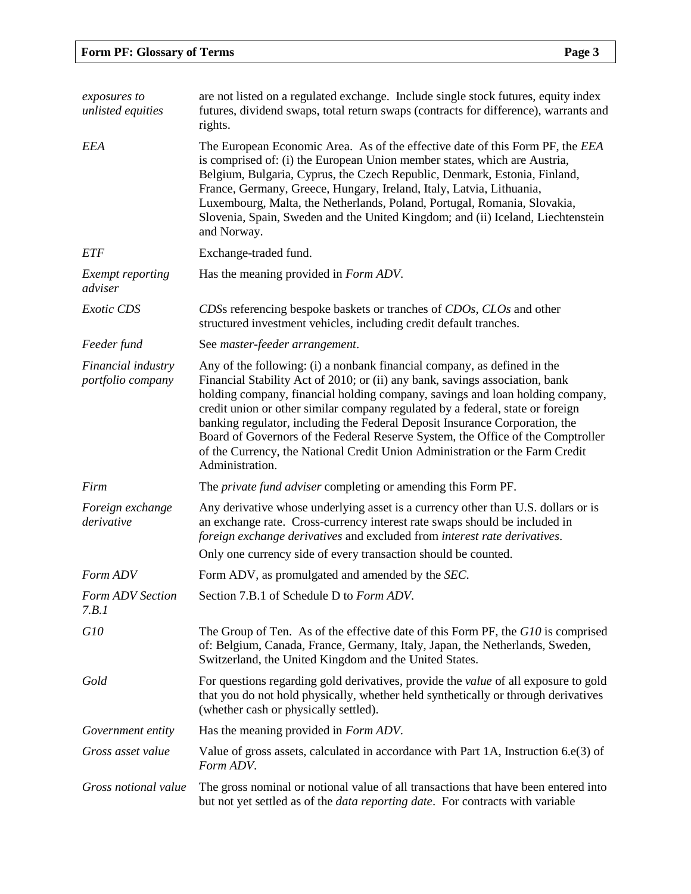| exposures to<br>unlisted equities       | are not listed on a regulated exchange. Include single stock futures, equity index<br>futures, dividend swaps, total return swaps (contracts for difference), warrants and<br>rights.                                                                                                                                                                                                                                                                                                                                                                                                            |
|-----------------------------------------|--------------------------------------------------------------------------------------------------------------------------------------------------------------------------------------------------------------------------------------------------------------------------------------------------------------------------------------------------------------------------------------------------------------------------------------------------------------------------------------------------------------------------------------------------------------------------------------------------|
| <b>EEA</b>                              | The European Economic Area. As of the effective date of this Form PF, the EEA<br>is comprised of: (i) the European Union member states, which are Austria,<br>Belgium, Bulgaria, Cyprus, the Czech Republic, Denmark, Estonia, Finland,<br>France, Germany, Greece, Hungary, Ireland, Italy, Latvia, Lithuania,<br>Luxembourg, Malta, the Netherlands, Poland, Portugal, Romania, Slovakia,<br>Slovenia, Spain, Sweden and the United Kingdom; and (ii) Iceland, Liechtenstein<br>and Norway.                                                                                                    |
| <b>ETF</b>                              | Exchange-traded fund.                                                                                                                                                                                                                                                                                                                                                                                                                                                                                                                                                                            |
| Exempt reporting<br>adviser             | Has the meaning provided in <i>Form ADV</i> .                                                                                                                                                                                                                                                                                                                                                                                                                                                                                                                                                    |
| <b>Exotic CDS</b>                       | CDSs referencing bespoke baskets or tranches of CDOs, CLOs and other<br>structured investment vehicles, including credit default tranches.                                                                                                                                                                                                                                                                                                                                                                                                                                                       |
| Feeder fund                             | See master-feeder arrangement.                                                                                                                                                                                                                                                                                                                                                                                                                                                                                                                                                                   |
| Financial industry<br>portfolio company | Any of the following: (i) a nonbank financial company, as defined in the<br>Financial Stability Act of 2010; or (ii) any bank, savings association, bank<br>holding company, financial holding company, savings and loan holding company,<br>credit union or other similar company regulated by a federal, state or foreign<br>banking regulator, including the Federal Deposit Insurance Corporation, the<br>Board of Governors of the Federal Reserve System, the Office of the Comptroller<br>of the Currency, the National Credit Union Administration or the Farm Credit<br>Administration. |
| Firm                                    | The <i>private fund adviser</i> completing or amending this Form PF.                                                                                                                                                                                                                                                                                                                                                                                                                                                                                                                             |
| Foreign exchange<br>derivative          | Any derivative whose underlying asset is a currency other than U.S. dollars or is<br>an exchange rate. Cross-currency interest rate swaps should be included in<br>foreign exchange derivatives and excluded from interest rate derivatives.                                                                                                                                                                                                                                                                                                                                                     |
|                                         | Only one currency side of every transaction should be counted.                                                                                                                                                                                                                                                                                                                                                                                                                                                                                                                                   |
| Form ADV                                | Form ADV, as promulgated and amended by the SEC.                                                                                                                                                                                                                                                                                                                                                                                                                                                                                                                                                 |
| Form ADV Section<br>7.B.1               | Section 7.B.1 of Schedule D to Form ADV.                                                                                                                                                                                                                                                                                                                                                                                                                                                                                                                                                         |
| G10                                     | The Group of Ten. As of the effective date of this Form PF, the G10 is comprised<br>of: Belgium, Canada, France, Germany, Italy, Japan, the Netherlands, Sweden,<br>Switzerland, the United Kingdom and the United States.                                                                                                                                                                                                                                                                                                                                                                       |
| Gold                                    | For questions regarding gold derivatives, provide the value of all exposure to gold<br>that you do not hold physically, whether held synthetically or through derivatives<br>(whether cash or physically settled).                                                                                                                                                                                                                                                                                                                                                                               |
| Government entity                       | Has the meaning provided in <i>Form ADV</i> .                                                                                                                                                                                                                                                                                                                                                                                                                                                                                                                                                    |
| Gross asset value                       | Value of gross assets, calculated in accordance with Part 1A, Instruction 6.e(3) of<br>Form ADV.                                                                                                                                                                                                                                                                                                                                                                                                                                                                                                 |
| Gross notional value                    | The gross nominal or notional value of all transactions that have been entered into<br>but not yet settled as of the <i>data reporting date</i> . For contracts with variable                                                                                                                                                                                                                                                                                                                                                                                                                    |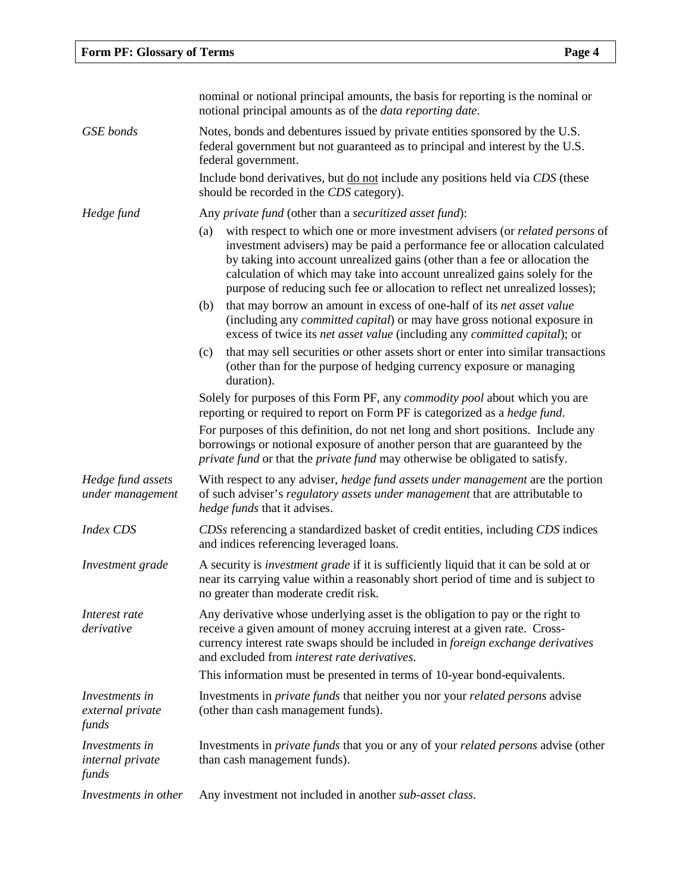|                                                           | nominal or notional principal amounts, the basis for reporting is the nominal or<br>notional principal amounts as of the <i>data reporting date</i> .                                                                                                                                                                                                                                                                   |
|-----------------------------------------------------------|-------------------------------------------------------------------------------------------------------------------------------------------------------------------------------------------------------------------------------------------------------------------------------------------------------------------------------------------------------------------------------------------------------------------------|
| <b>GSE</b> bonds                                          | Notes, bonds and debentures issued by private entities sponsored by the U.S.<br>federal government but not guaranteed as to principal and interest by the U.S.<br>federal government.                                                                                                                                                                                                                                   |
|                                                           | Include bond derivatives, but <u>do not</u> include any positions held via CDS (these<br>should be recorded in the CDS category).                                                                                                                                                                                                                                                                                       |
| Hedge fund                                                | Any private fund (other than a securitized asset fund):                                                                                                                                                                                                                                                                                                                                                                 |
|                                                           | with respect to which one or more investment advisers (or <i>related persons</i> of<br>(a)<br>investment advisers) may be paid a performance fee or allocation calculated<br>by taking into account unrealized gains (other than a fee or allocation the<br>calculation of which may take into account unrealized gains solely for the<br>purpose of reducing such fee or allocation to reflect net unrealized losses); |
|                                                           | that may borrow an amount in excess of one-half of its net asset value<br>(b)<br>(including any <i>committed capital</i> ) or may have gross notional exposure in<br>excess of twice its net asset value (including any committed capital); or                                                                                                                                                                          |
|                                                           | that may sell securities or other assets short or enter into similar transactions<br>(c)<br>(other than for the purpose of hedging currency exposure or managing<br>duration).                                                                                                                                                                                                                                          |
|                                                           | Solely for purposes of this Form PF, any <i>commodity pool</i> about which you are<br>reporting or required to report on Form PF is categorized as a hedge fund.                                                                                                                                                                                                                                                        |
|                                                           | For purposes of this definition, do not net long and short positions. Include any<br>borrowings or notional exposure of another person that are guaranteed by the<br>private fund or that the private fund may otherwise be obligated to satisfy.                                                                                                                                                                       |
| Hedge fund assets<br>under management                     | With respect to any adviser, hedge fund assets under management are the portion<br>of such adviser's regulatory assets under management that are attributable to<br>hedge funds that it advises.                                                                                                                                                                                                                        |
| <b>Index CDS</b>                                          | CDSs referencing a standardized basket of credit entities, including CDS indices<br>and indices referencing leveraged loans.                                                                                                                                                                                                                                                                                            |
| Investment grade                                          | A security is <i>investment grade</i> if it is sufficiently liquid that it can be sold at or<br>near its carrying value within a reasonably short period of time and is subject to<br>no greater than moderate credit risk.                                                                                                                                                                                             |
| Interest rate<br>derivative                               | Any derivative whose underlying asset is the obligation to pay or the right to<br>receive a given amount of money accruing interest at a given rate. Cross-<br>currency interest rate swaps should be included in foreign exchange derivatives<br>and excluded from interest rate derivatives.                                                                                                                          |
|                                                           | This information must be presented in terms of 10-year bond-equivalents.                                                                                                                                                                                                                                                                                                                                                |
| Investments in<br>external private<br>funds               | Investments in <i>private funds</i> that neither you nor your <i>related persons</i> advise<br>(other than cash management funds).                                                                                                                                                                                                                                                                                      |
| <i>Investments in</i><br><i>internal private</i><br>funds | Investments in <i>private funds</i> that you or any of your <i>related persons</i> advise (other<br>than cash management funds).                                                                                                                                                                                                                                                                                        |
| Investments in other                                      | Any investment not included in another sub-asset class.                                                                                                                                                                                                                                                                                                                                                                 |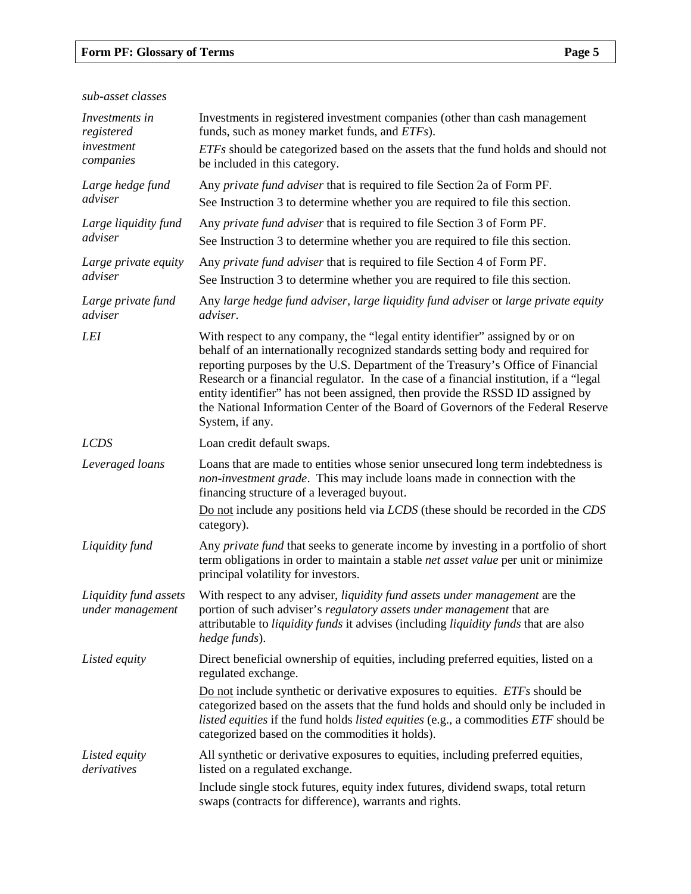# **Form PF: Glossary of Terms Page 5**

*sub-asset classes*

| Investments in<br>registered              | Investments in registered investment companies (other than cash management<br>funds, such as money market funds, and <i>ETFs</i> ).                                                                                                                                                                                                                                                                                                                                                                                                   |
|-------------------------------------------|---------------------------------------------------------------------------------------------------------------------------------------------------------------------------------------------------------------------------------------------------------------------------------------------------------------------------------------------------------------------------------------------------------------------------------------------------------------------------------------------------------------------------------------|
| investment<br>companies                   | ETFs should be categorized based on the assets that the fund holds and should not<br>be included in this category.                                                                                                                                                                                                                                                                                                                                                                                                                    |
| Large hedge fund                          | Any private fund adviser that is required to file Section 2a of Form PF.                                                                                                                                                                                                                                                                                                                                                                                                                                                              |
| adviser                                   | See Instruction 3 to determine whether you are required to file this section.                                                                                                                                                                                                                                                                                                                                                                                                                                                         |
| Large liquidity fund<br>adviser           | Any <i>private fund adviser</i> that is required to file Section 3 of Form PF.<br>See Instruction 3 to determine whether you are required to file this section.                                                                                                                                                                                                                                                                                                                                                                       |
| Large private equity                      | Any <i>private fund adviser</i> that is required to file Section 4 of Form PF.                                                                                                                                                                                                                                                                                                                                                                                                                                                        |
| adviser                                   | See Instruction 3 to determine whether you are required to file this section.                                                                                                                                                                                                                                                                                                                                                                                                                                                         |
| Large private fund<br>adviser             | Any large hedge fund adviser, large liquidity fund adviser or large private equity<br>adviser.                                                                                                                                                                                                                                                                                                                                                                                                                                        |
| <b>LEI</b>                                | With respect to any company, the "legal entity identifier" assigned by or on<br>behalf of an internationally recognized standards setting body and required for<br>reporting purposes by the U.S. Department of the Treasury's Office of Financial<br>Research or a financial regulator. In the case of a financial institution, if a "legal<br>entity identifier" has not been assigned, then provide the RSSD ID assigned by<br>the National Information Center of the Board of Governors of the Federal Reserve<br>System, if any. |
| <b>LCDS</b>                               | Loan credit default swaps.                                                                                                                                                                                                                                                                                                                                                                                                                                                                                                            |
| Leveraged loans                           | Loans that are made to entities whose senior unsecured long term indebtedness is<br>non-investment grade. This may include loans made in connection with the<br>financing structure of a leveraged buyout.                                                                                                                                                                                                                                                                                                                            |
|                                           | Do not include any positions held via LCDS (these should be recorded in the CDS<br>category).                                                                                                                                                                                                                                                                                                                                                                                                                                         |
| Liquidity fund                            | Any <i>private fund</i> that seeks to generate income by investing in a portfolio of short<br>term obligations in order to maintain a stable net asset value per unit or minimize<br>principal volatility for investors.                                                                                                                                                                                                                                                                                                              |
| Liquidity fund assets<br>under management | With respect to any adviser, liquidity fund assets under management are the<br>portion of such adviser's regulatory assets under management that are<br>attributable to <i>liquidity funds</i> it advises (including <i>liquidity funds</i> that are also<br>hedge funds).                                                                                                                                                                                                                                                            |
| Listed equity                             | Direct beneficial ownership of equities, including preferred equities, listed on a<br>regulated exchange.                                                                                                                                                                                                                                                                                                                                                                                                                             |
|                                           | Do not include synthetic or derivative exposures to equities. <i>ETFs</i> should be<br>categorized based on the assets that the fund holds and should only be included in<br>listed equities if the fund holds listed equities (e.g., a commodities ETF should be<br>categorized based on the commodities it holds).                                                                                                                                                                                                                  |
| Listed equity<br>derivatives              | All synthetic or derivative exposures to equities, including preferred equities,<br>listed on a regulated exchange.                                                                                                                                                                                                                                                                                                                                                                                                                   |
|                                           | Include single stock futures, equity index futures, dividend swaps, total return<br>swaps (contracts for difference), warrants and rights.                                                                                                                                                                                                                                                                                                                                                                                            |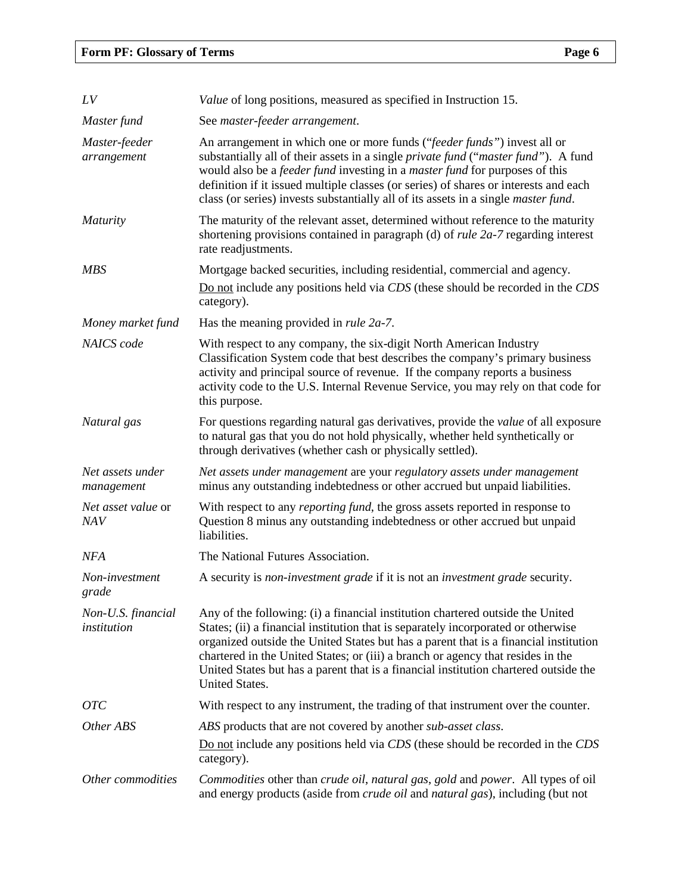| LV                                | Value of long positions, measured as specified in Instruction 15.                                                                                                                                                                                                                                                                                                                                                                                                 |
|-----------------------------------|-------------------------------------------------------------------------------------------------------------------------------------------------------------------------------------------------------------------------------------------------------------------------------------------------------------------------------------------------------------------------------------------------------------------------------------------------------------------|
| Master fund                       | See master-feeder arrangement.                                                                                                                                                                                                                                                                                                                                                                                                                                    |
| Master-feeder<br>arrangement      | An arrangement in which one or more funds ("feeder funds") invest all or<br>substantially all of their assets in a single <i>private fund</i> (" <i>master fund</i> "). A fund<br>would also be a <i>feeder fund</i> investing in a <i>master fund</i> for purposes of this<br>definition if it issued multiple classes (or series) of shares or interests and each<br>class (or series) invests substantially all of its assets in a single <i>master fund</i> . |
| <i>Maturity</i>                   | The maturity of the relevant asset, determined without reference to the maturity<br>shortening provisions contained in paragraph (d) of <i>rule 2a-7</i> regarding interest<br>rate readjustments.                                                                                                                                                                                                                                                                |
| <b>MBS</b>                        | Mortgage backed securities, including residential, commercial and agency.<br>Do not include any positions held via CDS (these should be recorded in the CDS<br>category).                                                                                                                                                                                                                                                                                         |
| Money market fund                 | Has the meaning provided in <i>rule 2a-7</i> .                                                                                                                                                                                                                                                                                                                                                                                                                    |
| <b>NAICS</b> code                 | With respect to any company, the six-digit North American Industry<br>Classification System code that best describes the company's primary business<br>activity and principal source of revenue. If the company reports a business<br>activity code to the U.S. Internal Revenue Service, you may rely on that code for<br>this purpose.                                                                                                                          |
| Natural gas                       | For questions regarding natural gas derivatives, provide the <i>value</i> of all exposure<br>to natural gas that you do not hold physically, whether held synthetically or<br>through derivatives (whether cash or physically settled).                                                                                                                                                                                                                           |
| Net assets under<br>management    | Net assets under management are your regulatory assets under management<br>minus any outstanding indebtedness or other accrued but unpaid liabilities.                                                                                                                                                                                                                                                                                                            |
| Net asset value or<br><b>NAV</b>  | With respect to any <i>reporting fund</i> , the gross assets reported in response to<br>Question 8 minus any outstanding indebtedness or other accrued but unpaid<br>liabilities.                                                                                                                                                                                                                                                                                 |
| NFA                               | The National Futures Association.                                                                                                                                                                                                                                                                                                                                                                                                                                 |
| Non-investment<br>grade           | A security is non-investment grade if it is not an investment grade security.                                                                                                                                                                                                                                                                                                                                                                                     |
| Non-U.S. financial<br>institution | Any of the following: (i) a financial institution chartered outside the United<br>States; (ii) a financial institution that is separately incorporated or otherwise<br>organized outside the United States but has a parent that is a financial institution<br>chartered in the United States; or (iii) a branch or agency that resides in the<br>United States but has a parent that is a financial institution chartered outside the<br><b>United States.</b>   |
| <b>OTC</b>                        | With respect to any instrument, the trading of that instrument over the counter.                                                                                                                                                                                                                                                                                                                                                                                  |
| Other ABS                         | ABS products that are not covered by another sub-asset class.                                                                                                                                                                                                                                                                                                                                                                                                     |
|                                   | Do not include any positions held via CDS (these should be recorded in the CDS<br>category).                                                                                                                                                                                                                                                                                                                                                                      |
| Other commodities                 | Commodities other than crude oil, natural gas, gold and power. All types of oil<br>and energy products (aside from <i>crude oil</i> and <i>natural gas</i> ), including (but not                                                                                                                                                                                                                                                                                  |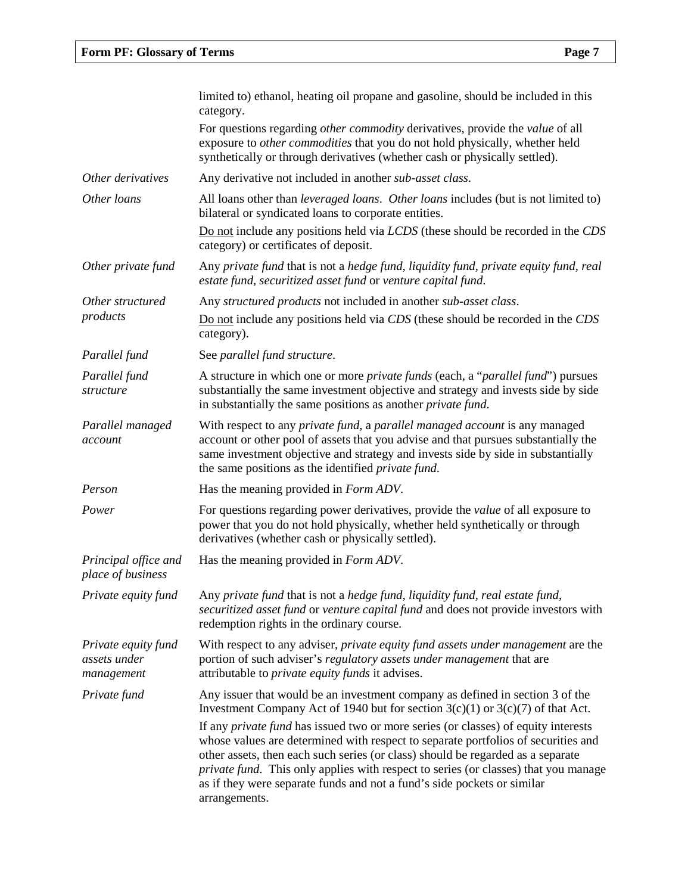|                                                   | limited to) ethanol, heating oil propane and gasoline, should be included in this<br>category.                                                                                                                                                                                                                                                                                                                                                       |
|---------------------------------------------------|------------------------------------------------------------------------------------------------------------------------------------------------------------------------------------------------------------------------------------------------------------------------------------------------------------------------------------------------------------------------------------------------------------------------------------------------------|
|                                                   | For questions regarding other commodity derivatives, provide the value of all<br>exposure to other commodities that you do not hold physically, whether held<br>synthetically or through derivatives (whether cash or physically settled).                                                                                                                                                                                                           |
| Other derivatives                                 | Any derivative not included in another <i>sub-asset class</i> .                                                                                                                                                                                                                                                                                                                                                                                      |
| Other loans                                       | All loans other than leveraged loans. Other loans includes (but is not limited to)<br>bilateral or syndicated loans to corporate entities.<br>Do not include any positions held via LCDS (these should be recorded in the CDS                                                                                                                                                                                                                        |
|                                                   | category) or certificates of deposit.                                                                                                                                                                                                                                                                                                                                                                                                                |
| Other private fund                                | Any private fund that is not a hedge fund, liquidity fund, private equity fund, real<br>estate fund, securitized asset fund or venture capital fund.                                                                                                                                                                                                                                                                                                 |
| Other structured                                  | Any structured products not included in another sub-asset class.                                                                                                                                                                                                                                                                                                                                                                                     |
| products                                          | Do not include any positions held via CDS (these should be recorded in the CDS<br>category).                                                                                                                                                                                                                                                                                                                                                         |
| Parallel fund                                     | See parallel fund structure.                                                                                                                                                                                                                                                                                                                                                                                                                         |
| Parallel fund<br>structure                        | A structure in which one or more <i>private funds</i> (each, a " <i>parallel fund</i> ") pursues<br>substantially the same investment objective and strategy and invests side by side<br>in substantially the same positions as another <i>private fund</i> .                                                                                                                                                                                        |
| Parallel managed<br>account                       | With respect to any <i>private fund</i> , a <i>parallel managed account</i> is any managed<br>account or other pool of assets that you advise and that pursues substantially the<br>same investment objective and strategy and invests side by side in substantially<br>the same positions as the identified <i>private fund</i> .                                                                                                                   |
| Person                                            | Has the meaning provided in <i>Form ADV</i> .                                                                                                                                                                                                                                                                                                                                                                                                        |
| Power                                             | For questions regarding power derivatives, provide the value of all exposure to<br>power that you do not hold physically, whether held synthetically or through<br>derivatives (whether cash or physically settled).                                                                                                                                                                                                                                 |
| Principal office and<br>place of business         | Has the meaning provided in <i>Form ADV</i> .                                                                                                                                                                                                                                                                                                                                                                                                        |
| Private equity fund                               | Any private fund that is not a hedge fund, liquidity fund, real estate fund,<br>securitized asset fund or venture capital fund and does not provide investors with<br>redemption rights in the ordinary course.                                                                                                                                                                                                                                      |
| Private equity fund<br>assets under<br>management | With respect to any adviser, private equity fund assets under management are the<br>portion of such adviser's regulatory assets under management that are<br>attributable to <i>private equity funds</i> it advises.                                                                                                                                                                                                                                 |
| Private fund                                      | Any issuer that would be an investment company as defined in section 3 of the<br>Investment Company Act of 1940 but for section $3(c)(1)$ or $3(c)(7)$ of that Act.                                                                                                                                                                                                                                                                                  |
|                                                   | If any <i>private fund</i> has issued two or more series (or classes) of equity interests<br>whose values are determined with respect to separate portfolios of securities and<br>other assets, then each such series (or class) should be regarded as a separate<br>private fund. This only applies with respect to series (or classes) that you manage<br>as if they were separate funds and not a fund's side pockets or similar<br>arrangements. |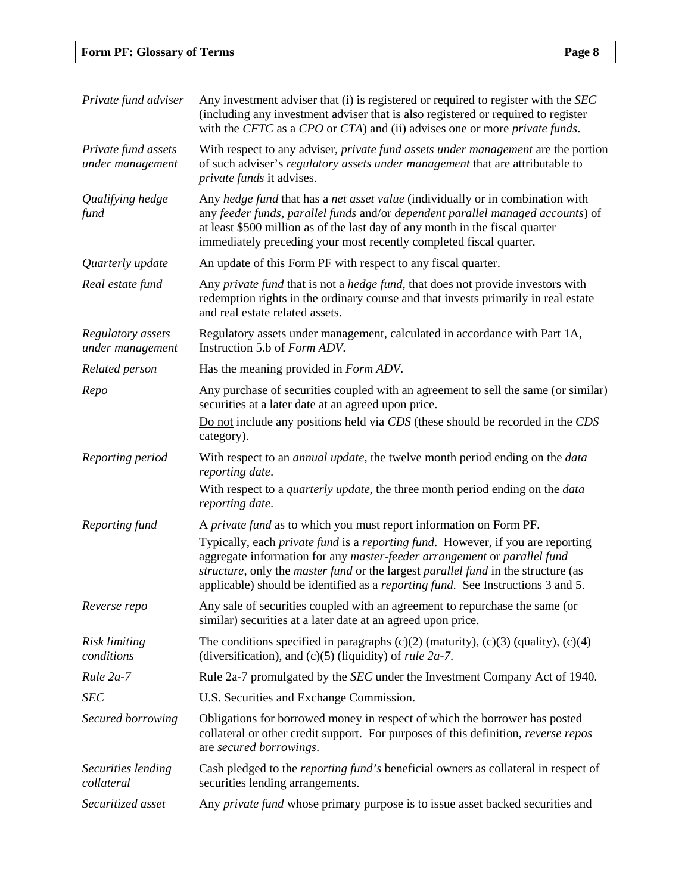# **Form PF: Glossary of Terms Page 8**

| Private fund adviser                    | Any investment adviser that (i) is registered or required to register with the SEC<br>(including any investment adviser that is also registered or required to register<br>with the CFTC as a CPO or CTA) and (ii) advises one or more <i>private funds</i> .                                                                                              |
|-----------------------------------------|------------------------------------------------------------------------------------------------------------------------------------------------------------------------------------------------------------------------------------------------------------------------------------------------------------------------------------------------------------|
| Private fund assets<br>under management | With respect to any adviser, private fund assets under management are the portion<br>of such adviser's regulatory assets under management that are attributable to<br><i>private funds</i> it advises.                                                                                                                                                     |
| Qualifying hedge<br>fund                | Any hedge fund that has a net asset value (individually or in combination with<br>any feeder funds, parallel funds and/or dependent parallel managed accounts) of<br>at least \$500 million as of the last day of any month in the fiscal quarter<br>immediately preceding your most recently completed fiscal quarter.                                    |
| Quarterly update                        | An update of this Form PF with respect to any fiscal quarter.                                                                                                                                                                                                                                                                                              |
| Real estate fund                        | Any private fund that is not a hedge fund, that does not provide investors with<br>redemption rights in the ordinary course and that invests primarily in real estate<br>and real estate related assets.                                                                                                                                                   |
| Regulatory assets<br>under management   | Regulatory assets under management, calculated in accordance with Part 1A,<br>Instruction 5.b of Form ADV.                                                                                                                                                                                                                                                 |
| Related person                          | Has the meaning provided in <i>Form ADV</i> .                                                                                                                                                                                                                                                                                                              |
| Repo                                    | Any purchase of securities coupled with an agreement to sell the same (or similar)<br>securities at a later date at an agreed upon price.                                                                                                                                                                                                                  |
|                                         | Do not include any positions held via CDS (these should be recorded in the CDS<br>category).                                                                                                                                                                                                                                                               |
| Reporting period                        | With respect to an <i>annual update</i> , the twelve month period ending on the <i>data</i><br>reporting date.                                                                                                                                                                                                                                             |
|                                         | With respect to a <i>quarterly update</i> , the three month period ending on the <i>data</i><br>reporting date.                                                                                                                                                                                                                                            |
| Reporting fund                          | A private fund as to which you must report information on Form PF.                                                                                                                                                                                                                                                                                         |
|                                         | Typically, each <i>private fund</i> is a <i>reporting fund</i> . However, if you are reporting<br>aggregate information for any master-feeder arrangement or parallel fund<br>structure, only the master fund or the largest parallel fund in the structure (as<br>applicable) should be identified as a <i>reporting fund</i> . See Instructions 3 and 5. |
| Reverse repo                            | Any sale of securities coupled with an agreement to repurchase the same (or<br>similar) securities at a later date at an agreed upon price.                                                                                                                                                                                                                |
| Risk limiting<br>conditions             | The conditions specified in paragraphs $(c)(2)$ (maturity), $(c)(3)$ (quality), $(c)(4)$<br>(diversification), and $(c)(5)$ (liquidity) of <i>rule 2a-7</i> .                                                                                                                                                                                              |
| Rule 2a-7                               | Rule 2a-7 promulgated by the <i>SEC</i> under the Investment Company Act of 1940.                                                                                                                                                                                                                                                                          |
| <b>SEC</b>                              | U.S. Securities and Exchange Commission.                                                                                                                                                                                                                                                                                                                   |
| Secured borrowing                       | Obligations for borrowed money in respect of which the borrower has posted                                                                                                                                                                                                                                                                                 |
|                                         | collateral or other credit support. For purposes of this definition, reverse repos<br>are secured borrowings.                                                                                                                                                                                                                                              |
| Securities lending<br>collateral        | Cash pledged to the <i>reporting fund's</i> beneficial owners as collateral in respect of<br>securities lending arrangements.                                                                                                                                                                                                                              |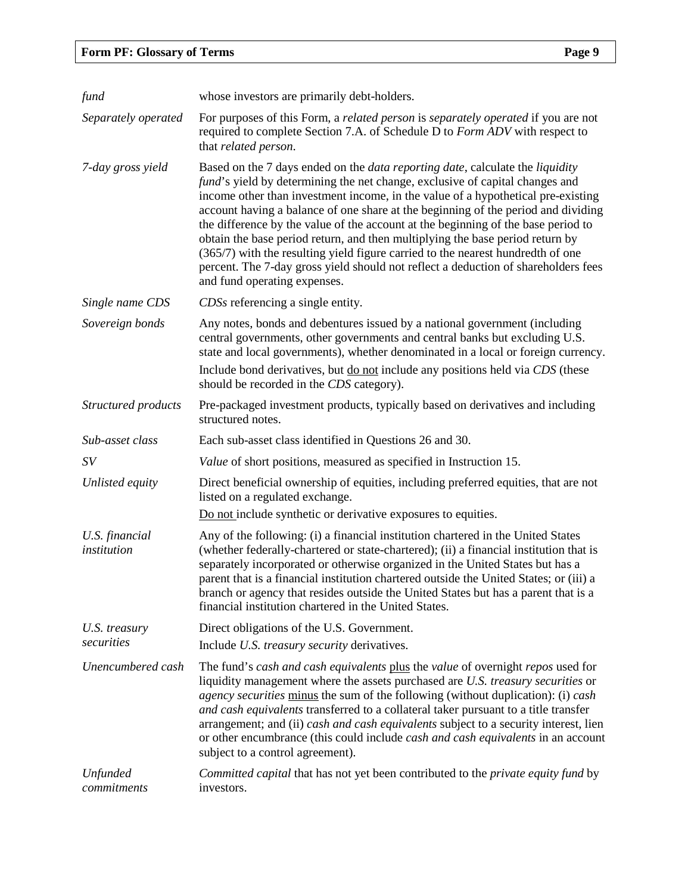| fund                           | whose investors are primarily debt-holders.                                                                                                                                                                                                                                                                                                                                                                                                                                                                                                                                                                                                                                                                                          |
|--------------------------------|--------------------------------------------------------------------------------------------------------------------------------------------------------------------------------------------------------------------------------------------------------------------------------------------------------------------------------------------------------------------------------------------------------------------------------------------------------------------------------------------------------------------------------------------------------------------------------------------------------------------------------------------------------------------------------------------------------------------------------------|
| Separately operated            | For purposes of this Form, a related person is separately operated if you are not<br>required to complete Section 7.A. of Schedule D to Form ADV with respect to<br>that related person.                                                                                                                                                                                                                                                                                                                                                                                                                                                                                                                                             |
| 7-day gross yield              | Based on the 7 days ended on the <i>data reporting date</i> , calculate the <i>liquidity</i><br>fund's yield by determining the net change, exclusive of capital changes and<br>income other than investment income, in the value of a hypothetical pre-existing<br>account having a balance of one share at the beginning of the period and dividing<br>the difference by the value of the account at the beginning of the base period to<br>obtain the base period return, and then multiplying the base period return by<br>(365/7) with the resulting yield figure carried to the nearest hundredth of one<br>percent. The 7-day gross yield should not reflect a deduction of shareholders fees<br>and fund operating expenses. |
| Single name CDS                | CDSs referencing a single entity.                                                                                                                                                                                                                                                                                                                                                                                                                                                                                                                                                                                                                                                                                                    |
| Sovereign bonds                | Any notes, bonds and debentures issued by a national government (including<br>central governments, other governments and central banks but excluding U.S.<br>state and local governments), whether denominated in a local or foreign currency.<br>Include bond derivatives, but <u>do not</u> include any positions held via CDS (these<br>should be recorded in the CDS category).                                                                                                                                                                                                                                                                                                                                                  |
| Structured products            | Pre-packaged investment products, typically based on derivatives and including<br>structured notes.                                                                                                                                                                                                                                                                                                                                                                                                                                                                                                                                                                                                                                  |
| Sub-asset class                | Each sub-asset class identified in Questions 26 and 30.                                                                                                                                                                                                                                                                                                                                                                                                                                                                                                                                                                                                                                                                              |
| SV                             | Value of short positions, measured as specified in Instruction 15.                                                                                                                                                                                                                                                                                                                                                                                                                                                                                                                                                                                                                                                                   |
| Unlisted equity                | Direct beneficial ownership of equities, including preferred equities, that are not<br>listed on a regulated exchange.                                                                                                                                                                                                                                                                                                                                                                                                                                                                                                                                                                                                               |
|                                | Do not include synthetic or derivative exposures to equities.                                                                                                                                                                                                                                                                                                                                                                                                                                                                                                                                                                                                                                                                        |
| U.S. financial<br>institution  | Any of the following: (i) a financial institution chartered in the United States<br>(whether federally-chartered or state-chartered); (ii) a financial institution that is<br>separately incorporated or otherwise organized in the United States but has a<br>parent that is a financial institution chartered outside the United States; or (iii) a<br>branch or agency that resides outside the United States but has a parent that is a<br>financial institution chartered in the United States.                                                                                                                                                                                                                                 |
| U.S. treasury                  | Direct obligations of the U.S. Government.                                                                                                                                                                                                                                                                                                                                                                                                                                                                                                                                                                                                                                                                                           |
| securities                     | Include U.S. treasury security derivatives.                                                                                                                                                                                                                                                                                                                                                                                                                                                                                                                                                                                                                                                                                          |
| Unencumbered cash              | The fund's cash and cash equivalents plus the value of overnight repos used for<br>liquidity management where the assets purchased are U.S. treasury securities or<br>agency securities minus the sum of the following (without duplication): (i) cash<br>and cash equivalents transferred to a collateral taker pursuant to a title transfer<br>arrangement; and (ii) cash and cash equivalents subject to a security interest, lien<br>or other encumbrance (this could include <i>cash and cash equivalents</i> in an account<br>subject to a control agreement).                                                                                                                                                                 |
| <b>Unfunded</b><br>commitments | Committed capital that has not yet been contributed to the private equity fund by<br>investors.                                                                                                                                                                                                                                                                                                                                                                                                                                                                                                                                                                                                                                      |